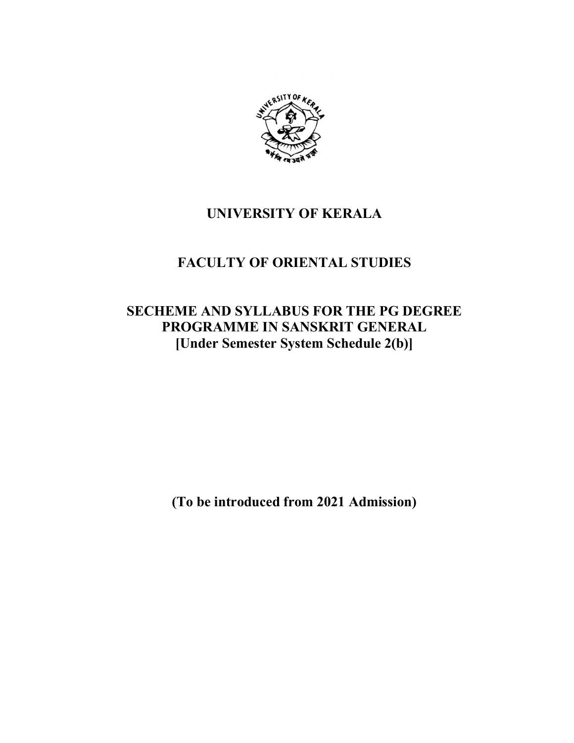

# **UNIVERSITY OF KERALA**

# **FACULTY OF ORIENTAL STUDIES**

# **SECHEME AND SYLLABUS FOR THE PG DEGREE PROGRAMME IN SANSKRIT GENERAL [Under Semester System Schedule 2(b)]**

**(To be introduced from 2021 Admission)**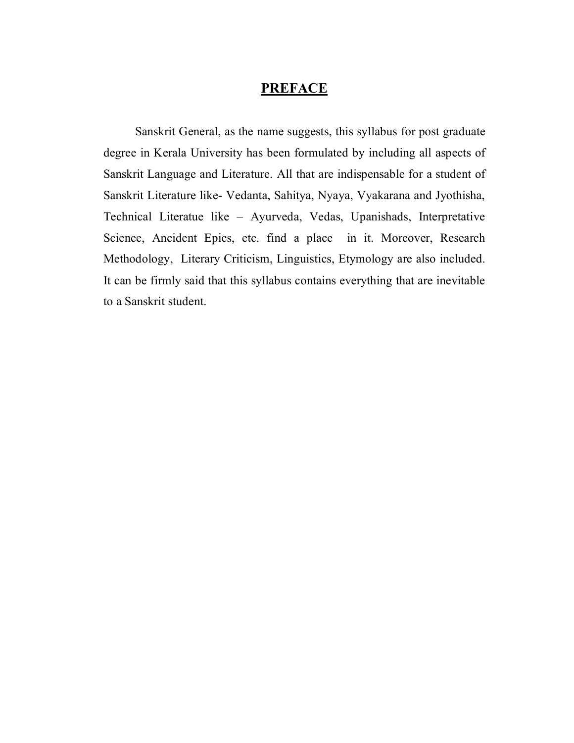## **PREFACE**

 Sanskrit General, as the name suggests, this syllabus for post graduate degree in Kerala University has been formulated by including all aspects of Sanskrit Language and Literature. All that are indispensable for a student of Sanskrit Literature like- Vedanta, Sahitya, Nyaya, Vyakarana and Jyothisha, Technical Literatue like – Ayurveda, Vedas, Upanishads, Interpretative Science, Ancident Epics, etc. find a place in it. Moreover, Research Methodology, Literary Criticism, Linguistics, Etymology are also included. It can be firmly said that this syllabus contains everything that are inevitable to a Sanskrit student.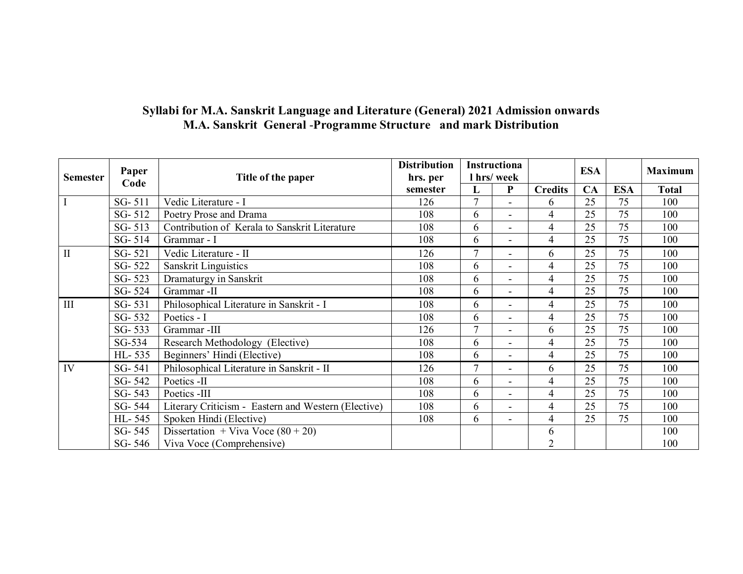# **Syllabi for M.A. Sanskrit Language and Literature (General) 2021 Admission onwards M.A. Sanskrit General** -**Programme Structure and mark Distribution**

| <b>Semester</b> | Paper  | Title of the paper                                  | <b>Distribution</b><br>hrs. per | Instructiona<br>I hrs/week |                          |                |    |            | <b>Maximum</b> |
|-----------------|--------|-----------------------------------------------------|---------------------------------|----------------------------|--------------------------|----------------|----|------------|----------------|
|                 | Code   |                                                     | semester                        | L                          | P                        | <b>Credits</b> | CA | <b>ESA</b> | <b>Total</b>   |
|                 | SG-511 | Vedic Literature - I                                | 126                             | $\overline{7}$             |                          | 6              | 25 | 75         | 100            |
|                 | SG-512 | Poetry Prose and Drama                              | 108                             | 6                          |                          | $\overline{4}$ | 25 | 75         | 100            |
|                 | SG-513 | Contribution of Kerala to Sanskrit Literature       | 108                             | 6                          |                          | $\overline{4}$ | 25 | 75         | 100            |
|                 | SG-514 | Grammar - I                                         | 108                             | 6                          |                          | $\overline{4}$ | 25 | 75         | 100            |
| $\mathbf{I}$    | SG-521 | Vedic Literature - II                               | 126                             | $\overline{7}$             |                          | 6              | 25 | 75         | 100            |
|                 | SG-522 | <b>Sanskrit Linguistics</b>                         | 108                             | 6                          |                          | $\overline{4}$ | 25 | 75         | 100            |
|                 | SG-523 | Dramaturgy in Sanskrit                              | 108                             | 6                          |                          | $\overline{4}$ | 25 | 75         | 100            |
|                 | SG-524 | Grammar -II                                         | 108                             | 6                          |                          | $\overline{4}$ | 25 | 75         | 100            |
| III             | SG-531 | Philosophical Literature in Sanskrit - I            | 108                             | 6                          |                          | 4              | 25 | 75         | 100            |
|                 | SG-532 | Poetics - I                                         | 108                             | 6                          |                          | $\overline{4}$ | 25 | 75         | 100            |
|                 | SG-533 | Grammar -III                                        | 126                             | $\tau$                     |                          | 6              | 25 | 75         | 100            |
|                 | SG-534 | Research Methodology (Elective)                     | 108                             | 6                          |                          | 4              | 25 | 75         | 100            |
|                 | HL-535 | Beginners' Hindi (Elective)                         | 108                             | 6                          | $\overline{\phantom{a}}$ | $\overline{4}$ | 25 | 75         | 100            |
| IV              | SG-541 | Philosophical Literature in Sanskrit - II           | 126                             | 7                          |                          | 6              | 25 | 75         | 100            |
|                 | SG-542 | Poetics -II                                         | 108                             | 6                          |                          | 4              | 25 | 75         | 100            |
|                 | SG-543 | Poetics -III                                        | 108                             | 6                          |                          | $\overline{4}$ | 25 | 75         | 100            |
|                 | SG-544 | Literary Criticism - Eastern and Western (Elective) | 108                             | 6                          |                          | $\overline{4}$ | 25 | 75         | 100            |
|                 | HL-545 | Spoken Hindi (Elective)                             | 108                             | 6                          |                          | $\overline{4}$ | 25 | 75         | 100            |
|                 | SG-545 | Dissertation + Viva Voce $(80 + 20)$                |                                 |                            |                          | 6              |    |            | 100            |
|                 | SG-546 | Viva Voce (Comprehensive)                           |                                 |                            |                          |                |    |            | 100            |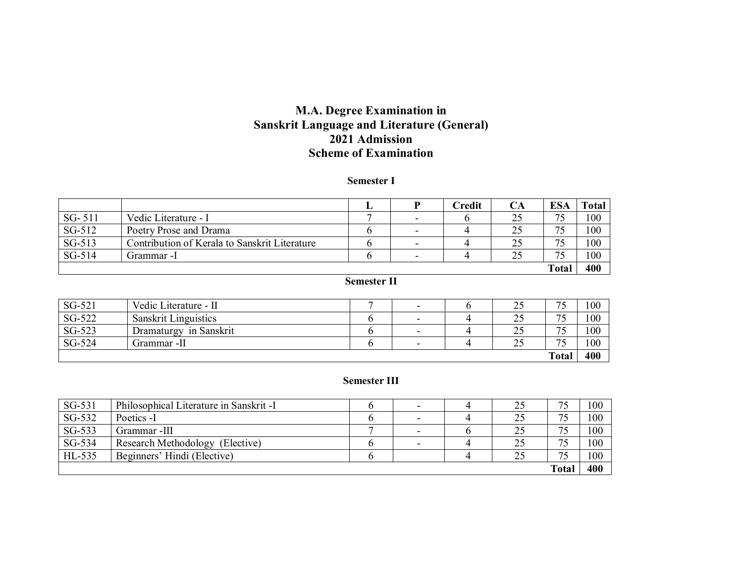## **M.A. Degree Examination in Sanskrit Language and Literature (General) 2021 Admission Scheme of Examination**

#### **Semester I**

|          |                                               |   |                          | Credit | CА | <b>ESA</b> | Total |
|----------|-----------------------------------------------|---|--------------------------|--------|----|------------|-------|
| $SG-511$ | Vedic Literature - I                          | ┍ | -                        |        | 25 | 75         | 100   |
| SG-512   | Poetry Prose and Drama                        |   | $\overline{\phantom{a}}$ |        | 25 | 75         | 100   |
| SG-513   | Contribution of Kerala to Sanskrit Literature |   | $\overline{\phantom{0}}$ |        | 25 | 75         | 100   |
| SG-514   | Grammar -I                                    |   | $\overline{\phantom{0}}$ |        | 25 | 75         | 100   |
|          |                                               |   |                          |        |    | Total      | 400   |

### **Semester II**

| SG-521 | Vedic Literature - II       | $\overline{\phantom{0}}$ | ب ک                      | 75<br>ت ا                      | 100 |
|--------|-----------------------------|--------------------------|--------------------------|--------------------------------|-----|
| SG-522 | <b>Sanskrit Linguistics</b> | $\overline{\phantom{0}}$ | $\gamma$<br>∠~           | 75<br>. J                      | 100 |
| SG-523 | in Sanskrit<br>Dramaturgy   | $\overline{\phantom{0}}$ | 25<br>ب ک                | 75<br>$\overline{\phantom{a}}$ | 100 |
| SG-524 | Grammar -II                 | $\overline{\phantom{0}}$ | $\sim$ $\epsilon$<br>ب ک | $\tau$<br>$\sim$               | 100 |
|        |                             |                          |                          | Total                          | 400 |

#### **Semester III**

| SG-531 | Philosophical Literature in Sanskrit -I | $\overline{\phantom{0}}$ | 25 | 75    | 100 |
|--------|-----------------------------------------|--------------------------|----|-------|-----|
| SG-532 | Poetics -I                              |                          | 25 | 75    | 100 |
| SG-533 | Grammar -III                            | $\overline{\phantom{a}}$ | 25 | 75    | 100 |
| SG-534 | Research Methodology (Elective)         |                          | 25 | 75    | 100 |
| HL-535 | Beginners' Hindi (Elective)             |                          | 25 | 75    | 100 |
|        |                                         |                          |    | Total | 400 |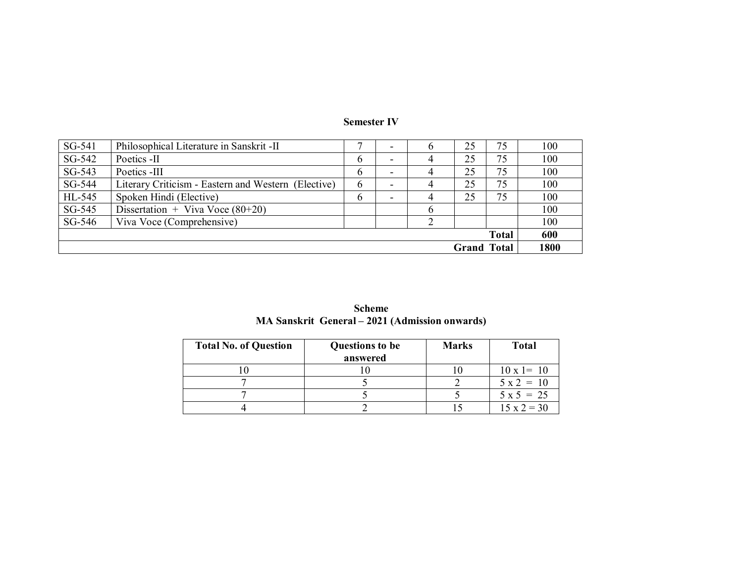| SG-541 | Philosophical Literature in Sanskrit - II           | ┍ |                          | $\sigma$ | 25                 | 75           | 100  |
|--------|-----------------------------------------------------|---|--------------------------|----------|--------------------|--------------|------|
| SG-542 | Poetics -II                                         | 6 | -                        |          | 25                 | 75           | 100  |
| SG-543 | Poetics -III                                        | 6 | $\overline{\phantom{0}}$ |          | 25                 | 75           | 100  |
| SG-544 | Literary Criticism - Eastern and Western (Elective) | 6 | $\overline{\phantom{0}}$ |          | 25                 | 75           | 100  |
| HL-545 | Spoken Hindi (Elective)                             | 6 | $\overline{\phantom{0}}$ |          | 25                 | 75           | 100  |
| SG-545 | Dissertation + Viva Voce $(80+20)$                  |   |                          | b        |                    |              | 100  |
| SG-546 | Viva Voce (Comprehensive)                           |   |                          |          |                    |              | 100  |
|        |                                                     |   |                          |          |                    | <b>Total</b> | 600  |
|        |                                                     |   |                          |          | <b>Grand Total</b> |              | 1800 |

#### **Semester IV**

| <b>Scheme</b>                                  |
|------------------------------------------------|
| MA Sanskrit General – 2021 (Admission onwards) |

| <b>Total No. of Question</b> | <b>Questions to be</b><br>answered | <b>Marks</b> | <b>Total</b>       |
|------------------------------|------------------------------------|--------------|--------------------|
|                              |                                    |              | $10 \times 1 = 10$ |
|                              |                                    |              | $5x^2 = 10$        |
|                              |                                    |              | $5 \times 5 = 25$  |
|                              |                                    |              | $15 \times 2 = 30$ |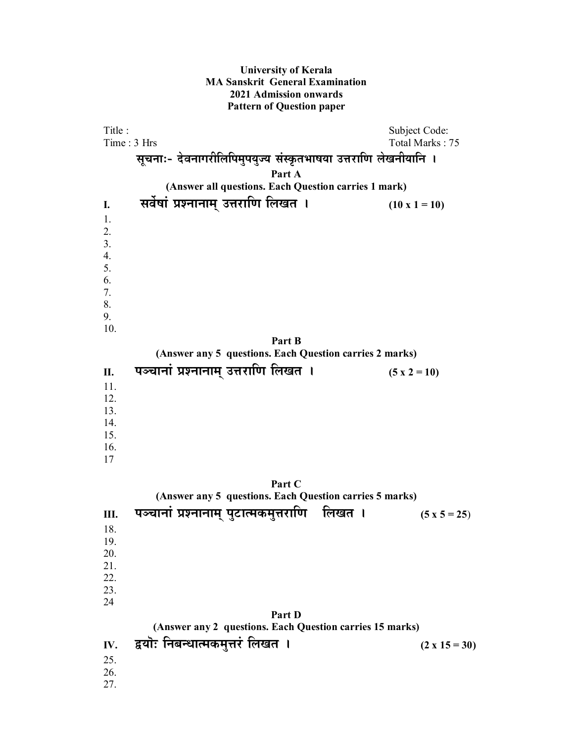#### **University of Kerala MA Sanskrit General Examination 2021 Admission onwards Pattern of Question paper**

Title : Subject Code: Time : 3 Hrs Total Marks : 75 सूचनाः- देवनागरीलिपिमुपयुज्य संस्कृतभाषया उत्तराणि लेखनीयानि । **Part A (Answer all questions. Each Question carries 1 mark) I.** सर्वेषां प्रश्नानाम् उत्तराणि लिखत । (10 x 1 = 10) 1. 2. 3. 4. 5. 6. 7. 8. 9. 10. **Part B (Answer any 5 questions. Each Question carries 2 marks)** II. यञ्चानां प्रश्नानाम् उत्तराणि लिखत । (5 x 2 = 10) 11. 12. 13. 14. 15. 16. 17 **Part C (Answer any 5 questions. Each Question carries 5 marks)** <u>III. पञ्चानां प्रश्नानाम् पु</u>टात्मकमुत्तराणि लिखत । (5 x 5 = 25) 18. 19. 20. 21. 22. 23. 24 **Part D (Answer any 2 questions. Each Question carries 15 marks) IV.** द्वयॊ: निबन्धात्मकमुत्तरं लिखत । (2 x 15 = 30) 25. 26. 27.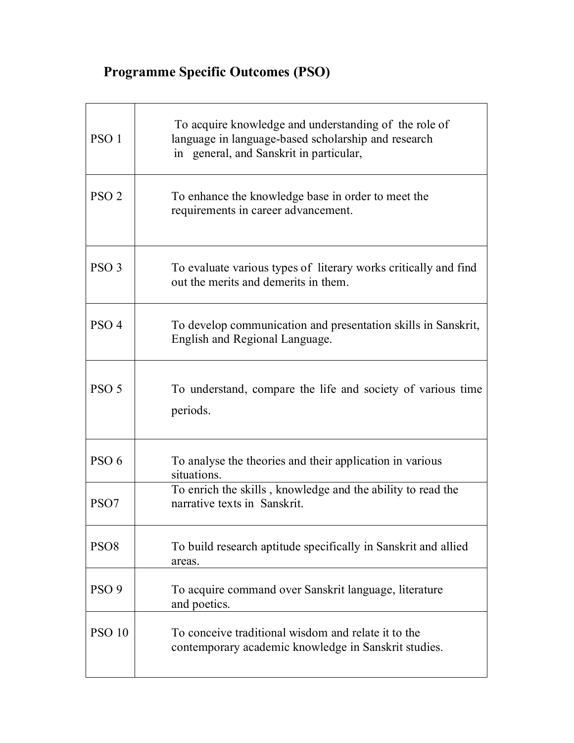# **Programme Specific Outcomes (PSO)**

| PSO <sub>1</sub> | To acquire knowledge and understanding of the role of<br>language in language-based scholarship and research<br>in general, and Sanskrit in particular, |
|------------------|---------------------------------------------------------------------------------------------------------------------------------------------------------|
| PSO <sub>2</sub> | To enhance the knowledge base in order to meet the<br>requirements in career advancement.                                                               |
| PSO <sub>3</sub> | To evaluate various types of literary works critically and find<br>out the merits and demerits in them.                                                 |
| PSO <sub>4</sub> | To develop communication and presentation skills in Sanskrit,<br>English and Regional Language.                                                         |
| PSO <sub>5</sub> | To understand, compare the life and society of various time<br>periods.                                                                                 |
| PSO <sub>6</sub> | To analyse the theories and their application in various<br>situations.                                                                                 |
| PSO <sub>7</sub> | To enrich the skills, knowledge and the ability to read the<br>narrative texts in Sanskrit.                                                             |
| PSO <sub>8</sub> | To build research aptitude specifically in Sanskrit and allied<br>areas.                                                                                |
| PSO <sub>9</sub> | To acquire command over Sanskrit language, literature<br>and poetics.                                                                                   |
| <b>PSO 10</b>    | To conceive traditional wisdom and relate it to the<br>contemporary academic knowledge in Sanskrit studies.                                             |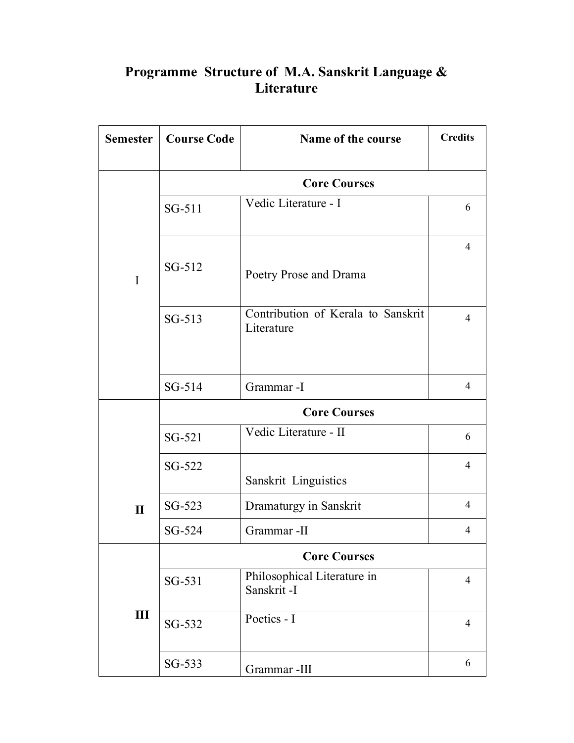# **Semester Course Code | Name of the course | Credits | Credits | Credits | Credits | Credits | Credits | Credits | Credits | Credits | Credits | Credits | Credits | Credits | Credits | Credits | Credits | Credits | Credits Core Courses**  SG-511 Vedic Literature - I 6 SG-512 Poetry Prose and Drama 4 SG-513 Contribution of Kerala to Sanskrit Literature 4 I  $SG-514$  Grammar -I 4 **Core Courses**  SG-521 Vedic Literature - II 6 SG-522 Sanskrit Linguistics 4 SG-523 Dramaturgy in Sanskrit 4 **II**  $SG-524$  Grammar -II 4 **Core Courses**  SG-531 Philosophical Literature in Sanskrit -I 4  $\overline{SG-532}$  Poetics - I 4 **III**  $SG-533$  Grammar -III 6

# **Programme Structure of M.A. Sanskrit Language & Literature**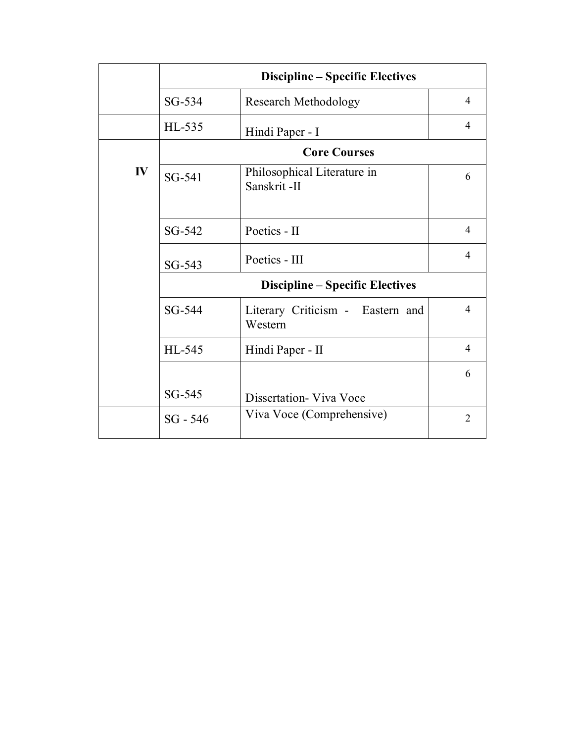|    | <b>Discipline – Specific Electives</b> |                                             |                |  |  |  |
|----|----------------------------------------|---------------------------------------------|----------------|--|--|--|
|    | $SG-534$                               | <b>Research Methodology</b>                 | 4              |  |  |  |
|    | HL-535                                 | Hindi Paper - I                             | 4              |  |  |  |
|    |                                        | <b>Core Courses</b>                         |                |  |  |  |
| IV | SG-541                                 | Philosophical Literature in<br>Sanskrit-II  | 6              |  |  |  |
|    | SG-542                                 | Poetics - II                                | $\overline{4}$ |  |  |  |
|    | SG-543                                 | Poetics - III                               | $\overline{4}$ |  |  |  |
|    |                                        | <b>Discipline – Specific Electives</b>      |                |  |  |  |
|    | SG-544                                 | Literary Criticism - Eastern and<br>Western | $\overline{4}$ |  |  |  |
|    | HL-545                                 | Hindi Paper - II                            | $\overline{4}$ |  |  |  |
|    |                                        |                                             | 6              |  |  |  |
|    | SG-545                                 | Dissertation - Viva Voce                    |                |  |  |  |
|    | $SG - 546$                             | Viva Voce (Comprehensive)                   | $\overline{2}$ |  |  |  |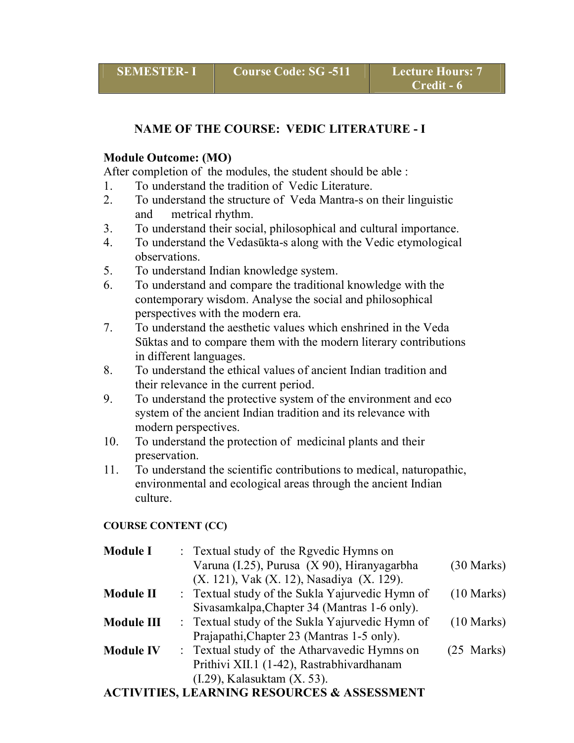# **NAME OF THE COURSE: VEDIC LITERATURE - I**

#### **Module Outcome: (MO)**

After completion of the modules, the student should be able :

- 1. To understand the tradition of Vedic Literature.
- 2. To understand the structure of Veda Mantra-s on their linguistic and metrical rhythm.
- 3. To understand their social, philosophical and cultural importance.
- 4. To understand the Vedasūkta-s along with the Vedic etymological observations.
- 5. To understand Indian knowledge system.
- 6. To understand and compare the traditional knowledge with the contemporary wisdom. Analyse the social and philosophical perspectives with the modern era.
- 7. To understand the aesthetic values which enshrined in the Veda Sūktas and to compare them with the modern literary contributions in different languages.
- 8. To understand the ethical values of ancient Indian tradition and their relevance in the current period.
- 9. To understand the protective system of the environment and eco system of the ancient Indian tradition and its relevance with modern perspectives.
- 10. To understand the protection of medicinal plants and their preservation.
- 11. To understand the scientific contributions to medical, naturopathic, environmental and ecological areas through the ancient Indian culture.

#### **COURSE CONTENT (CC)**

| <b>Module I</b>   | : Textual study of the Rgyedic Hymns on         |                      |
|-------------------|-------------------------------------------------|----------------------|
|                   | Varuna (I.25), Purusa (X 90), Hiranyagarbha     | $(30 \text{ Marks})$ |
|                   | (X. 121), Vak (X. 12), Nasadiya (X. 129).       |                      |
| <b>Module II</b>  | : Textual study of the Sukla Yajurvedic Hymn of | $(10 \text{ Marks})$ |
|                   | Sivasamkalpa, Chapter 34 (Mantras 1-6 only).    |                      |
| <b>Module III</b> | : Textual study of the Sukla Yajurvedic Hymn of | $(10 \text{ Marks})$ |
|                   | Prajapathi, Chapter 23 (Mantras 1-5 only).      |                      |
| <b>Module IV</b>  | : Textual study of the Athary aved ic Hymns on  | $(25$ Marks)         |
|                   | Prithivi XII.1 (1-42), Rastrabhivardhanam       |                      |
|                   | $(I.29)$ , Kalasuktam $(X. 53)$ .               |                      |
|                   |                                                 |                      |

## **ACTIVITIES, LEARNING RESOURCES & ASSESSMENT**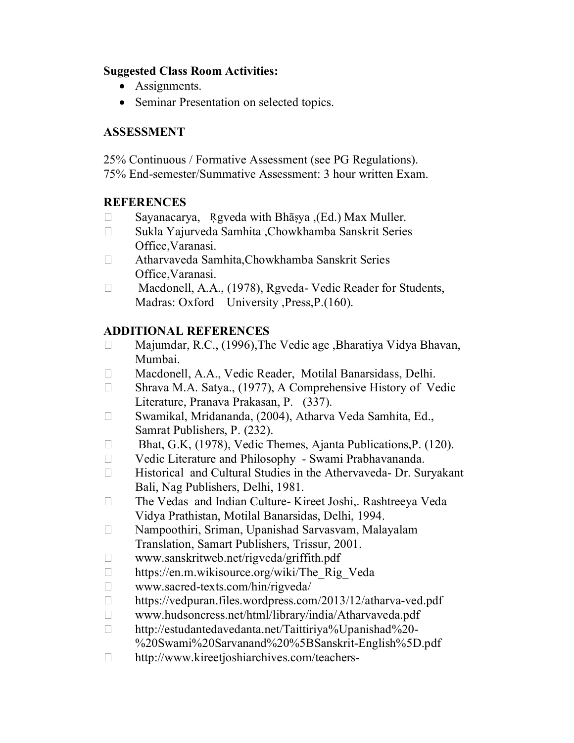## **Suggested Class Room Activities:**

- Assignments.
- Seminar Presentation on selected topics.

# **ASSESSMENT**

25% Continuous / Formative Assessment (see PG Regulations). 75% End-semester/Summative Assessment: 3 hour written Exam.

# **REFERENCES**

- Sayanacarya, Rgyeda with Bhāṣya ,(Ed.) Max Muller.
- Sukla Yajurveda Samhita ,Chowkhamba Sanskrit Series Office,Varanasi.
- Atharvaveda Samhita,Chowkhamba Sanskrit Series Office,Varanasi.
- □ Macdonell, A.A., (1978), Rgveda- Vedic Reader for Students, Madras: Oxford University , Press, P. (160).

- □ Majumdar, R.C., (1996), The Vedic age , Bharatiya Vidya Bhavan, Mumbai.
- Macdonell, A.A., Vedic Reader, Motilal Banarsidass, Delhi.
- □ Shrava M.A. Satya., (1977), A Comprehensive History of Vedic Literature, Pranava Prakasan, P. (337).
- Swamikal, Mridananda, (2004), Atharva Veda Samhita, Ed., Samrat Publishers, P. (232).
- □ Bhat, G.K, (1978), Vedic Themes, Ajanta Publications, P. (120).
- Vedic Literature and Philosophy Swami Prabhavananda.
- Historical and Cultural Studies in the Athervaveda- Dr. Suryakant Bali, Nag Publishers, Delhi, 1981.
- The Vedas and Indian Culture- Kireet Joshi,. Rashtreeya Veda Vidya Prathistan, Motilal Banarsidas, Delhi, 1994.
- Nampoothiri, Sriman, Upanishad Sarvasvam, Malayalam Translation, Samart Publishers, Trissur, 2001.
- $\Box$  www.sanskritweb.net/rigveda/griffith.pdf
- □ https://en.m.wikisource.org/wiki/The Rig\_Veda
- $\Box$  www.sacred-texts.com/hin/rigveda/
- □ https://vedpuran.files.wordpress.com/2013/12/atharva-ved.pdf
- www.hudsoncress.net/html/library/india/Atharvaveda.pdf
- http://estudantedavedanta.net/Taittiriya%Upanishad%20- %20Swami%20Sarvanand%20%5BSanskrit-English%5D.pdf
- □ http://www.kireetjoshiarchives.com/teachers-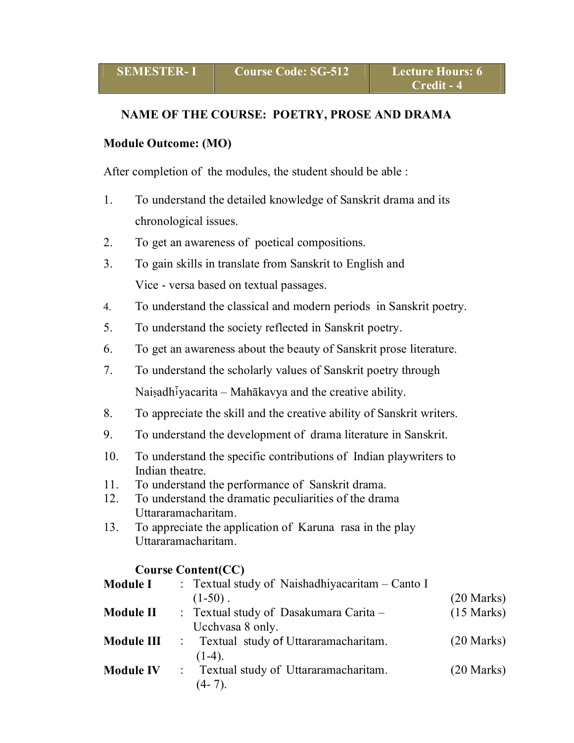#### **NAME OF THE COURSE: POETRY, PROSE AND DRAMA**

#### **Module Outcome: (MO)**

After completion of the modules, the student should be able :

- 1. To understand the detailed knowledge of Sanskrit drama and its chronological issues.
- 2. To get an awareness of poetical compositions.
- 3. To gain skills in translate from Sanskrit to English and Vice - versa based on textual passages.
- 4. To understand the classical and modern periods in Sanskrit poetry.
- 5. To understand the society reflected in Sanskrit poetry.
- 6. To get an awareness about the beauty of Sanskrit prose literature.
- 7. To understand the scholarly values of Sanskrit poetry through Naisadh $\bar{i}$ yacarita – Mahākavya and the creative ability.
- 8. To appreciate the skill and the creative ability of Sanskrit writers.
- 9. To understand the development of drama literature in Sanskrit.
- 10. To understand the specific contributions of Indian playwriters to Indian theatre.
- 11. To understand the performance of Sanskrit drama.
- 12. To understand the dramatic peculiarities of the drama Uttararamacharitam.
- 13. To appreciate the application of Karuna rasa in the play Uttararamacharitam.

## **Course Content(CC)**

| <b>Module I</b>  | : Textual study of Naishadhiyacaritam – Canto I                       |                      |
|------------------|-----------------------------------------------------------------------|----------------------|
|                  | $(1-50)$ .                                                            | $(20$ Marks)         |
| <b>Module II</b> | : Textual study of Dasakumara Carita –<br>Ucchvasa 8 only.            | $(15 \text{ Marks})$ |
|                  | <b>Module III</b> : Textual study of Uttararamacharitam.<br>$(1-4)$ . | $(20$ Marks)         |
| <b>Module IV</b> | : Textual study of Uttararamacharitam.<br>$(4-7)$ .                   | $(20$ Marks)         |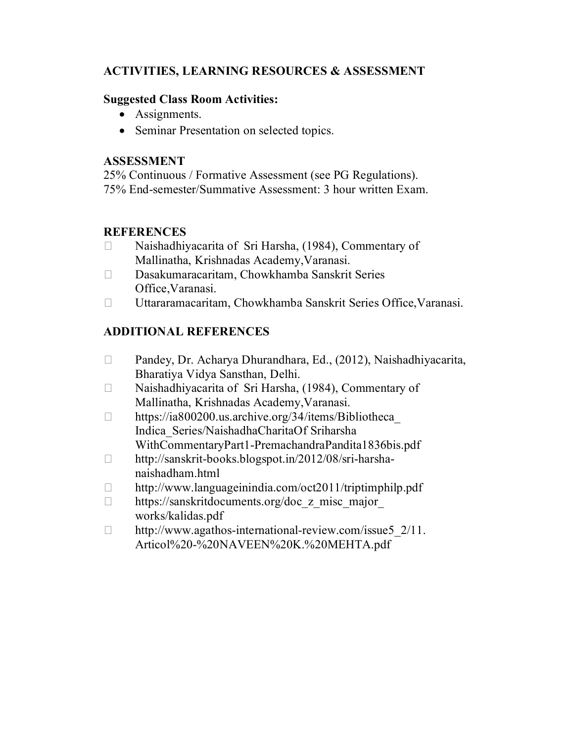# **ACTIVITIES, LEARNING RESOURCES & ASSESSMENT**

## **Suggested Class Room Activities:**

- Assignments.
- Seminar Presentation on selected topics.

## **ASSESSMENT**

25% Continuous / Formative Assessment (see PG Regulations). 75% End-semester/Summative Assessment: 3 hour written Exam.

## **REFERENCES**

- $\Box$  Naishadhiyacarita of Sri Harsha, (1984), Commentary of Mallinatha, Krishnadas Academy,Varanasi.
- Dasakumaracaritam, Chowkhamba Sanskrit Series Office,Varanasi.
- Uttararamacaritam, Chowkhamba Sanskrit Series Office,Varanasi.

- Pandey, Dr. Acharya Dhurandhara, Ed., (2012), Naishadhiyacarita, Bharatiya Vidya Sansthan, Delhi.
- □ Naishadhiyacarita of Sri Harsha, (1984), Commentary of Mallinatha, Krishnadas Academy,Varanasi.
- $\Box$  https://ia800200.us.archive.org/34/items/Bibliotheca Indica\_Series/NaishadhaCharitaOf Sriharsha WithCommentaryPart1-PremachandraPandita1836bis.pdf
- http://sanskrit-books.blogspot.in/2012/08/sri-harshanaishadham.html
- □ http://www.languageinindia.com/oct2011/triptimphilp.pdf
- □ https://sanskritdocuments.org/doc\_z\_misc\_major\_ works/kalidas.pdf
- $\Box$  http://www.agathos-international-review.com/issue5 2/11. Articol%20-%20NAVEEN%20K.%20MEHTA.pdf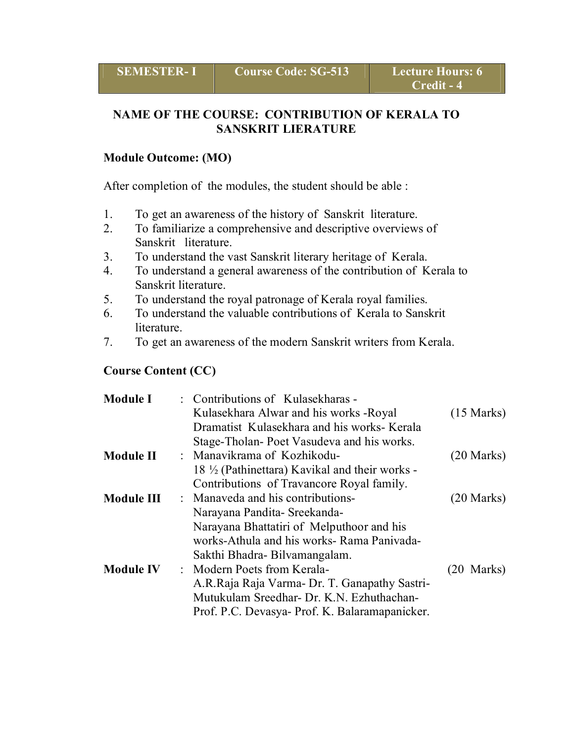# **NAME OF THE COURSE: CONTRIBUTION OF KERALA TO SANSKRIT LIERATURE**

#### **Module Outcome: (MO)**

After completion of the modules, the student should be able :

- 1. To get an awareness of the history of Sanskrit literature.<br>2. To familiarize a comprehensive and descriptive overviews
- 2. To familiarize a comprehensive and descriptive overviews of Sanskrit literature.
- 3. To understand the vast Sanskrit literary heritage of Kerala.
- 4. To understand a general awareness of the contribution of Kerala to Sanskrit literature.
- 5. To understand the royal patronage of Kerala royal families.
- 6. To understand the valuable contributions of Kerala to Sanskrit **literature**
- 7. To get an awareness of the modern Sanskrit writers from Kerala.

#### **Course Content (CC)**

| <b>Module I</b>  | : Contributions of Kulasekharas -                                       |                      |
|------------------|-------------------------------------------------------------------------|----------------------|
|                  | Kulasekhara Alwar and his works - Royal                                 | $(15 \text{ Marks})$ |
|                  | Dramatist Kulasekhara and his works-Kerala                              |                      |
|                  | Stage-Tholan-Poet Vasudeva and his works.                               |                      |
| <b>Module II</b> | : Manavikrama of Kozhikodu-                                             | $(20$ Marks)         |
|                  | 18 <sup>1</sup> / <sub>2</sub> (Pathinettara) Kavikal and their works - |                      |
|                  | Contributions of Travancore Royal family.                               |                      |
| Module III       | : Manaveda and his contributions-                                       | $(20$ Marks)         |
|                  | Narayana Pandita- Sreekanda-                                            |                      |
|                  | Narayana Bhattatiri of Melputhoor and his                               |                      |
|                  | works-Athula and his works-Rama Panivada-                               |                      |
|                  | Sakthi Bhadra-Bilvamangalam.                                            |                      |
| <b>Module IV</b> | : Modern Poets from Kerala-                                             | $(20 \text{ Marks})$ |
|                  | A.R.Raja Raja Varma- Dr. T. Ganapathy Sastri-                           |                      |
|                  | Mutukulam Sreedhar- Dr. K.N. Ezhuthachan-                               |                      |
|                  | Prof. P.C. Devasya- Prof. K. Balaramapanicker.                          |                      |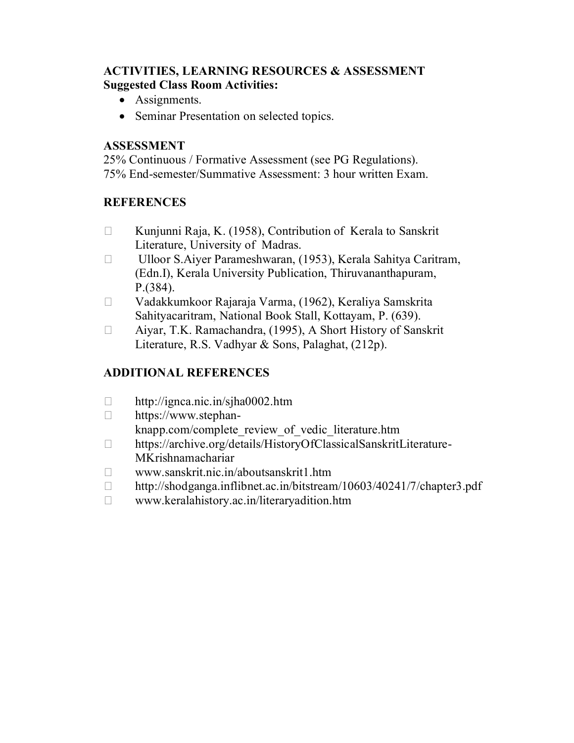## **ACTIVITIES, LEARNING RESOURCES & ASSESSMENT Suggested Class Room Activities:**

- Assignments.
- Seminar Presentation on selected topics.

## **ASSESSMENT**

25% Continuous / Formative Assessment (see PG Regulations). 75% End-semester/Summative Assessment: 3 hour written Exam.

# **REFERENCES**

- $\Box$  Kunjunni Raja, K. (1958), Contribution of Kerala to Sanskrit Literature, University of Madras.
- □ Ulloor S.Aiyer Parameshwaran, (1953), Kerala Sahitya Caritram, (Edn.I), Kerala University Publication, Thiruvananthapuram, P.(384).
- Vadakkumkoor Rajaraja Varma, (1962), Keraliya Samskrita Sahityacaritram, National Book Stall, Kottayam, P. (639).
- Aiyar, T.K. Ramachandra, (1995), A Short History of Sanskrit Literature, R.S. Vadhyar & Sons, Palaghat, (212p).

- $\Box$  http://ignca.nic.in/sjha0002.htm
- https://www.stephan
	- knapp.com/complete\_review\_of\_vedic\_literature.htm
- https://archive.org/details/HistoryOfClassicalSanskritLiterature-MKrishnamachariar
- www.sanskrit.nic.in/aboutsanskrit1.htm
- http://shodganga.inflibnet.ac.in/bitstream/10603/40241/7/chapter3.pdf
- www.keralahistory.ac.in/literaryadition.htm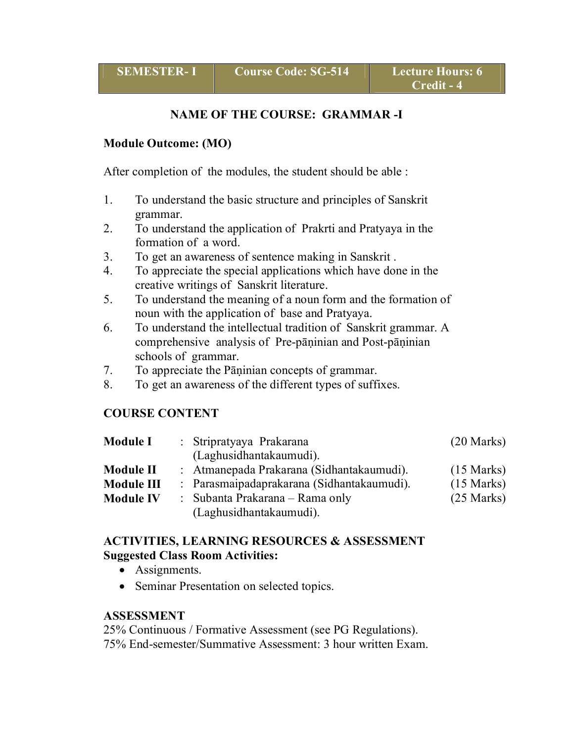## **NAME OF THE COURSE: GRAMMAR -I**

#### **Module Outcome: (MO)**

After completion of the modules, the student should be able :

- 1. To understand the basic structure and principles of Sanskrit grammar.
- 2. To understand the application of Prakrti and Pratyaya in the formation of a word.
- 3. To get an awareness of sentence making in Sanskrit .
- 4. To appreciate the special applications which have done in the creative writings of Sanskrit literature.
- 5. To understand the meaning of a noun form and the formation of noun with the application of base and Pratyaya.
- 6. To understand the intellectual tradition of Sanskrit grammar. A comprehensive analysis of Pre-pāṇinian and Post-pāṇinian schools of grammar.
- 7. To appreciate the Pāṇinian concepts of grammar.
- 8. To get an awareness of the different types of suffixes.

## **COURSE CONTENT**

| <b>Module I</b>  | : Stripratyaya Prakarana                   | $(20$ Marks)         |
|------------------|--------------------------------------------|----------------------|
|                  | (Laghusidhantakaumudi).                    |                      |
| <b>Module II</b> | : Atmanepada Prakarana (Sidhantakaumudi).  | $(15 \text{ Marks})$ |
| Module III       | : Parasmaipadaprakarana (Sidhantakaumudi). | $(15 \text{ Marks})$ |
| <b>Module IV</b> | : Subanta Prakarana – Rama only            | $(25 \text{ Marks})$ |
|                  | (Laghusidhantakaumudi).                    |                      |

#### **ACTIVITIES, LEARNING RESOURCES & ASSESSMENT Suggested Class Room Activities:**

- Assignments.
- Seminar Presentation on selected topics.

#### **ASSESSMENT**

25% Continuous / Formative Assessment (see PG Regulations). 75% End-semester/Summative Assessment: 3 hour written Exam.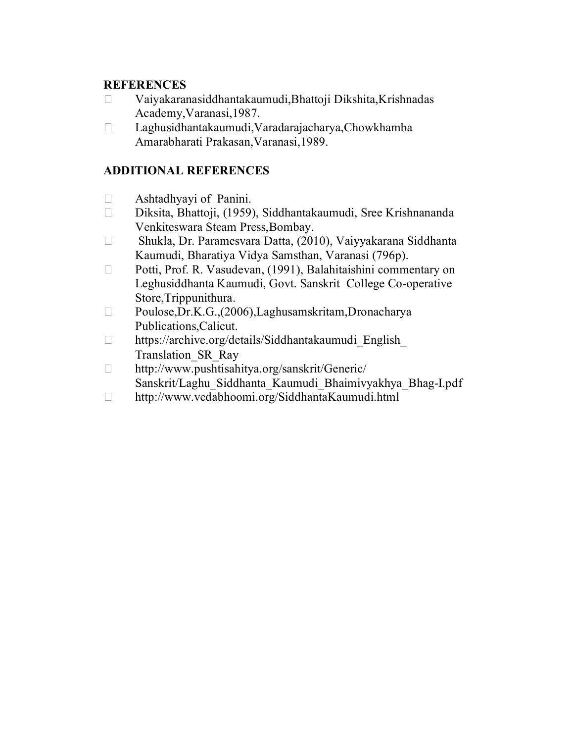#### **REFERENCES**

- Vaiyakaranasiddhantakaumudi,Bhattoji Dikshita,Krishnadas Academy,Varanasi,1987.
- Laghusidhantakaumudi,Varadarajacharya,Chowkhamba Amarabharati Prakasan,Varanasi,1989.

- Ashtadhyayi of Panini.
- Diksita, Bhattoji, (1959), Siddhantakaumudi, Sree Krishnananda Venkiteswara Steam Press,Bombay.
- Shukla, Dr. Paramesvara Datta, (2010), Vaiyyakarana Siddhanta Kaumudi, Bharatiya Vidya Samsthan, Varanasi (796p).
- □ Potti, Prof. R. Vasudevan, (1991), Balahitaishini commentary on Leghusiddhanta Kaumudi, Govt. Sanskrit College Co-operative Store,Trippunithura.
- Poulose,Dr.K.G.,(2006),Laghusamskritam,Dronacharya Publications,Calicut.
- $\Box$  https://archive.org/details/Siddhantakaumudi English Translation\_SR\_Ray
- http://www.pushtisahitya.org/sanskrit/Generic/ Sanskrit/Laghu\_Siddhanta\_Kaumudi\_Bhaimivyakhya\_Bhag-I.pdf
- http://www.vedabhoomi.org/SiddhantaKaumudi.html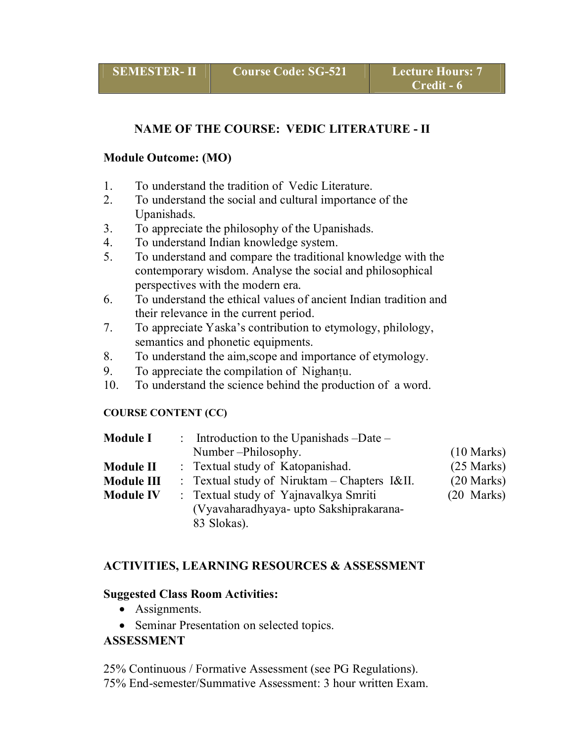## **NAME OF THE COURSE: VEDIC LITERATURE - II**

#### **Module Outcome: (MO)**

- 1. To understand the tradition of Vedic Literature.
- 2. To understand the social and cultural importance of the Upanishads.
- 3. To appreciate the philosophy of the Upanishads.
- 4. To understand Indian knowledge system.
- 5. To understand and compare the traditional knowledge with the contemporary wisdom. Analyse the social and philosophical perspectives with the modern era.
- 6. To understand the ethical values of ancient Indian tradition and their relevance in the current period.
- 7. To appreciate Yaska's contribution to etymology, philology, semantics and phonetic equipments.
- 8. To understand the aim,scope and importance of etymology.
- 9. To appreciate the compilation of Nighantu.
- 10. To understand the science behind the production of a word.

#### **COURSE CONTENT (CC)**

| <b>Module I</b>  | : Introduction to the Upanishads $-Date$ –                                                      |                      |
|------------------|-------------------------------------------------------------------------------------------------|----------------------|
|                  | Number-Philosophy.                                                                              | $(10 \text{ Marks})$ |
| <b>Module II</b> | : Textual study of Katopanishad.                                                                | $(25$ Marks)         |
| Module III       | : Textual study of Niruktam – Chapters $I\&II$ .                                                | $(20$ Marks)         |
| <b>Module IV</b> | : Textual study of Yajnavalkya Smriti<br>(Vyavaharadhyaya- upto Sakshiprakarana-<br>83 Slokas). | $(20$ Marks)         |

## **ACTIVITIES, LEARNING RESOURCES & ASSESSMENT**

#### **Suggested Class Room Activities:**

- Assignments.
- Seminar Presentation on selected topics.

## **ASSESSMENT**

25% Continuous / Formative Assessment (see PG Regulations). 75% End-semester/Summative Assessment: 3 hour written Exam.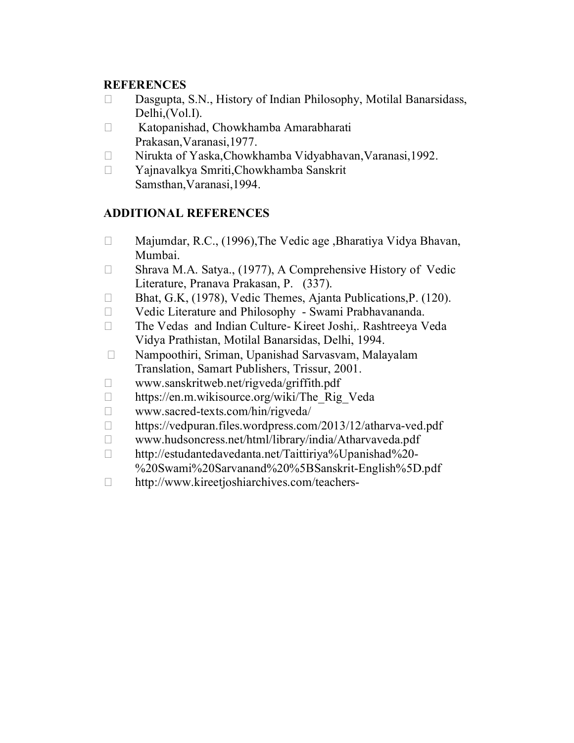## **REFERENCES**

- $\square$  Dasgupta, S.N., History of Indian Philosophy, Motilal Banarsidass, Delhi,(Vol.I).
- □ Katopanishad, Chowkhamba Amarabharati Prakasan,Varanasi,1977.
- □ Nirukta of Yaska,Chowkhamba Vidyabhavan,Varanasi,1992.
- Yajnavalkya Smriti,Chowkhamba Sanskrit Samsthan,Varanasi,1994.

- □ Majumdar, R.C., (1996), The Vedic age , Bharatiya Vidya Bhavan, Mumbai.
- □ Shrava M.A. Satya., (1977), A Comprehensive History of Vedic Literature, Pranava Prakasan, P. (337).
- □ Bhat, G.K, (1978), Vedic Themes, Ajanta Publications, P. (120).
- Vedic Literature and Philosophy Swami Prabhavananda.
- The Vedas and Indian Culture- Kireet Joshi,. Rashtreeya Veda Vidya Prathistan, Motilal Banarsidas, Delhi, 1994.
- Nampoothiri, Sriman, Upanishad Sarvasvam, Malayalam Translation, Samart Publishers, Trissur, 2001.
- $\Box$  www.sanskritweb.net/rigveda/griffith.pdf
- □ https://en.m.wikisource.org/wiki/The Rig Veda
- www.sacred-texts.com/hin/rigveda/
- □ https://vedpuran.files.wordpress.com/2013/12/atharva-ved.pdf
- www.hudsoncress.net/html/library/india/Atharvaveda.pdf
- http://estudantedavedanta.net/Taittiriya%Upanishad%20-
- %20Swami%20Sarvanand%20%5BSanskrit-English%5D.pdf
- □ http://www.kireetjoshiarchives.com/teachers-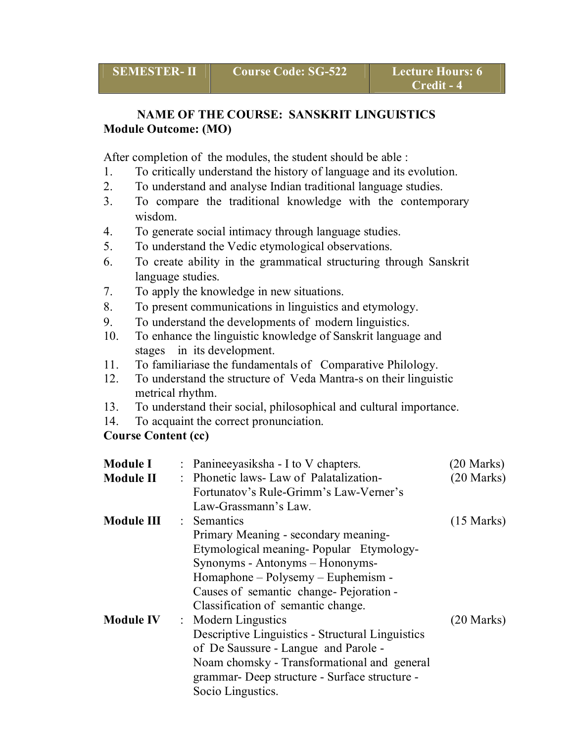## **NAME OF THE COURSE: SANSKRIT LINGUISTICS Module Outcome: (MO)**

After completion of the modules, the student should be able :

- 1. To critically understand the history of language and its evolution.
- 2. To understand and analyse Indian traditional language studies.
- 3. To compare the traditional knowledge with the contemporary wisdom.
- 4. To generate social intimacy through language studies.
- 5. To understand the Vedic etymological observations.
- 6. To create ability in the grammatical structuring through Sanskrit language studies.
- 7. To apply the knowledge in new situations.
- 8. To present communications in linguistics and etymology.
- 9. To understand the developments of modern linguistics.
- 10. To enhance the linguistic knowledge of Sanskrit language and stages in its development.
- 11. To familiariase the fundamentals of Comparative Philology.
- 12. To understand the structure of Veda Mantra-s on their linguistic metrical rhythm.
- 13. To understand their social, philosophical and cultural importance.
- 14. To acquaint the correct pronunciation.

## **Course Content (cc)**

| <b>Module I</b>   | : Panineeyasiksha - I to V chapters.             | $(20$ Marks)         |
|-------------------|--------------------------------------------------|----------------------|
| <b>Module II</b>  | : Phonetic laws- Law of Palatalization-          | $(20$ Marks)         |
|                   | Fortunatov's Rule-Grimm's Law-Verner's           |                      |
|                   | Law-Grassmann's Law.                             |                      |
| <b>Module III</b> | $\therefore$ Semantics                           | $(15 \text{ Marks})$ |
|                   | Primary Meaning - secondary meaning-             |                      |
|                   | Etymological meaning-Popular Etymology-          |                      |
|                   | Synonyms - Antonyms - Hononyms-                  |                      |
|                   | Homaphone – Polysemy – Euphemism -               |                      |
|                   | Causes of semantic change-Pejoration -           |                      |
|                   | Classification of semantic change.               |                      |
| <b>Module IV</b>  | : Modern Lingustics                              | $(20$ Marks)         |
|                   | Descriptive Linguistics - Structural Linguistics |                      |
|                   | of De Saussure - Langue and Parole -             |                      |
|                   | Noam chomsky - Transformational and general      |                      |
|                   | grammar- Deep structure - Surface structure -    |                      |
|                   | Socio Lingustics.                                |                      |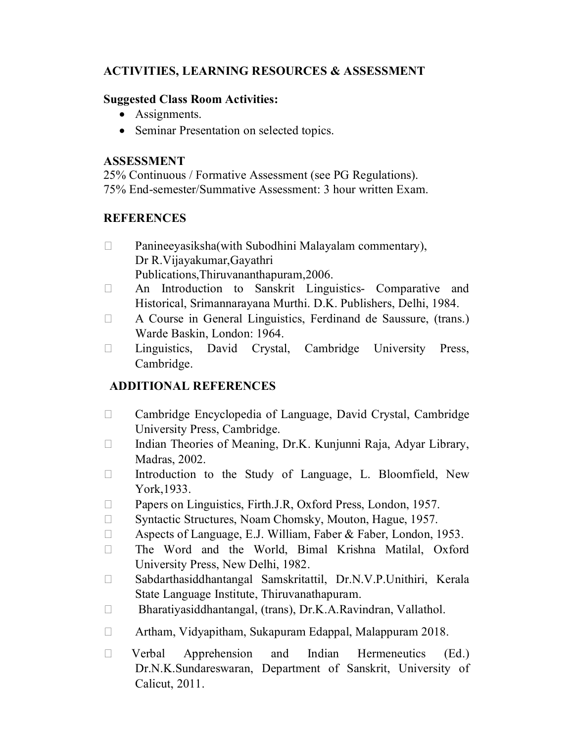# **ACTIVITIES, LEARNING RESOURCES & ASSESSMENT**

## **Suggested Class Room Activities:**

- Assignments.
- Seminar Presentation on selected topics.

# **ASSESSMENT**

25% Continuous / Formative Assessment (see PG Regulations). 75% End-semester/Summative Assessment: 3 hour written Exam.

# **REFERENCES**

- $\Box$  Panineeyasiksha(with Subodhini Malayalam commentary), Dr R.Vijayakumar,Gayathri Publications,Thiruvananthapuram,2006.
- An Introduction to Sanskrit Linguistics- Comparative and Historical, Srimannarayana Murthi. D.K. Publishers, Delhi, 1984.
- A Course in General Linguistics, Ferdinand de Saussure, (trans.) Warde Baskin, London: 1964.
- Linguistics, David Crystal, Cambridge University Press, Cambridge.

- Cambridge Encyclopedia of Language, David Crystal, Cambridge University Press, Cambridge.
- $\Box$  Indian Theories of Meaning, Dr.K. Kunjunni Raja, Adyar Library, Madras, 2002.
- Introduction to the Study of Language, L. Bloomfield, New York,1933.
- □ Papers on Linguistics, Firth.J.R, Oxford Press, London, 1957.
- □ Syntactic Structures, Noam Chomsky, Mouton, Hague, 1957.
- □ Aspects of Language, E.J. William, Faber & Faber, London, 1953.
- The Word and the World, Bimal Krishna Matilal, Oxford University Press, New Delhi, 1982.
- □ Sabdarthasiddhantangal Samskritattil, Dr.N.V.P.Unithiri, Kerala State Language Institute, Thiruvanathapuram.
- Bharatiyasiddhantangal, (trans), Dr.K.A.Ravindran, Vallathol.
- Artham, Vidyapitham, Sukapuram Edappal, Malappuram 2018.
- Verbal Apprehension and Indian Hermeneutics (Ed.) Dr.N.K.Sundareswaran, Department of Sanskrit, University of Calicut, 2011.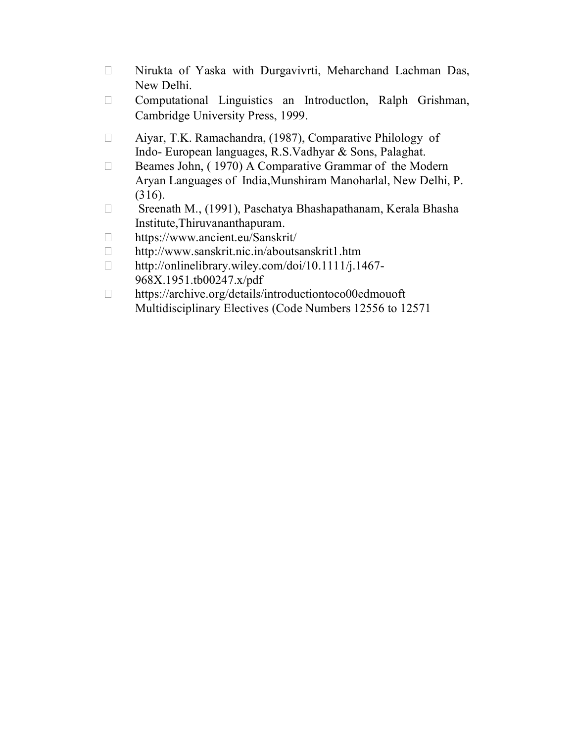- Nirukta of Yaska with Durgavivrti, Meharchand Lachman Das, New Delhi.
- Computational Linguistics an Introductlon, Ralph Grishman, Cambridge University Press, 1999.
- Aiyar, T.K. Ramachandra, (1987), Comparative Philology of Indo- European languages, R.S.Vadhyar & Sons, Palaghat.
- □ Beames John, (1970) A Comparative Grammar of the Modern Aryan Languages of India,Munshiram Manoharlal, New Delhi, P. (316).
- □ Sreenath M., (1991), Paschatya Bhashapathanam, Kerala Bhasha Institute,Thiruvananthapuram.
- https://www.ancient.eu/Sanskrit/
- http://www.sanskrit.nic.in/aboutsanskrit1.htm
- $\Box$  http://onlinelibrary.wiley.com/doi/10.1111/j.1467-968X.1951.tb00247.x/pdf
- □ https://archive.org/details/introductiontoco00edmouoft Multidisciplinary Electives (Code Numbers 12556 to 12571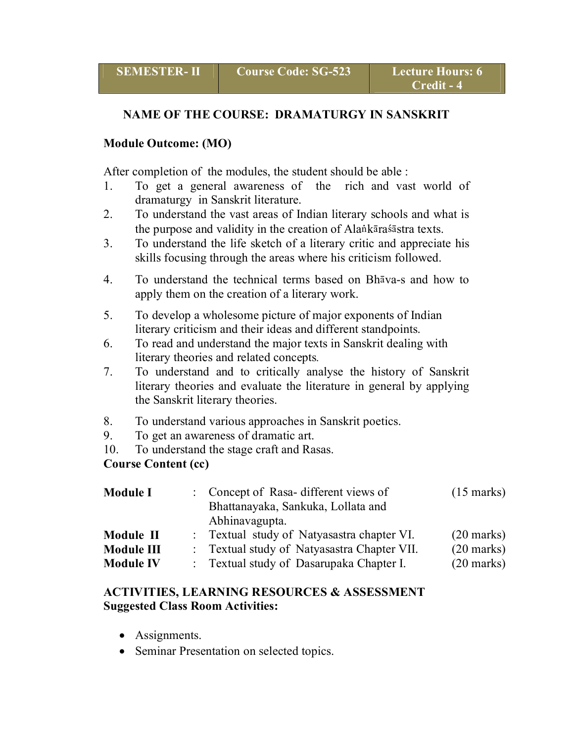## **NAME OF THE COURSE: DRAMATURGY IN SANSKRIT**

## **Module Outcome: (MO)**

After completion of the modules, the student should be able :

- 1. To get a general awareness of the rich and vast world of dramaturgy in Sanskrit literature.
- 2. To understand the vast areas of Indian literary schools and what is the purpose and validity in the creation of Alankara sastra texts.
- 3. To understand the life sketch of a literary critic and appreciate his skills focusing through the areas where his criticism followed.
- 4. To understand the technical terms based on Bh $\bar{a}$ va-s and how to apply them on the creation of a literary work.
- 5. To develop a wholesome picture of major exponents of Indian literary criticism and their ideas and different standpoints.
- 6. To read and understand the major texts in Sanskrit dealing with literary theories and related concepts*.*
- 7. To understand and to critically analyse the history of Sanskrit literary theories and evaluate the literature in general by applying the Sanskrit literary theories.
- 8. To understand various approaches in Sanskrit poetics.
- 9. To get an awareness of dramatic art.
- 10. To understand the stage craft and Rasas.

## **Course Content (cc)**

| <b>Module I</b>  | : Concept of Rasa-different views of<br>Bhattanayaka, Sankuka, Lollata and<br>Abhinavagupta. | $(15 \text{ marks})$ |
|------------------|----------------------------------------------------------------------------------------------|----------------------|
| Module II        | : Textual study of Natyasastra chapter VI.                                                   | $(20$ marks)         |
| Module III       | : Textual study of Natyasastra Chapter VII.                                                  | $(20$ marks)         |
| <b>Module IV</b> | : Textual study of Dasarupaka Chapter I.                                                     | $(20$ marks)         |

## **ACTIVITIES, LEARNING RESOURCES & ASSESSMENT Suggested Class Room Activities:**

- Assignments.
- Seminar Presentation on selected topics.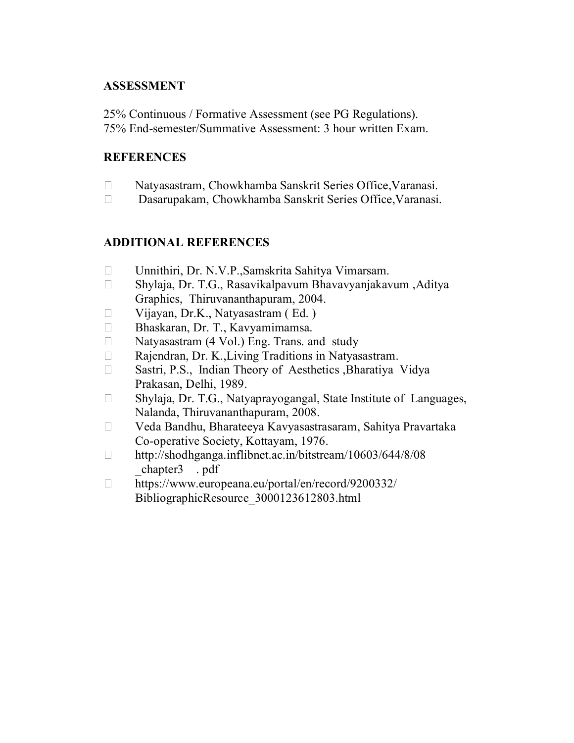## **ASSESSMENT**

25% Continuous / Formative Assessment (see PG Regulations). 75% End-semester/Summative Assessment: 3 hour written Exam.

#### **REFERENCES**

- Natyasastram, Chowkhamba Sanskrit Series Office,Varanasi.
- Dasarupakam, Chowkhamba Sanskrit Series Office,Varanasi.

- □ Unnithiri, Dr. N.V.P., Samskrita Sahitya Vimarsam.
- Shylaja, Dr. T.G., Rasavikalpavum Bhavavyanjakavum ,Aditya Graphics, Thiruvananthapuram, 2004.
- $\Box$  Vijayan, Dr.K., Natyasastram (Ed.)
- □ Bhaskaran, Dr. T., Kavyamimamsa.
- $\Box$  Natyasastram (4 Vol.) Eng. Trans. and study
- $\Box$  Rajendran, Dr. K., Living Traditions in Natyasastram.
- □ Sastri, P.S., Indian Theory of Aesthetics ,Bharatiya Vidya Prakasan, Delhi, 1989.
- □ Shylaja, Dr. T.G., Natyaprayogangal, State Institute of Languages, Nalanda, Thiruvananthapuram, 2008.
- Veda Bandhu, Bharateeya Kavyasastrasaram, Sahitya Pravartaka Co-operative Society, Kottayam, 1976.
- http://shodhganga.inflibnet.ac.in/bitstream/10603/644/8/08 \_chapter3 . pdf
- https://www.europeana.eu/portal/en/record/9200332/ BibliographicResource\_3000123612803.html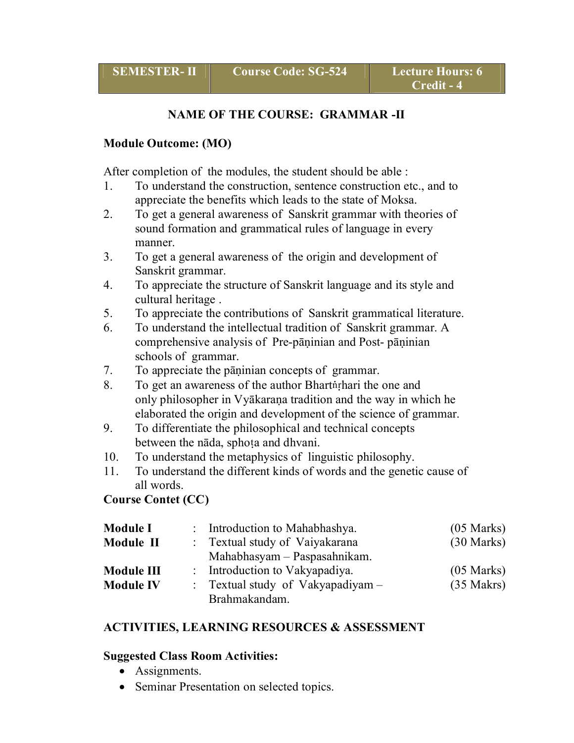## **NAME OF THE COURSE: GRAMMAR -II**

#### **Module Outcome: (MO)**

After completion of the modules, the student should be able :

- 1. To understand the construction, sentence construction etc., and to appreciate the benefits which leads to the state of Moksa.
- 2. To get a general awareness of Sanskrit grammar with theories of sound formation and grammatical rules of language in every manner.
- 3. To get a general awareness of the origin and development of Sanskrit grammar.
- 4. To appreciate the structure of Sanskrit language and its style and cultural heritage .
- 5. To appreciate the contributions of Sanskrit grammatical literature.
- 6. To understand the intellectual tradition of Sanskrit grammar. A comprehensive analysis of Pre-pāṇinian and Post- pāṇinian schools of grammar.
- 7. To appreciate the pāṇinian concepts of grammar.
- 8. To get an awareness of the author Bhartnighari the one and only philosopher in Vyākaraṇa tradition and the way in which he elaborated the origin and development of the science of grammar.
- 9. To differentiate the philosophical and technical concepts between the nāda, sphoța and dhvani.
- 10. To understand the metaphysics of linguistic philosophy.
- 11. To understand the different kinds of words and the genetic cause of all words.

## **Course Contet (CC)**

| <b>Module I</b>  | : Introduction to Mahabhashya.    | $(05$ Marks)         |
|------------------|-----------------------------------|----------------------|
| Module II        | : Textual study of Vaiyakarana    | $(30 \text{ Marks})$ |
|                  | Mahabhasyam – Paspasahnikam.      |                      |
| Module III       | : Introduction to Vakyapadiya.    | $(05$ Marks)         |
| <b>Module IV</b> | : Textual study of Vakyapadiyam - | $(35$ Makrs)         |
|                  | Brahmakandam.                     |                      |

## **ACTIVITIES, LEARNING RESOURCES & ASSESSMENT**

#### **Suggested Class Room Activities:**

- Assignments.
- Seminar Presentation on selected topics.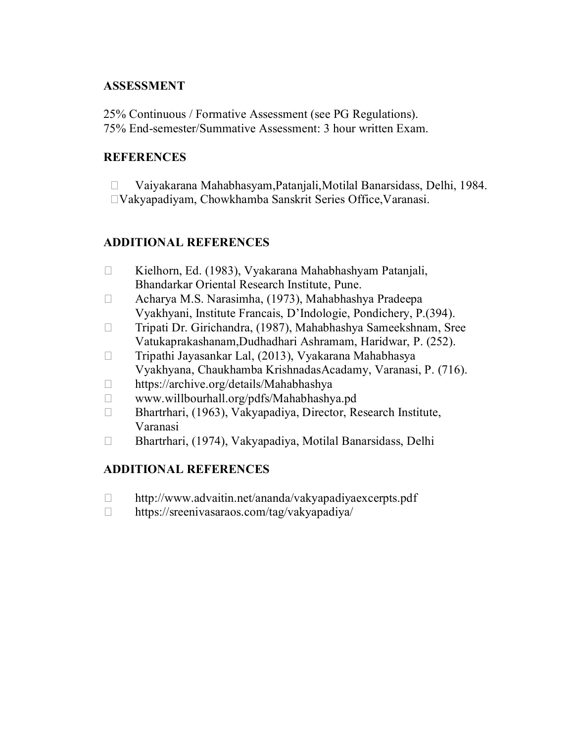## **ASSESSMENT**

25% Continuous / Formative Assessment (see PG Regulations). 75% End-semester/Summative Assessment: 3 hour written Exam.

## **REFERENCES**

 Vaiyakarana Mahabhasyam,Patanjali,Motilal Banarsidass, Delhi, 1984. Vakyapadiyam, Chowkhamba Sanskrit Series Office,Varanasi.

# **ADDITIONAL REFERENCES**

- □ Kielhorn, Ed. (1983), Vyakarana Mahabhashyam Patanjali, Bhandarkar Oriental Research Institute, Pune.
- Acharya M.S. Narasimha, (1973), Mahabhashya Pradeepa Vyakhyani, Institute Francais, D'Indologie, Pondichery, P.(394).
- Tripati Dr. Girichandra, (1987), Mahabhashya Sameekshnam, Sree Vatukaprakashanam,Dudhadhari Ashramam, Haridwar, P. (252).
- $\Box$  Tripathi Jayasankar Lal, (2013), Vyakarana Mahabhasya Vyakhyana, Chaukhamba KrishnadasAcadamy, Varanasi, P. (716).
- □ https://archive.org/details/Mahabhashya
- www.willbourhall.org/pdfs/Mahabhashya.pd
- □ Bhartrhari, (1963), Vakyapadiya, Director, Research Institute, Varanasi
- Bhartrhari, (1974), Vakyapadiya, Motilal Banarsidass, Delhi

- http://www.advaitin.net/ananda/vakyapadiyaexcerpts.pdf
- https://sreenivasaraos.com/tag/vakyapadiya/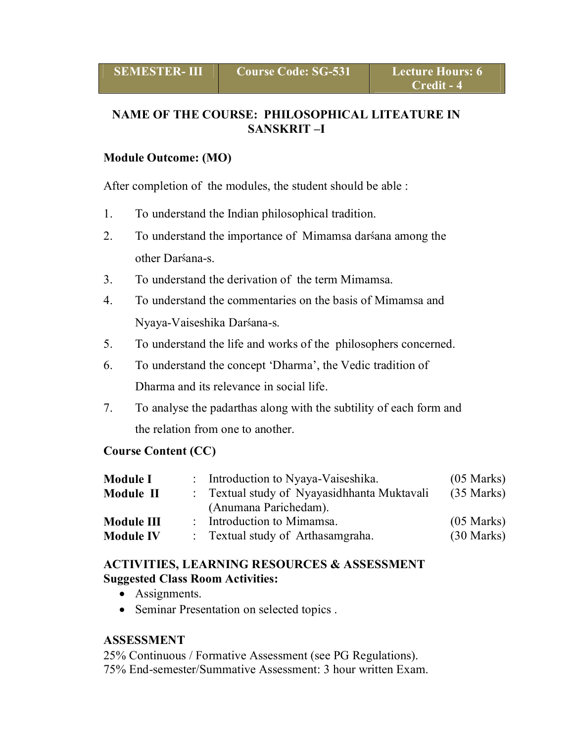# **NAME OF THE COURSE: PHILOSOPHICAL LITEATURE IN SANSKRIT –I**

#### **Module Outcome: (MO)**

After completion of the modules, the student should be able :

- 1. To understand the Indian philosophical tradition.
- 2. To understand the importance of Mimamsa darsana among the other Darsana-s.
- 3. To understand the derivation of the term Mimamsa.
- 4. To understand the commentaries on the basis of Mimamsa and Nyaya-Vaiseshika Darsana-s.
- 5. To understand the life and works of the philosophers concerned.
- 6. To understand the concept 'Dharma', the Vedic tradition of Dharma and its relevance in social life.
- 7. To analyse the padarthas along with the subtility of each form and the relation from one to another.

#### **Course Content (CC)**

| <b>Module I</b>  | : Introduction to Nyaya-Vaiseshika.         | $(05 \text{ Marks})$ |
|------------------|---------------------------------------------|----------------------|
| Module II        | : Textual study of Nyayasidhhanta Muktavali | $(35 \text{ Marks})$ |
|                  | (Anumana Parichedam).                       |                      |
| Module III       | : Introduction to Mimamsa.                  | $(05$ Marks)         |
| <b>Module IV</b> | : Textual study of Arthasamgraha.           | $(30 \text{ Marks})$ |

#### **ACTIVITIES, LEARNING RESOURCES & ASSESSMENT Suggested Class Room Activities:**

- Assignments.
- Seminar Presentation on selected topics.

#### **ASSESSMENT**

25% Continuous / Formative Assessment (see PG Regulations). 75% End-semester/Summative Assessment: 3 hour written Exam.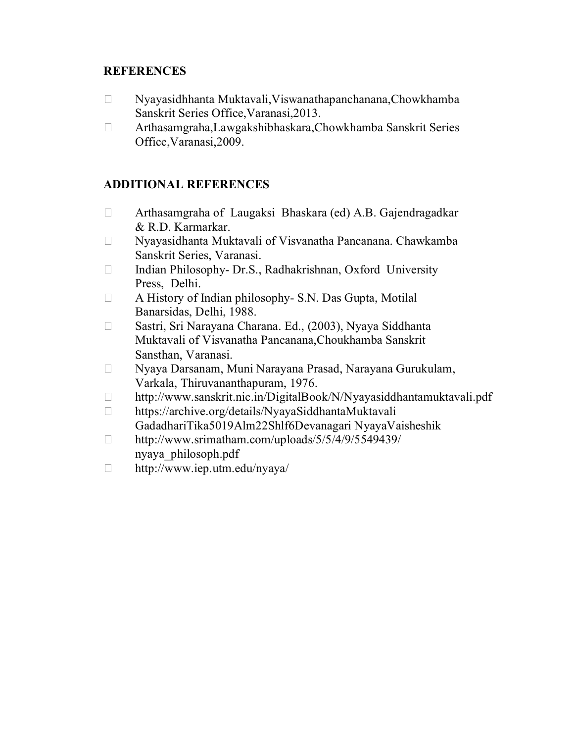## **REFERENCES**

- Nyayasidhhanta Muktavali,Viswanathapanchanana,Chowkhamba Sanskrit Series Office,Varanasi,2013.
- Arthasamgraha,Lawgakshibhaskara,Chowkhamba Sanskrit Series Office,Varanasi,2009.

- Arthasamgraha of Laugaksi Bhaskara (ed) A.B. Gajendragadkar & R.D. Karmarkar.
- Nyayasidhanta Muktavali of Visvanatha Pancanana. Chawkamba Sanskrit Series, Varanasi.
- $\Box$  Indian Philosophy- Dr.S., Radhakrishnan, Oxford University Press, Delhi.
- $\Box$  A History of Indian philosophy- S.N. Das Gupta, Motilal Banarsidas, Delhi, 1988.
- Sastri, Sri Narayana Charana. Ed., (2003), Nyaya Siddhanta Muktavali of Visvanatha Pancanana,Choukhamba Sanskrit Sansthan, Varanasi.
- Nyaya Darsanam, Muni Narayana Prasad, Narayana Gurukulam, Varkala, Thiruvananthapuram, 1976.
- http://www.sanskrit.nic.in/DigitalBook/N/Nyayasiddhantamuktavali.pdf
- □ https://archive.org/details/NyayaSiddhantaMuktavali GadadhariTika5019Alm22Shlf6Devanagari NyayaVaisheshik
- http://www.srimatham.com/uploads/5/5/4/9/5549439/ nyaya\_philosoph.pdf
- http://www.iep.utm.edu/nyaya/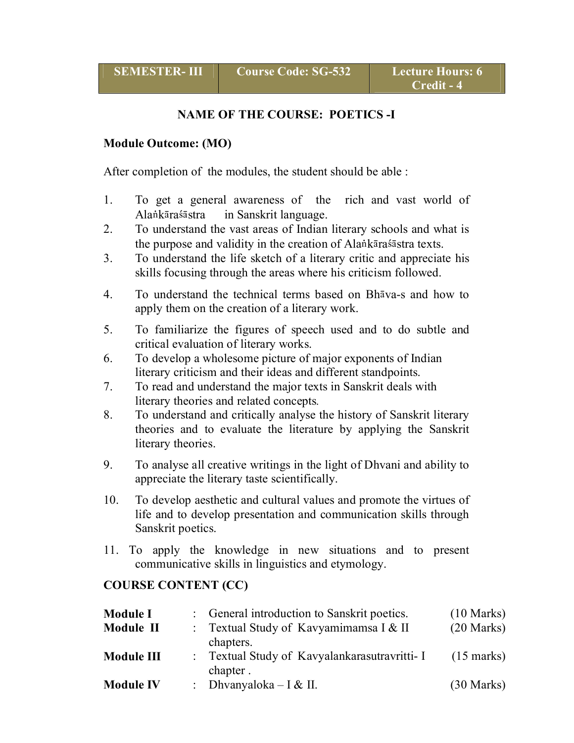## **NAME OF THE COURSE: POETICS -I**

#### **Module Outcome: (MO)**

After completion of the modules, the student should be able :

- 1. To get a general awareness of the rich and vast world of Alankāraśāstra in Sanskrit language.
- 2. To understand the vast areas of Indian literary schools and what is the purpose and validity in the creation of Alankara sastra texts.
- 3. To understand the life sketch of a literary critic and appreciate his skills focusing through the areas where his criticism followed.
- 4. To understand the technical terms based on Bh $\bar{a}$ va-s and how to apply them on the creation of a literary work.
- 5. To familiarize the figures of speech used and to do subtle and critical evaluation of literary works.
- 6. To develop a wholesome picture of major exponents of Indian literary criticism and their ideas and different standpoints.
- 7. To read and understand the major texts in Sanskrit deals with literary theories and related concepts*.*
- 8. To understand and critically analyse the history of Sanskrit literary theories and to evaluate the literature by applying the Sanskrit literary theories.
- 9. To analyse all creative writings in the light of Dhvani and ability to appreciate the literary taste scientifically.
- 10. To develop aesthetic and cultural values and promote the virtues of life and to develop presentation and communication skills through Sanskrit poetics.
- 11. To apply the knowledge in new situations and to present communicative skills in linguistics and etymology.

## **COURSE CONTENT (CC)**

| <b>Module I</b>  | : General introduction to Sanskrit poetics.               | $(10 \text{ Marks})$ |
|------------------|-----------------------------------------------------------|----------------------|
| Module II        | : Textual Study of Kavyamimamsa I & II<br>chapters.       | $(20$ Marks)         |
| Module III       | : Textual Study of Kavyalankarasutravritti- I<br>chapter. | $(15 \text{ marks})$ |
| <b>Module IV</b> | : Dhvanyaloka – I & II.                                   | $(30 \text{ Marks})$ |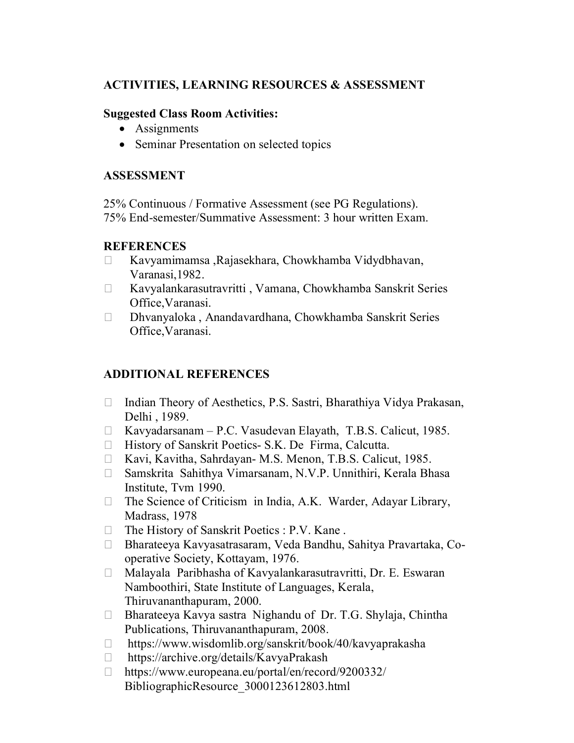## **ACTIVITIES, LEARNING RESOURCES & ASSESSMENT**

#### **Suggested Class Room Activities:**

- Assignments
- Seminar Presentation on selected topics

## **ASSESSMENT**

25% Continuous / Formative Assessment (see PG Regulations). 75% End-semester/Summative Assessment: 3 hour written Exam.

## **REFERENCES**

- Kavyamimamsa ,Rajasekhara, Chowkhamba Vidydbhavan, Varanasi,1982.
- Kavyalankarasutravritti , Vamana, Chowkhamba Sanskrit Series Office,Varanasi.
- Dhvanyaloka , Anandavardhana, Chowkhamba Sanskrit Series Office,Varanasi.

- $\Box$  Indian Theory of Aesthetics, P.S. Sastri, Bharathiya Vidya Prakasan, Delhi , 1989.
- Kavyadarsanam P.C. Vasudevan Elayath, T.B.S. Calicut, 1985.
- $\Box$  History of Sanskrit Poetics- S.K. De Firma, Calcutta.
- □ Kavi, Kavitha, Sahrdayan- M.S. Menon, T.B.S. Calicut, 1985.
- □ Samskrita Sahithya Vimarsanam, N.V.P. Unnithiri, Kerala Bhasa Institute, Tvm 1990.
- $\Box$  The Science of Criticism in India, A.K. Warder, Adayar Library, Madrass, 1978
- $\Box$  The History of Sanskrit Poetics : P.V. Kane.
- Bharateeya Kavyasatrasaram, Veda Bandhu, Sahitya Pravartaka, Cooperative Society, Kottayam, 1976.
- Malayala Paribhasha of Kavyalankarasutravritti, Dr. E. Eswaran Namboothiri, State Institute of Languages, Kerala, Thiruvananthapuram, 2000.
- $\Box$  Bharateeya Kavya sastra Nighandu of Dr. T.G. Shylaja, Chintha Publications, Thiruvananthapuram, 2008.
- □ https://www.wisdomlib.org/sanskrit/book/40/kavyaprakasha
- □ https://archive.org/details/KavyaPrakash
- https://www.europeana.eu/portal/en/record/9200332/ BibliographicResource\_3000123612803.html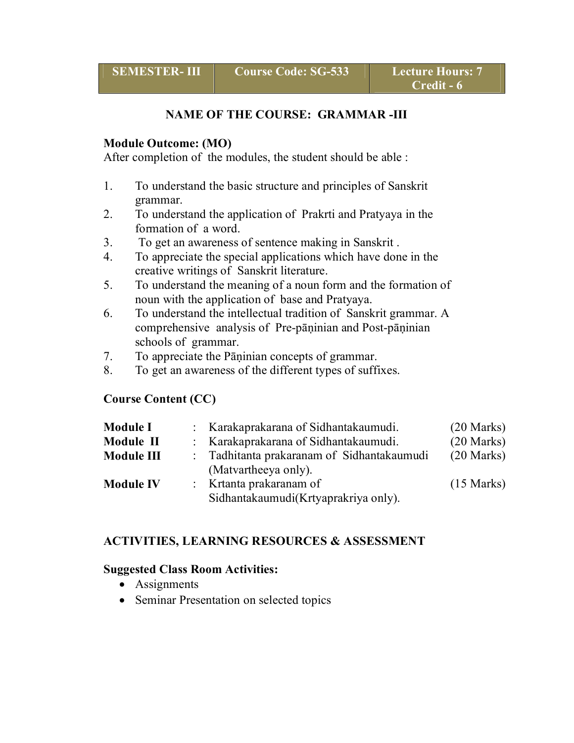## **NAME OF THE COURSE: GRAMMAR -III**

#### **Module Outcome: (MO)**

After completion of the modules, the student should be able :

- 1. To understand the basic structure and principles of Sanskrit grammar.
- 2. To understand the application of Prakrti and Pratyaya in the formation of a word.
- 3. To get an awareness of sentence making in Sanskrit .
- 4. To appreciate the special applications which have done in the creative writings of Sanskrit literature.
- 5. To understand the meaning of a noun form and the formation of noun with the application of base and Pratyaya.
- 6. To understand the intellectual tradition of Sanskrit grammar. A comprehensive analysis of Pre-pāṇinian and Post-pāṇinian schools of grammar.
- 7. To appreciate the Pāṇinian concepts of grammar.
- 8. To get an awareness of the different types of suffixes.

## **Course Content (CC)**

| <b>Module I</b>  | : Karakaprakarana of Sidhantakaumudi.      | $(20$ Marks)         |
|------------------|--------------------------------------------|----------------------|
| Module II        | : Karakaprakarana of Sidhantakaumudi.      | $(20$ Marks)         |
| Module III       | : Tadhitanta prakaranam of Sidhantakaumudi | $(20$ Marks)         |
|                  | (Matvartheeya only).                       |                      |
| <b>Module IV</b> | : Krtanta prakaranam of                    | $(15 \text{ Marks})$ |
|                  | Sidhantakaumudi(Krtyaprakriya only).       |                      |

## **ACTIVITIES, LEARNING RESOURCES & ASSESSMENT**

#### **Suggested Class Room Activities:**

- Assignments
- Seminar Presentation on selected topics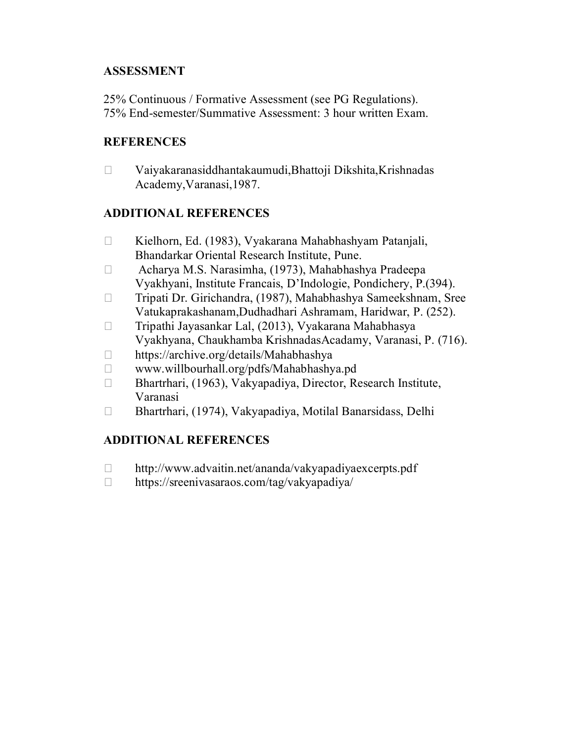# **ASSESSMENT**

25% Continuous / Formative Assessment (see PG Regulations). 75% End-semester/Summative Assessment: 3 hour written Exam.

## **REFERENCES**

 Vaiyakaranasiddhantakaumudi,Bhattoji Dikshita,Krishnadas Academy,Varanasi,1987.

# **ADDITIONAL REFERENCES**

- Kielhorn, Ed. (1983), Vyakarana Mahabhashyam Patanjali, Bhandarkar Oriental Research Institute, Pune.
- Acharya M.S. Narasimha, (1973), Mahabhashya Pradeepa Vyakhyani, Institute Francais, D'Indologie, Pondichery, P.(394).
- Tripati Dr. Girichandra, (1987), Mahabhashya Sameekshnam, Sree Vatukaprakashanam,Dudhadhari Ashramam, Haridwar, P. (252).
- Tripathi Jayasankar Lal, (2013), Vyakarana Mahabhasya Vyakhyana, Chaukhamba KrishnadasAcadamy, Varanasi, P. (716).
- □ https://archive.org/details/Mahabhashya
- www.willbourhall.org/pdfs/Mahabhashya.pd
- □ Bhartrhari, (1963), Vakyapadiya, Director, Research Institute, Varanasi
- Bhartrhari, (1974), Vakyapadiya, Motilal Banarsidass, Delhi

- http://www.advaitin.net/ananda/vakyapadiyaexcerpts.pdf
- □ https://sreenivasaraos.com/tag/vakyapadiya/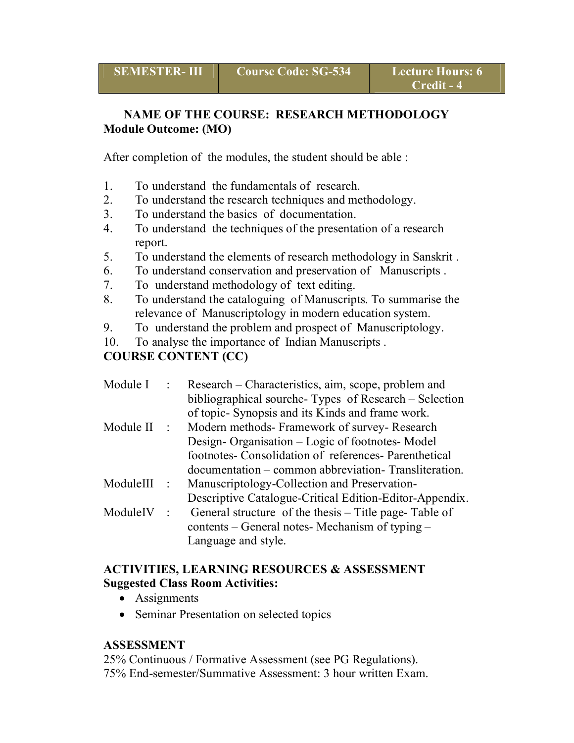# **NAME OF THE COURSE: RESEARCH METHODOLOGY Module Outcome: (MO)**

After completion of the modules, the student should be able :

- 1. To understand the fundamentals of research.
- 2. To understand the research techniques and methodology.
- 3. To understand the basics of documentation.
- 4. To understand the techniques of the presentation of a research report.
- 5. To understand the elements of research methodology in Sanskrit .
- 6. To understand conservation and preservation of Manuscripts .
- 7. To understand methodology of text editing.
- 8. To understand the cataloguing of Manuscripts. To summarise the relevance of Manuscriptology in modern education system.
- 9. To understand the problem and prospect of Manuscriptology.
- 10. To analyse the importance of Indian Manuscripts .

# **COURSE CONTENT (CC)**

| Module I  |                 | Research – Characteristics, aim, scope, problem and<br>bibliographical sourche-Types of Research – Selection<br>of topic-Synopsis and its Kinds and frame work.                                                   |
|-----------|-----------------|-------------------------------------------------------------------------------------------------------------------------------------------------------------------------------------------------------------------|
| Module II | $\sim 10^{-1}$  | Modern methods- Framework of survey- Research<br>Design-Organisation – Logic of footnotes-Model<br>footnotes- Consolidation of references- Parenthetical<br>documentation – common abbreviation. Transliteration. |
| ModuleIII | $\frac{1}{2}$ . | Manuscriptology-Collection and Preservation-<br>Descriptive Catalogue-Critical Edition-Editor-Appendix.                                                                                                           |
| ModuleIV  | $\cdot$         | General structure of the thesis – Title page-Table of<br>contents – General notes- Mechanism of typing –<br>Language and style.                                                                                   |

#### **ACTIVITIES, LEARNING RESOURCES & ASSESSMENT Suggested Class Room Activities:**

- Assignments
- Seminar Presentation on selected topics

# **ASSESSMENT**

25% Continuous / Formative Assessment (see PG Regulations). 75% End-semester/Summative Assessment: 3 hour written Exam.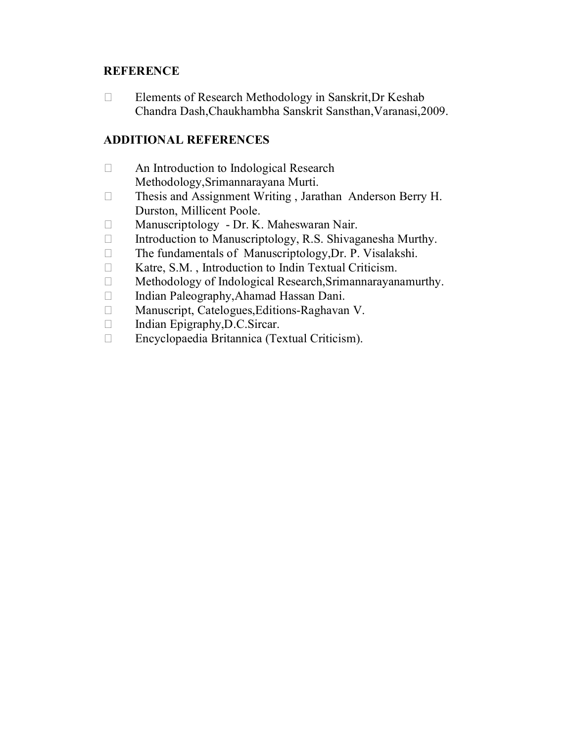## **REFERENCE**

□ Elements of Research Methodology in Sanskrit, Dr Keshab Chandra Dash,Chaukhambha Sanskrit Sansthan,Varanasi,2009.

- □ An Introduction to Indological Research Methodology,Srimannarayana Murti.
- Thesis and Assignment Writing , Jarathan Anderson Berry H. Durston, Millicent Poole.
- □ Manuscriptology Dr. K. Maheswaran Nair.
- $\Box$  Introduction to Manuscriptology, R.S. Shivaganesha Murthy.
- $\Box$  The fundamentals of Manuscriptology, Dr. P. Visalakshi.
- Katre, S.M. , Introduction to Indin Textual Criticism.
- Methodology of Indological Research,Srimannarayanamurthy.
- □ Indian Paleography,Ahamad Hassan Dani.
- □ Manuscript, Catelogues, Editions-Raghavan V.
- □ Indian Epigraphy, D.C.Sircar.
- Encyclopaedia Britannica (Textual Criticism).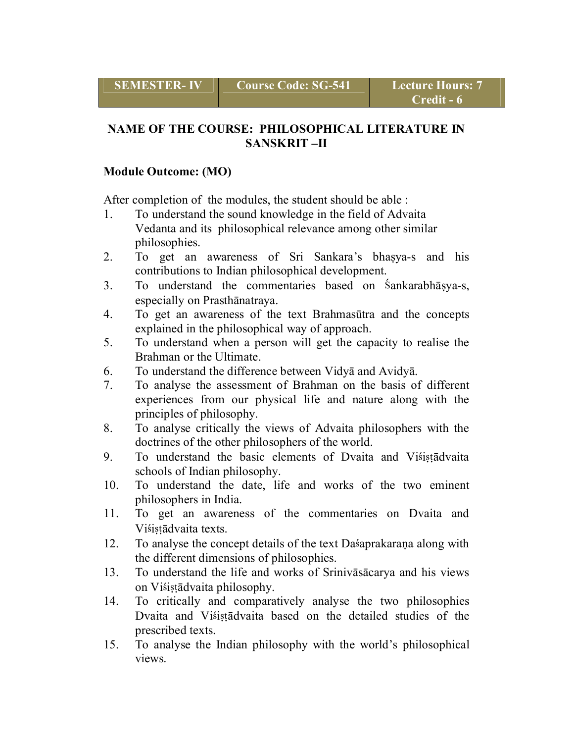# **NAME OF THE COURSE: PHILOSOPHICAL LITERATURE IN SANSKRIT –II**

## **Module Outcome: (MO)**

After completion of the modules, the student should be able :

- 1. To understand the sound knowledge in the field of Advaita Vedanta and its philosophical relevance among other similar philosophies.
- 2. To get an awareness of Sri Sankara's bhaṣya-s and his contributions to Indian philosophical development.
- 3. To understand the commentaries based on áankarabhāṣya-s, especially on Prasthānatraya.
- 4. To get an awareness of the text Brahmasūtra and the concepts explained in the philosophical way of approach.
- 5. To understand when a person will get the capacity to realise the Brahman or the Ultimate.
- 6. To understand the difference between Vidyā and Avidyā.
- 7. To analyse the assessment of Brahman on the basis of different experiences from our physical life and nature along with the principles of philosophy.
- 8. To analyse critically the views of Advaita philosophers with the doctrines of the other philosophers of the world.
- 9. To understand the basic elements of Dvaita and Visista dvaita schools of Indian philosophy.
- 10. To understand the date, life and works of the two eminent philosophers in India.
- 11. To get an awareness of the commentaries on Dvaita and Visistādvaita texts.
- 12. To analyse the concept details of the text Dasaprakarana along with the different dimensions of philosophies.
- 13. To understand the life and works of Srinivāsācarya and his views on Višistādvaita philosophy.
- 14. To critically and comparatively analyse the two philosophies Dvaita and Visista dvaita based on the detailed studies of the prescribed texts.
- 15. To analyse the Indian philosophy with the world's philosophical views.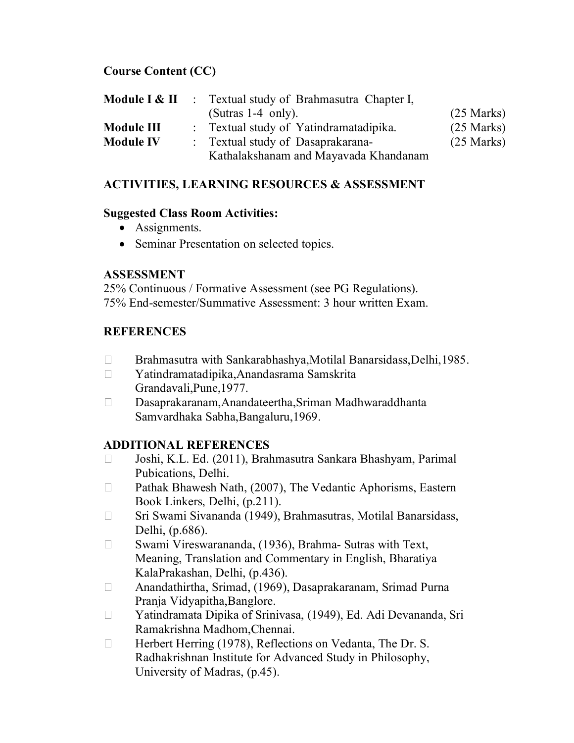## **Course Content (CC)**

|                   | <b>Module I &amp; II</b> : Textual study of Brahmasutra Chapter I,         |                      |
|-------------------|----------------------------------------------------------------------------|----------------------|
|                   | (Sutras $1-4$ only).                                                       | $(25$ Marks)         |
| <b>Module III</b> | : Textual study of Yatindramatadipika.                                     | $(25 \text{ Marks})$ |
| <b>Module IV</b>  | : Textual study of Dasaprakarana-<br>Kathalakshanam and Mayavada Khandanam | $(25$ Marks)         |

## **ACTIVITIES, LEARNING RESOURCES & ASSESSMENT**

#### **Suggested Class Room Activities:**

- Assignments.
- Seminar Presentation on selected topics.

# **ASSESSMENT**

25% Continuous / Formative Assessment (see PG Regulations). 75% End-semester/Summative Assessment: 3 hour written Exam.

# **REFERENCES**

- □ Brahmasutra with Sankarabhashya,Motilal Banarsidass,Delhi,1985.
- Yatindramatadipika,Anandasrama Samskrita Grandavali,Pune,1977.
- Dasaprakaranam,Anandateertha,Sriman Madhwaraddhanta Samvardhaka Sabha,Bangaluru,1969.

- Joshi, K.L. Ed. (2011), Brahmasutra Sankara Bhashyam, Parimal Pubications, Delhi.
- □ Pathak Bhawesh Nath, (2007), The Vedantic Aphorisms, Eastern Book Linkers, Delhi, (p.211).
- □ Sri Swami Sivananda (1949), Brahmasutras, Motilal Banarsidass, Delhi, (p.686).
- □ Swami Vireswarananda, (1936), Brahma- Sutras with Text, Meaning, Translation and Commentary in English, Bharatiya KalaPrakashan, Delhi, (p.436).
- Anandathirtha, Srimad, (1969), Dasaprakaranam, Srimad Purna Pranja Vidyapitha,Banglore.
- Yatindramata Dipika of Srinivasa, (1949), Ed. Adi Devananda, Sri Ramakrishna Madhom,Chennai.
- □ Herbert Herring (1978), Reflections on Vedanta, The Dr. S. Radhakrishnan Institute for Advanced Study in Philosophy, University of Madras, (p.45).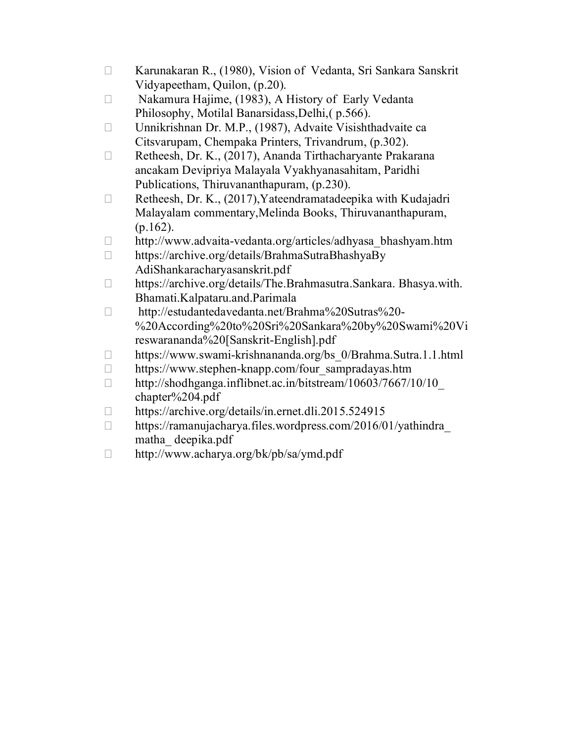- □ Karunakaran R., (1980), Vision of Vedanta, Sri Sankara Sanskrit Vidyapeetham, Quilon, (p.20).
- □ Nakamura Hajime, (1983), A History of Early Vedanta Philosophy, Motilal Banarsidass,Delhi,( p.566).
- □ Unnikrishnan Dr. M.P., (1987), Advaite Visishthadvaite ca Citsvarupam, Chempaka Printers, Trivandrum, (p.302).
- □ Retheesh, Dr. K., (2017), Ananda Tirthacharyante Prakarana ancakam Devipriya Malayala Vyakhyanasahitam, Paridhi Publications, Thiruvananthapuram, (p.230).
- $\Box$  Retheesh, Dr. K., (2017), Yateendramatadeepika with Kudajadri Malayalam commentary,Melinda Books, Thiruvananthapuram, (p.162).
- □ http://www.advaita-vedanta.org/articles/adhyasa\_bhashyam.htm
- https://archive.org/details/BrahmaSutraBhashyaBy AdiShankaracharyasanskrit.pdf
- □ https://archive.org/details/The.Brahmasutra.Sankara. Bhasya.with. Bhamati.Kalpataru.and.Parimala
- http://estudantedavedanta.net/Brahma%20Sutras%20- %20According%20to%20Sri%20Sankara%20by%20Swami%20Vi reswarananda%20[Sanskrit-English].pdf
- □ https://www.swami-krishnananda.org/bs 0/Brahma.Sutra.1.1.html
- □ https://www.stephen-knapp.com/four\_sampradayas.htm
- $\Box$ http://shodhganga.inflibnet.ac.in/bitstream/10603/7667/10/10 chapter%204.pdf
- □ https://archive.org/details/in.ernet.dli.2015.524915
- $\Box$  https://ramanujacharya.files.wordpress.com/2016/01/yathindra matha\_ deepika.pdf
- http://www.acharya.org/bk/pb/sa/ymd.pdf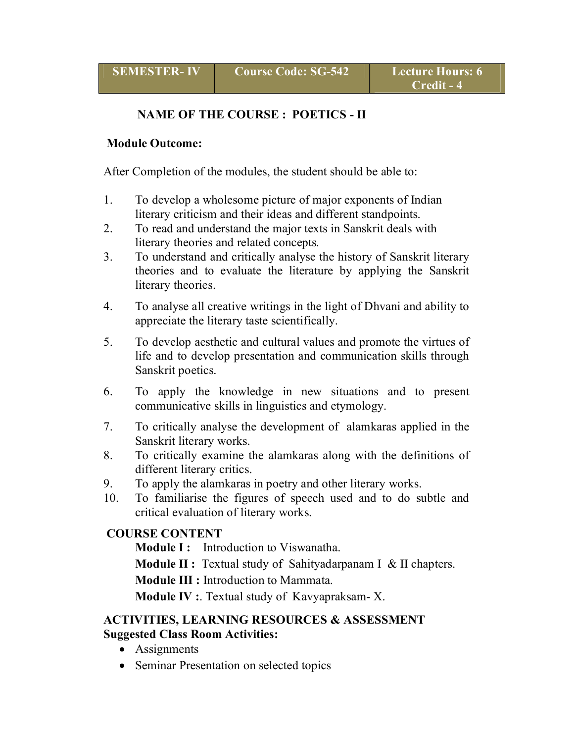#### **NAME OF THE COURSE : POETICS - II**

#### **Module Outcome:**

After Completion of the modules, the student should be able to:

- 1. To develop a wholesome picture of major exponents of Indian literary criticism and their ideas and different standpoints.
- 2. To read and understand the major texts in Sanskrit deals with literary theories and related concepts*.*
- 3. To understand and critically analyse the history of Sanskrit literary theories and to evaluate the literature by applying the Sanskrit literary theories.
- 4. To analyse all creative writings in the light of Dhvani and ability to appreciate the literary taste scientifically.
- 5. To develop aesthetic and cultural values and promote the virtues of life and to develop presentation and communication skills through Sanskrit poetics.
- 6. To apply the knowledge in new situations and to present communicative skills in linguistics and etymology.
- 7. To critically analyse the development of alamkaras applied in the Sanskrit literary works.
- 8. To critically examine the alamkaras along with the definitions of different literary critics.
- 9. To apply the alamkaras in poetry and other literary works.
- 10. To familiarise the figures of speech used and to do subtle and critical evaluation of literary works.

#### **COURSE CONTENT**

**Module I:** Introduction to Viswanatha.

**Module II :** Textual study of Sahityadarpanam I & II chapters.

**Module III :** Introduction to Mammata.

**Module IV :**. Textual study of Kavyapraksam- X.

#### **ACTIVITIES, LEARNING RESOURCES & ASSESSMENT Suggested Class Room Activities:**

- Assignments
- Seminar Presentation on selected topics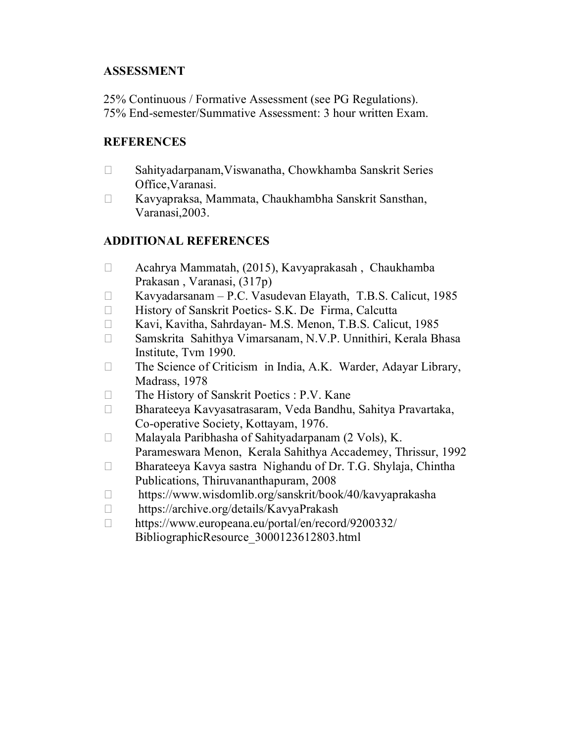#### **ASSESSMENT**

25% Continuous / Formative Assessment (see PG Regulations). 75% End-semester/Summative Assessment: 3 hour written Exam.

#### **REFERENCES**

- Sahityadarpanam,Viswanatha, Chowkhamba Sanskrit Series Office,Varanasi.
- Kavyapraksa, Mammata, Chaukhambha Sanskrit Sansthan, Varanasi,2003.

- Acahrya Mammatah, (2015), Kavyaprakasah , Chaukhamba Prakasan , Varanasi, (317p)
- Kavyadarsanam P.C. Vasudevan Elayath, T.B.S. Calicut, 1985
- □ History of Sanskrit Poetics- S.K. De Firma, Calcutta
- □ Kavi, Kavitha, Sahrdayan- M.S. Menon, T.B.S. Calicut, 1985
- Samskrita Sahithya Vimarsanam, N.V.P. Unnithiri, Kerala Bhasa Institute, Tvm 1990.
- $\Box$  The Science of Criticism in India, A.K. Warder, Adayar Library, Madrass, 1978
- $\Box$  The History of Sanskrit Poetics : P.V. Kane
- Bharateeya Kavyasatrasaram, Veda Bandhu, Sahitya Pravartaka, Co-operative Society, Kottayam, 1976.
- □ Malayala Paribhasha of Sahityadarpanam (2 Vols), K. Parameswara Menon, Kerala Sahithya Accademey, Thrissur, 1992
- $\Box$  Bharateeya Kavya sastra Nighandu of Dr. T.G. Shylaja, Chintha Publications, Thiruvananthapuram, 2008
- https://www.wisdomlib.org/sanskrit/book/40/kavyaprakasha
- □ https://archive.org/details/KavyaPrakash
- https://www.europeana.eu/portal/en/record/9200332/ BibliographicResource\_3000123612803.html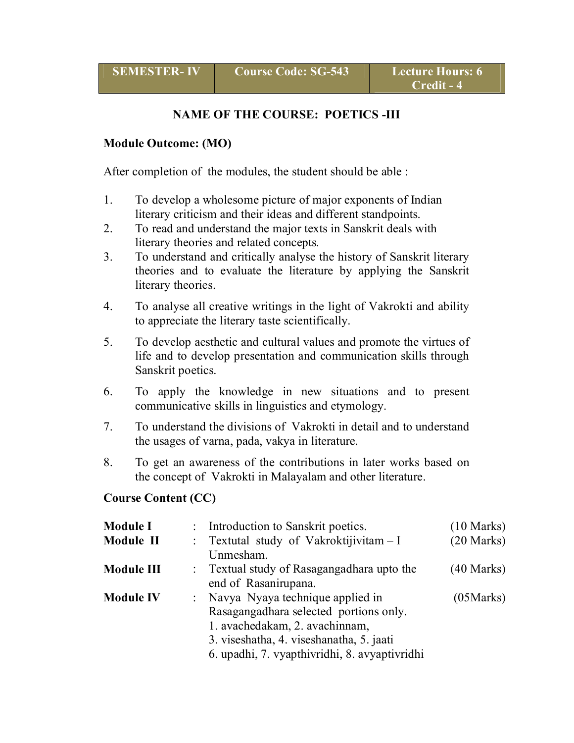#### **NAME OF THE COURSE: POETICS -III**

#### **Module Outcome: (MO)**

After completion of the modules, the student should be able :

- 1. To develop a wholesome picture of major exponents of Indian literary criticism and their ideas and different standpoints.
- 2. To read and understand the major texts in Sanskrit deals with literary theories and related concepts*.*
- 3. To understand and critically analyse the history of Sanskrit literary theories and to evaluate the literature by applying the Sanskrit literary theories.
- 4. To analyse all creative writings in the light of Vakrokti and ability to appreciate the literary taste scientifically.
- 5. To develop aesthetic and cultural values and promote the virtues of life and to develop presentation and communication skills through Sanskrit poetics.
- 6. To apply the knowledge in new situations and to present communicative skills in linguistics and etymology.
- 7. To understand the divisions of Vakrokti in detail and to understand the usages of varna, pada, vakya in literature.
- 8. To get an awareness of the contributions in later works based on the concept of Vakrokti in Malayalam and other literature.

#### **Course Content (CC)**

| <b>Module I</b>  | : Introduction to Sanskrit poetics.                                                                                                                                                                         | $(10 \text{ Marks})$ |
|------------------|-------------------------------------------------------------------------------------------------------------------------------------------------------------------------------------------------------------|----------------------|
| Module II        | : Textutal study of Vakroktijivitam - I<br>Unmesham.                                                                                                                                                        | $(20$ Marks)         |
| Module III       | : Textual study of Rasagangadhara upto the<br>end of Rasanirupana.                                                                                                                                          | $(40$ Marks)         |
| <b>Module IV</b> | : Navya Nyaya technique applied in<br>Rasagangadhara selected portions only.<br>1. avachedakam, 2. avachinnam,<br>3. viseshatha, 4. viseshanatha, 5. jaati<br>6. upadhi, 7. vyapthivridhi, 8. avyaptivridhi | (05Marks)            |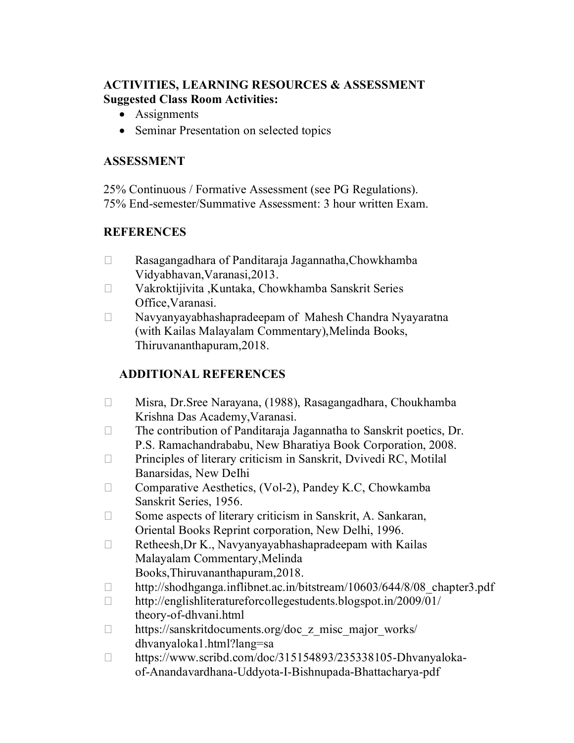#### **ACTIVITIES, LEARNING RESOURCES & ASSESSMENT Suggested Class Room Activities:**

- Assignments
- Seminar Presentation on selected topics

#### **ASSESSMENT**

25% Continuous / Formative Assessment (see PG Regulations). 75% End-semester/Summative Assessment: 3 hour written Exam.

#### **REFERENCES**

- Rasagangadhara of Panditaraja Jagannatha,Chowkhamba Vidyabhavan,Varanasi,2013.
- Vakroktijivita ,Kuntaka, Chowkhamba Sanskrit Series Office,Varanasi.
- Navyanyayabhashapradeepam of Mahesh Chandra Nyayaratna (with Kailas Malayalam Commentary),Melinda Books, Thiruvananthapuram,2018.

- Misra, Dr.Sree Narayana, (1988), Rasagangadhara, Choukhamba Krishna Das Academy,Varanasi.
- $\Box$  The contribution of Panditaraja Jagannatha to Sanskrit poetics, Dr. P.S. Ramachandrababu, New Bharatiya Book Corporation, 2008.
- $\Box$  Principles of literary criticism in Sanskrit, Dvivedi RC, Motilal Banarsidas, New DeIhi
- $\Box$  Comparative Aesthetics, (Vol-2), Pandey K.C, Chowkamba Sanskrit Series, 1956.
- $\Box$  Some aspects of literary criticism in Sanskrit, A. Sankaran, Oriental Books Reprint corporation, New Delhi, 1996.
- $\Box$  Retheesh, Dr K., Navyanyayabhashapradeepam with Kailas Malayalam Commentary,Melinda Books,Thiruvananthapuram,2018.
- □ http://shodhganga.inflibnet.ac.in/bitstream/10603/644/8/08 chapter3.pdf
- http://englishliteratureforcollegestudents.blogspot.in/2009/01/ theory-of-dhvani.html
- $\Box$  https://sanskritdocuments.org/doc\_z\_misc\_major\_works/ dhvanyaloka1.html?lang=sa
- https://www.scribd.com/doc/315154893/235338105-Dhvanyalokaof-Anandavardhana-Uddyota-I-Bishnupada-Bhattacharya-pdf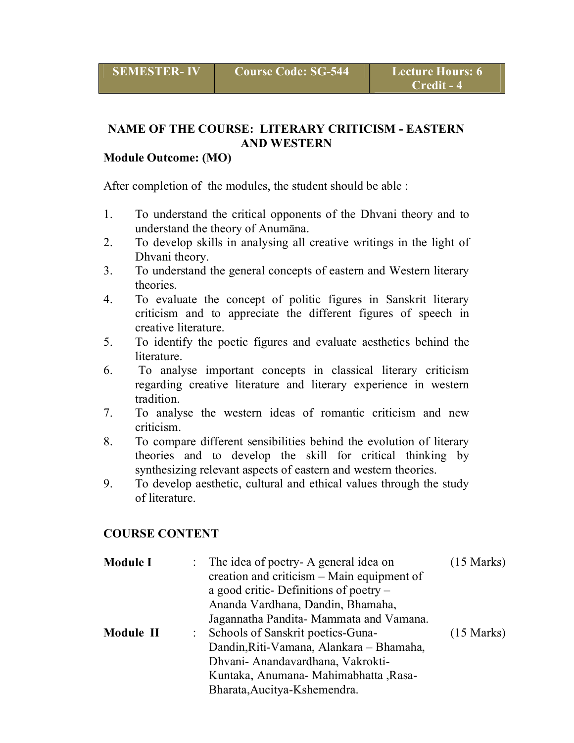#### **NAME OF THE COURSE: LITERARY CRITICISM - EASTERN AND WESTERN**

#### **Module Outcome: (MO)**

After completion of the modules, the student should be able :

- 1. To understand the critical opponents of the Dhvani theory and to understand the theory of Anumāna.
- 2. To develop skills in analysing all creative writings in the light of Dhvani theory.
- 3. To understand the general concepts of eastern and Western literary theories.
- 4. To evaluate the concept of politic figures in Sanskrit literary criticism and to appreciate the different figures of speech in creative literature.
- 5. To identify the poetic figures and evaluate aesthetics behind the literature.
- 6. To analyse important concepts in classical literary criticism regarding creative literature and literary experience in western tradition.
- 7. To analyse the western ideas of romantic criticism and new criticism.
- 8. To compare different sensibilities behind the evolution of literary theories and to develop the skill for critical thinking by synthesizing relevant aspects of eastern and western theories.
- 9. To develop aesthetic, cultural and ethical values through the study of literature.

#### **COURSE CONTENT**

| <b>Module I</b> | : The idea of poetry- A general idea on    | $(15 \text{ Marks})$ |
|-----------------|--------------------------------------------|----------------------|
|                 | creation and criticism – Main equipment of |                      |
|                 | a good critic-Definitions of poetry $-$    |                      |
|                 | Ananda Vardhana, Dandin, Bhamaha,          |                      |
|                 | Jagannatha Pandita - Mammata and Vamana.   |                      |
| Module II       | : Schools of Sanskrit poetics-Guna-        | $(15 \text{ Marks})$ |
|                 | Dandin, Riti-Vamana, Alankara – Bhamaha,   |                      |
|                 | Dhvani- Anandavardhana, Vakrokti-          |                      |
|                 | Kuntaka, Anumana- Mahimabhatta, Rasa-      |                      |
|                 | Bharata, Aucitya-Kshemendra.               |                      |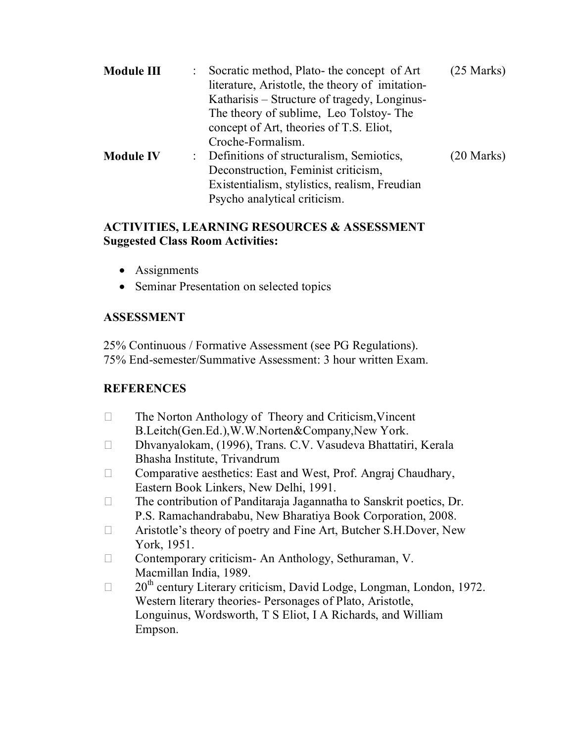| Module III       | : Socratic method, Plato- the concept of Art<br>literature, Aristotle, the theory of imitation-<br>Katharisis – Structure of tragedy, Longinus-<br>The theory of sublime, Leo Tolstoy-The<br>concept of Art, theories of T.S. Eliot,<br>Croche-Formalism. | $(25$ Marks) |
|------------------|-----------------------------------------------------------------------------------------------------------------------------------------------------------------------------------------------------------------------------------------------------------|--------------|
| <b>Module IV</b> | : Definitions of structuralism, Semiotics,<br>Deconstruction, Feminist criticism,<br>Existentialism, stylistics, realism, Freudian<br>Psycho analytical criticism.                                                                                        | $(20$ Marks) |

#### **ACTIVITIES, LEARNING RESOURCES & ASSESSMENT Suggested Class Room Activities:**

- Assignments
- Seminar Presentation on selected topics

#### **ASSESSMENT**

25% Continuous / Formative Assessment (see PG Regulations). 75% End-semester/Summative Assessment: 3 hour written Exam.

#### **REFERENCES**

- $\Box$  The Norton Anthology of Theory and Criticism, Vincent B.Leitch(Gen.Ed.),W.W.Norten&Company,New York.
- Dhvanyalokam, (1996), Trans. C.V. Vasudeva Bhattatiri, Kerala Bhasha Institute, Trivandrum
- $\Box$  Comparative aesthetics: East and West, Prof. Angraj Chaudhary, Eastern Book Linkers, New Delhi, 1991.
- $\Box$  The contribution of Panditaraja Jagannatha to Sanskrit poetics, Dr. P.S. Ramachandrababu, New Bharatiya Book Corporation, 2008.
- Aristotle's theory of poetry and Fine Art, Butcher S.H.Dover, New York, 1951.
- □ Contemporary criticism- An Anthology, Sethuraman, V. Macmillan India, 1989.
- $\Box$  20<sup>th</sup> century Literary criticism, David Lodge, Longman, London, 1972. Western literary theories- Personages of Plato, Aristotle, Longuinus, Wordsworth, T S Eliot, I A Richards, and William Empson.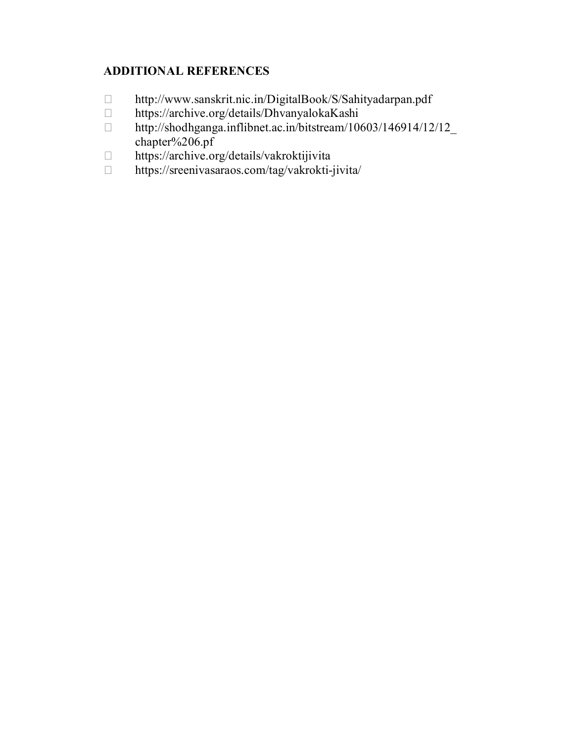- http://www.sanskrit.nic.in/DigitalBook/S/Sahityadarpan.pdf
- https://archive.org/details/DhvanyalokaKashi
- □ http://shodhganga.inflibnet.ac.in/bitstream/10603/146914/12/12 chapter%206.pf
- □ https://archive.org/details/vakroktijivita
- https://sreenivasaraos.com/tag/vakrokti-jivita/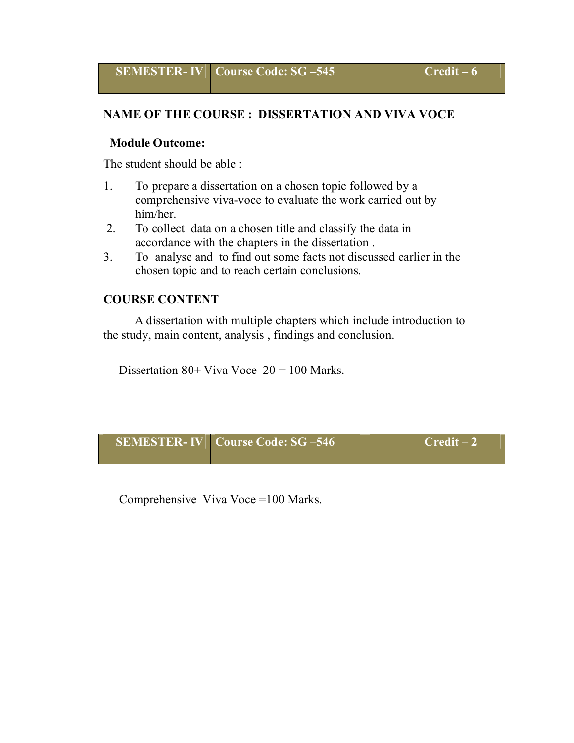#### **NAME OF THE COURSE : DISSERTATION AND VIVA VOCE**

#### **Module Outcome:**

The student should be able :

- 1. To prepare a dissertation on a chosen topic followed by a comprehensive viva-voce to evaluate the work carried out by him/her.
- 2. To collect data on a chosen title and classify the data in accordance with the chapters in the dissertation .
- 3. To analyse and to find out some facts not discussed earlier in the chosen topic and to reach certain conclusions.

#### **COURSE CONTENT**

 A dissertation with multiple chapters which include introduction to the study, main content, analysis , findings and conclusion.

Dissertation  $80+$  Viva Voce  $20 = 100$  Marks.

| <b>SEMESTER-IV   Course Code: SG-546</b> | $Credit-2$ |
|------------------------------------------|------------|
|                                          |            |

Comprehensive Viva Voce =100 Marks.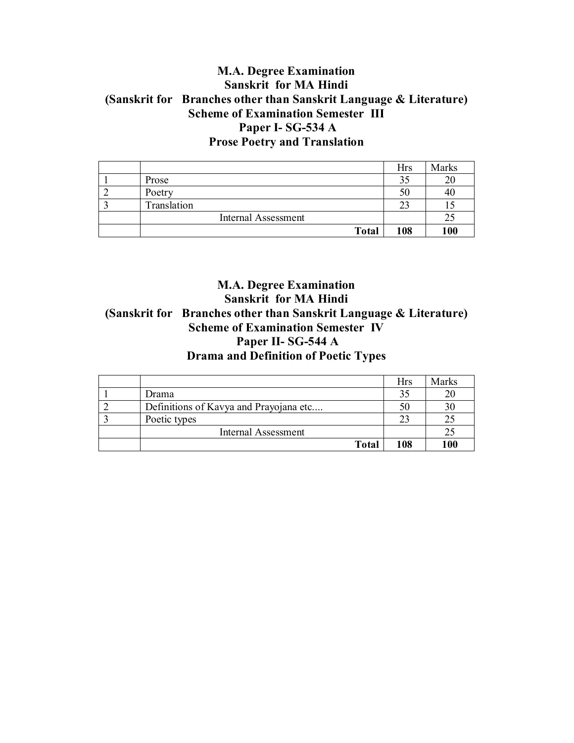#### **M.A. Degree Examination Sanskrit for MA Hindi (Sanskrit for Branches other than Sanskrit Language & Literature) Scheme of Examination Semester III Paper I- SG-534 A Prose Poetry and Translation**

|                            | Hrs | Marks |
|----------------------------|-----|-------|
| Prose                      |     | 20    |
| Poetry                     | 50  | 40    |
| Translation                |     |       |
| <b>Internal Assessment</b> |     | 25    |
| <b>Total</b>               | 108 | 100   |

#### **M.A. Degree Examination Sanskrit for MA Hindi (Sanskrit for Branches other than Sanskrit Language & Literature) Scheme of Examination Semester IV Paper II- SG-544 A Drama and Definition of Poetic Types**

|                                        | Hrs | Marks |
|----------------------------------------|-----|-------|
| Drama                                  |     | 20    |
| Definitions of Kavya and Prayojana etc |     | 30    |
| Poetic types                           |     | 25    |
| <b>Internal Assessment</b>             |     | 25    |
| <b>Total</b>                           | 108 | 100   |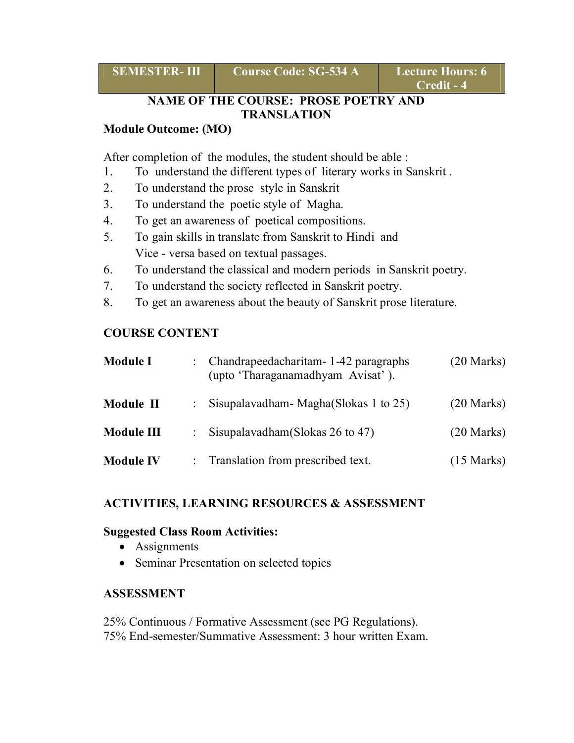| <b>SEMESTER-II</b> |  |  |  |  |
|--------------------|--|--|--|--|
|--------------------|--|--|--|--|

**Course Code: SG-534 A Lecture Hours: 6** 

#### **NAME OF THE COURSE: PROSE POETRY AND TRANSLATION**

#### **Module Outcome: (MO)**

After completion of the modules, the student should be able :

- 1. To understand the different types of literary works in Sanskrit .
- 2. To understand the prose style in Sanskrit
- 3. To understand the poetic style of Magha.
- 4. To get an awareness of poetical compositions.
- 5. To gain skills in translate from Sanskrit to Hindi and Vice - versa based on textual passages.
- 6. To understand the classical and modern periods in Sanskrit poetry.
- 7. To understand the society reflected in Sanskrit poetry.
- 8. To get an awareness about the beauty of Sanskrit prose literature.

#### **COURSE CONTENT**

| <b>Module I</b>  | : Chandrapeedacharitam - 1-42 paragraphs<br>(upto 'Tharaganamadhyam Avisat'). | $(20$ Marks)         |
|------------------|-------------------------------------------------------------------------------|----------------------|
| Module II        | : Sisupalavadham - Magha(Slokas 1 to 25)                                      | $(20$ Marks)         |
| Module III       | : Sisupalavadham (Slokas 26 to 47)                                            | $(20$ Marks)         |
| <b>Module IV</b> | : Translation from prescribed text.                                           | $(15 \text{ Marks})$ |

#### **ACTIVITIES, LEARNING RESOURCES & ASSESSMENT**

#### **Suggested Class Room Activities:**

- Assignments
- Seminar Presentation on selected topics

#### **ASSESSMENT**

25% Continuous / Formative Assessment (see PG Regulations). 75% End-semester/Summative Assessment: 3 hour written Exam.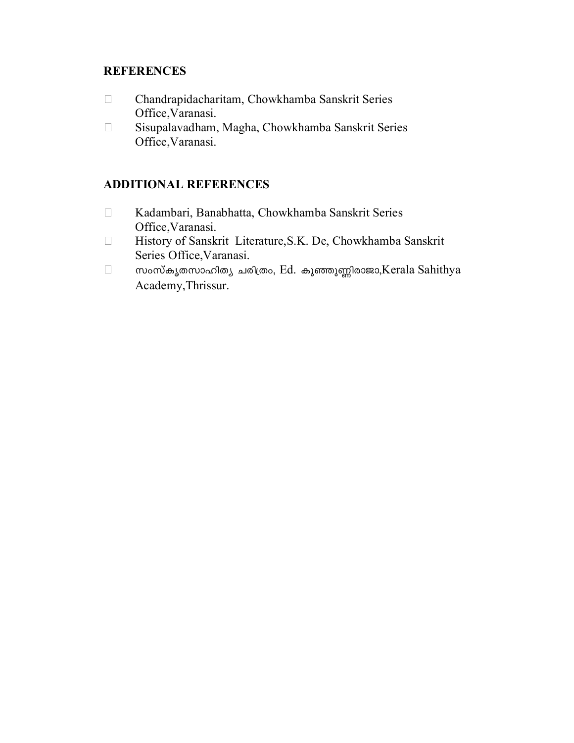#### **REFERENCES**

- Chandrapidacharitam, Chowkhamba Sanskrit Series Office,Varanasi.
- Sisupalavadham, Magha, Chowkhamba Sanskrit Series Office,Varanasi.

- Kadambari, Banabhatta, Chowkhamba Sanskrit Series Office,Varanasi.
- History of Sanskrit Literature,S.K. De, Chowkhamba Sanskrit Series Office,Varanasi.
- $\Box$  സംസ്കൃതസാഹിത്യ ചരിത്രം, Ed. കുഞ്ഞുണ്ണിരാജാ,Kerala Sahithya Academy,Thrissur.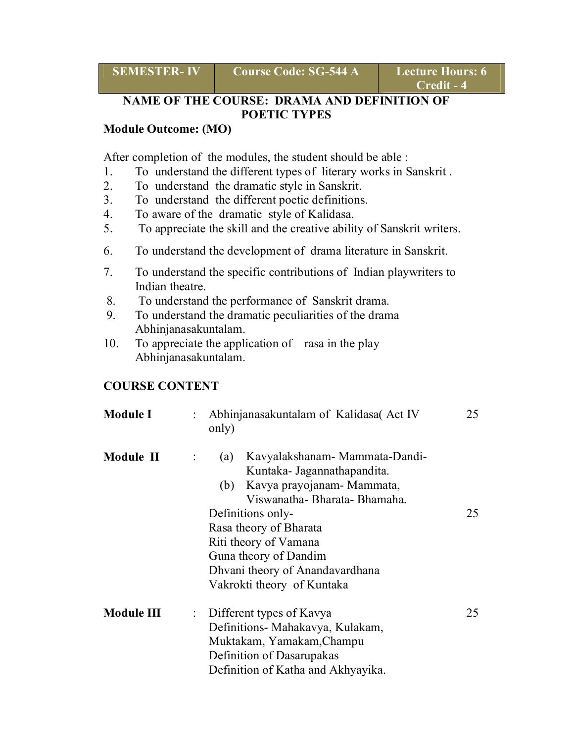| <b>SEMESTER- IV</b> |  |
|---------------------|--|
|                     |  |

**Course Code: SG-544 A Lecture Hours: 6** 

#### **NAME OF THE COURSE: DRAMA AND DEFINITION OF POETIC TYPES**

#### **Module Outcome: (MO)**

After completion of the modules, the student should be able :

- 1. To understand the different types of literary works in Sanskrit .
- 2. To understand the dramatic style in Sanskrit.
- 3. To understand the different poetic definitions.
- 4. To aware of the dramatic style of Kalidasa.
- 5. To appreciate the skill and the creative ability of Sanskrit writers.
- 6. To understand the development of drama literature in Sanskrit.
- 7. To understand the specific contributions of Indian playwriters to Indian theatre.
- 8. To understand the performance of Sanskrit drama.
- 9. To understand the dramatic peculiarities of the drama Abhinjanasakuntalam.
- 10. To appreciate the application of rasa in the play Abhinjanasakuntalam.

#### **COURSE CONTENT**

| <b>Module I</b> | Abhinjanasakuntalam of Kalidasa (Act IV<br>only)                                                                                                                                        | 25 |
|-----------------|-----------------------------------------------------------------------------------------------------------------------------------------------------------------------------------------|----|
| Module II       | Kavyalakshanam-Mammata-Dandi-<br>(a)<br>Kuntaka- Jagannathapandita.<br>Kavya prayojanam - Mammata,<br>(b)<br>Viswanatha-Bharata-Bhamaha.<br>Definitions only-<br>Rasa theory of Bharata | 25 |
|                 | Riti theory of Vamana                                                                                                                                                                   |    |
|                 | Guna theory of Dandim<br>Dhvani theory of Anandavardhana<br>Vakrokti theory of Kuntaka                                                                                                  |    |
| Module III      | Different types of Kavya<br>÷.<br>Definitions- Mahakavya, Kulakam,<br>Muktakam, Yamakam, Champu<br>Definition of Dasarupakas<br>Definition of Katha and Akhyayika.                      | 25 |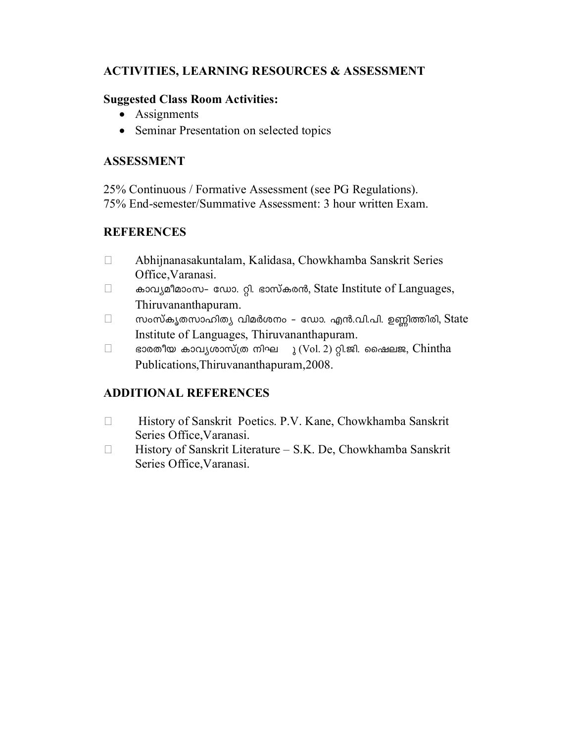#### **ACTIVITIES, LEARNING RESOURCES & ASSESSMENT**

#### **Suggested Class Room Activities:**

- Assignments
- Seminar Presentation on selected topics

#### **ASSESSMENT**

25% Continuous / Formative Assessment (see PG Regulations). 75% End-semester/Summative Assessment: 3 hour written Exam.

#### **REFERENCES**

- Abhijnanasakuntalam, Kalidasa, Chowkhamba Sanskrit Series Office,Varanasi.
- $\Box$   $\bullet$  3015  $\Omega$   $\Omega$   $\Omega$   $\Omega$  and  $\Omega$  and  $\Omega$  and  $\Omega$  and  $\Omega$  and  $\Omega$  and  $\Omega$  and  $\Omega$  and  $\Omega$  and  $\Omega$  and  $\Omega$  and  $\Omega$  and  $\Omega$  and  $\Omega$  and  $\Omega$  and  $\Omega$  and  $\Omega$  and  $\Omega$  and  $\Omega$  and  $\Omega$  and  $\Omega$  and  $\$ Thiruvananthapuram.
- $\Box$  സംസ്കൃതസാഹിത്യ വിമർശനം ഡോ. എൻ.വി.പി. ഉണ്ണിത്തിരി, State Institute of Languages, Thiruvananthapuram.
- $\Box$  ഭാരതീയ കാവൃശാസ്ത്ര നിഘ ു (Vol. 2) റ്റി.ജി. ഷൈലജ, Chintha Publications,Thiruvananthapuram,2008.

- History of Sanskrit Poetics. P.V. Kane, Chowkhamba Sanskrit Series Office,Varanasi.
- □ History of Sanskrit Literature S.K. De, Chowkhamba Sanskrit Series Office,Varanasi.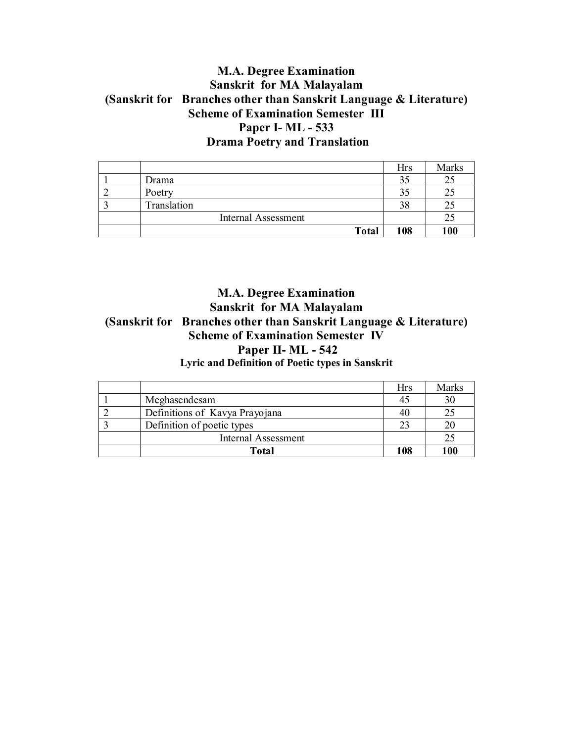#### **M.A. Degree Examination Sanskrit for MA Malayalam (Sanskrit for Branches other than Sanskrit Language & Literature) Scheme of Examination Semester III Paper I- ML - 533 Drama Poetry and Translation**

|                            | Hrs | Marks |
|----------------------------|-----|-------|
| Drama                      |     | 25    |
| Poetry                     |     |       |
| Translation                | 38  | 21    |
| <b>Internal Assessment</b> |     | 25    |
| <b>Total</b>               | 108 | 100   |

#### **M.A. Degree Examination Sanskrit for MA Malayalam (Sanskrit for Branches other than Sanskrit Language & Literature) Scheme of Examination Semester IV Paper II- ML - 542 Lyric and Definition of Poetic types in Sanskrit**

|                                | Hrs | Marks |
|--------------------------------|-----|-------|
| Meghasendesam                  |     | 30    |
| Definitions of Kavya Prayojana |     | 25    |
| Definition of poetic types     |     | 20    |
| <b>Internal Assessment</b>     |     | 25    |
| Total                          | 108 | 100   |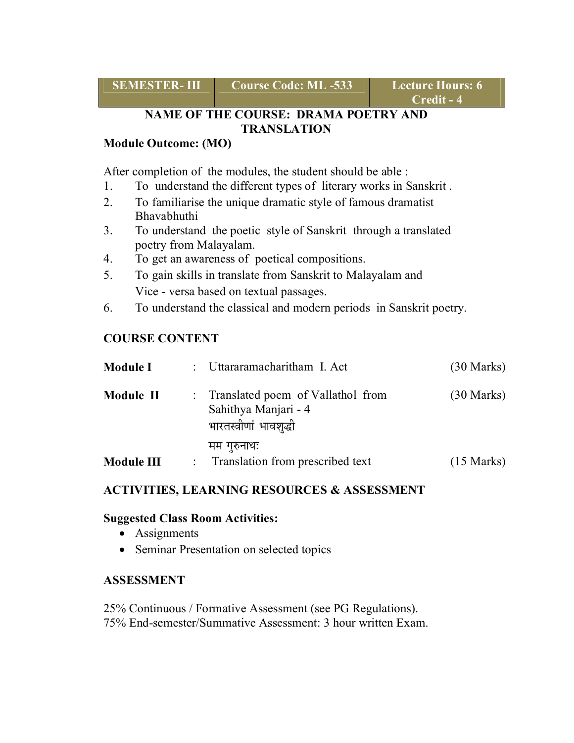**SEMESTER- III** Course Code: ML -533 Lecture Hours: 6

#### **NAME OF THE COURSE: DRAMA POETRY AND TRANSLATION**

#### **Module Outcome: (MO)**

After completion of the modules, the student should be able :

- 1. To understand the different types of literary works in Sanskrit .
- 2. To familiarise the unique dramatic style of famous dramatist Bhavabhuthi
- 3. To understand the poetic style of Sanskrit through a translated poetry from Malayalam.
- 4. To get an awareness of poetical compositions.
- 5. To gain skills in translate from Sanskrit to Malayalam and Vice - versa based on textual passages.
- 6. To understand the classical and modern periods in Sanskrit poetry.

#### **COURSE CONTENT**

| <b>Module I</b> | : Uttararamacharitham I. Act                                                           | $(30 \text{ Marks})$ |
|-----------------|----------------------------------------------------------------------------------------|----------------------|
| Module II       | : Translated poem of Vallathol from<br>Sahithya Manjari - 4<br>भारतस्त्रीणां भावशृद्धी | $(30 \text{ Marks})$ |
|                 | मम गुरुनाथः                                                                            |                      |
| Module III      | : Translation from prescribed text                                                     | $(15 \text{ Marks})$ |

#### **ACTIVITIES, LEARNING RESOURCES & ASSESSMENT**

#### **Suggested Class Room Activities:**

- Assignments
- Seminar Presentation on selected topics

#### **ASSESSMENT**

25% Continuous / Formative Assessment (see PG Regulations). 75% End-semester/Summative Assessment: 3 hour written Exam.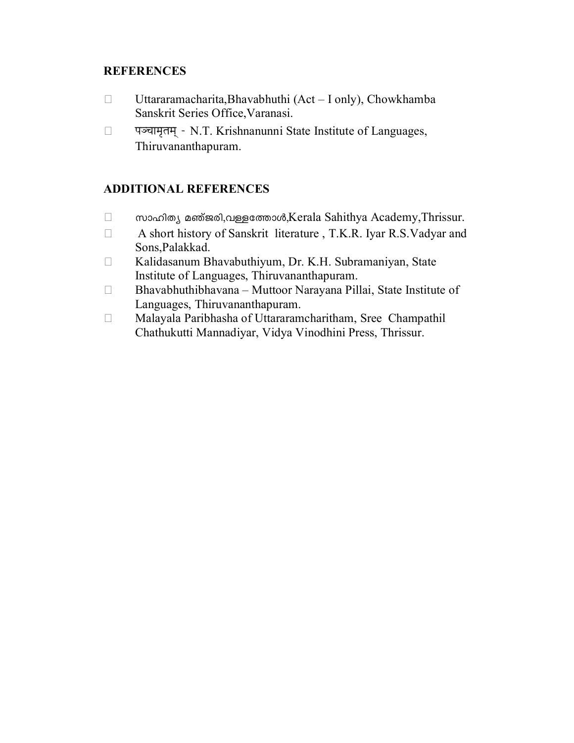#### **REFERENCES**

- $\Box$  Uttararamacharita,Bhavabhuthi (Act I only), Chowkhamba Sanskrit Series Office,Varanasi.
- {…\S……®…fii…®…¬ N.T. Krishnanunni State Institute of Languages, Thiruvananthapuram.

- $□$  സാഹിത്യ മഞ്ജരി,വള്ളത്തോൾ,Kerala Sahithya Academy,Thrissur.
- A short history of Sanskrit literature , T.K.R. Iyar R.S.Vadyar and Sons,Palakkad.
- Kalidasanum Bhavabuthiyum, Dr. K.H. Subramaniyan, State Institute of Languages, Thiruvananthapuram.
- Bhavabhuthibhavana Muttoor Narayana Pillai, State Institute of Languages, Thiruvananthapuram.
- Malayala Paribhasha of Uttararamcharitham, Sree Champathil Chathukutti Mannadiyar, Vidya Vinodhini Press, Thrissur.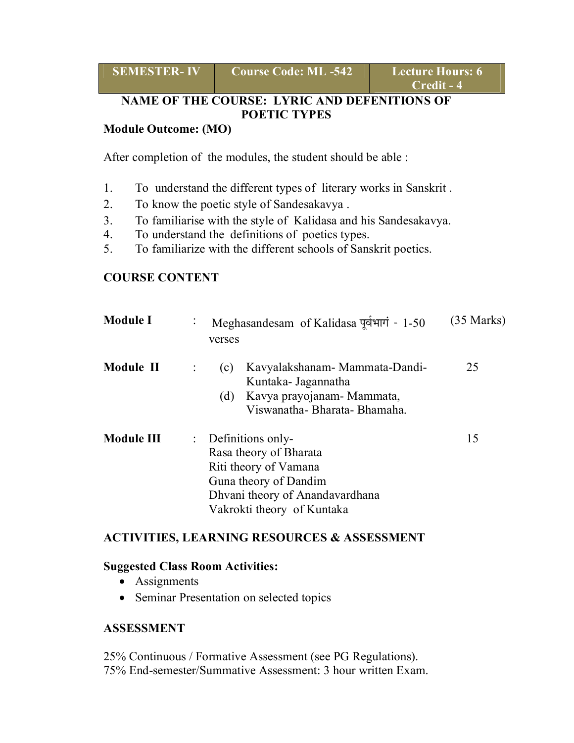| <b>SEMESTER-IV</b><br><b>Course Code: ML -542</b> |
|---------------------------------------------------|
|---------------------------------------------------|

**SECURE Hours: 6 Credit - 4** 

#### **NAME OF THE COURSE: LYRIC AND DEFENITIONS OF POETIC TYPES**

#### **Module Outcome: (MO)**

After completion of the modules, the student should be able :

- 1. To understand the different types of literary works in Sanskrit .
- 2. To know the poetic style of Sandesakavya .
- 3. To familiarise with the style of Kalidasa and his Sandesakavya.
- 4. To understand the definitions of poetics types.
- 5. To familiarize with the different schools of Sanskrit poetics.

#### **COURSE CONTENT**

| <b>Module I</b> | Meghasandesam of Kalidasa पूर्वभागं - 1-50<br>verses                                                                                                                        | (35 Marks) |
|-----------------|-----------------------------------------------------------------------------------------------------------------------------------------------------------------------------|------------|
| Module II       | Kavyalakshanam - Mammata-Dandi-<br>(c)<br>Kuntaka- Jagannatha<br>Kavya prayojanam - Mammata,<br>(d)<br>Viswanatha-Bharata-Bhamaha.                                          | 25         |
| Module III      | $\therefore$ Definitions only-<br>Rasa theory of Bharata<br>Riti theory of Vamana<br>Guna theory of Dandim<br>Dhvani theory of Anandavardhana<br>Vakrokti theory of Kuntaka | 15         |

#### **ACTIVITIES, LEARNING RESOURCES & ASSESSMENT**

#### **Suggested Class Room Activities:**

- Assignments
- Seminar Presentation on selected topics

#### **ASSESSMENT**

25% Continuous / Formative Assessment (see PG Regulations). 75% End-semester/Summative Assessment: 3 hour written Exam.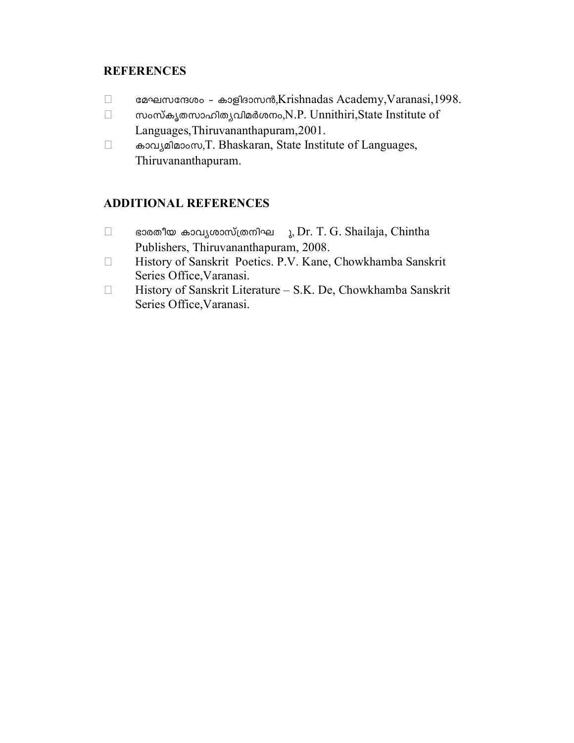#### **REFERENCES**

- taL -k -tµ-iw ˛ Imfn-Zm -k≥,Krishnadas Academy,Varanasi,1998.
- $\Box$  സംസ്കൃതസാഹിതൃവിമർശനം,N.P. Unnithiri,State Institute of Languages,Thiruvananthapuram,2001.
- □ endymation,T. Bhaskaran, State Institute of Languages, Thiruvananthapuram.

- $\Box$  ഭാരതീയ കാവൃശാസ്ത്രനിഘ  $\lambda$ , Dr. T. G. Shailaja, Chintha Publishers, Thiruvananthapuram, 2008.
- History of Sanskrit Poetics. P.V. Kane, Chowkhamba Sanskrit Series Office,Varanasi.
- □ History of Sanskrit Literature S.K. De, Chowkhamba Sanskrit Series Office,Varanasi.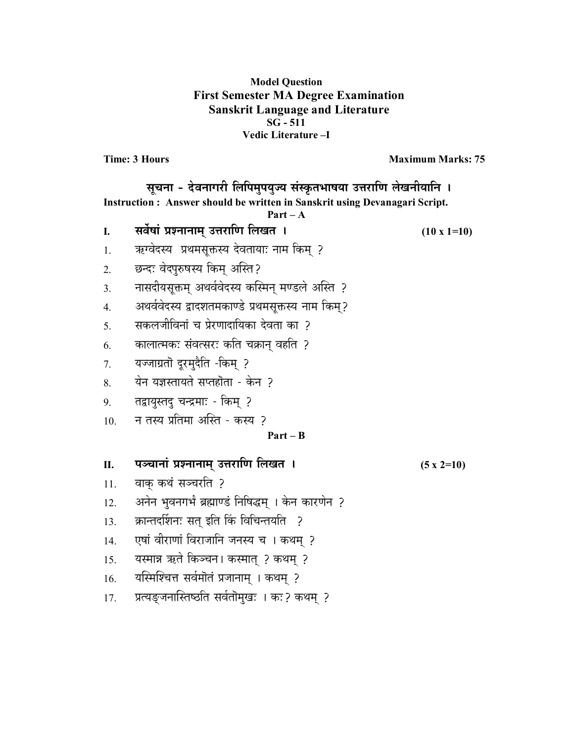#### **Model Question First Semester MA Degree Examination Sanskrit Language and Literature SG - 511 Vedic Literature –I**

**Time: 3 Hours Maximum Marks: 75** 

| सूचना - देवनागरी लिपिमुपयुज्य संस्कृतभाषया उत्तराणि लेखनीयानि ।<br>Instruction: Answer should be written in Sanskrit using Devanagari Script.<br>$Part - A$ |                                                     |                    |  |
|-------------------------------------------------------------------------------------------------------------------------------------------------------------|-----------------------------------------------------|--------------------|--|
| I.                                                                                                                                                          | सर्वेषां प्रश्नानाम् उत्तराणि लिखत ।                | $(10 \times 1=10)$ |  |
| 1.                                                                                                                                                          | ऋग्वेदस्य प्रथमसूक्तस्य देवतायाः नाम किम् ?         |                    |  |
| 2.                                                                                                                                                          | छन्दः वेदपुरुषस्य किम् अस्ति?                       |                    |  |
| 3.                                                                                                                                                          | नासदीयसूक्तम् अथर्ववेदस्य कस्मिन् मण्डले अस्ति ?    |                    |  |
| $\overline{4}$ .                                                                                                                                            | अथर्ववेदस्य द्वादशतमकाण्डे प्रथमसूक्तस्य नाम किम्?  |                    |  |
| 5.                                                                                                                                                          | सकलजीविनां च प्रेरणादायिका देवता का ?               |                    |  |
| 6.                                                                                                                                                          | कालात्मकः संवत्सरः कति चक्रान् वहति ?               |                    |  |
| 7.                                                                                                                                                          | यज्जाग्रतॊ दूरमुदैति -किम्  ?                       |                    |  |
| 8.                                                                                                                                                          | येन यज्ञस्तायते सप्तहोता - केन ?                    |                    |  |
| 9.                                                                                                                                                          | तद्वायुस्तदु चन्द्रमाः - किम् ?                     |                    |  |
| 10.                                                                                                                                                         | न तस्य प्रतिमा अस्ति - कस्य ?                       |                    |  |
|                                                                                                                                                             | $Part - B$                                          |                    |  |
| П.                                                                                                                                                          | पञ्चानां प्रश्नानाम् उत्तराणि लिखत ।                | $(5x2=10)$         |  |
| 11.                                                                                                                                                         | वाक् कथं सञ्चरति ?                                  |                    |  |
| 12.                                                                                                                                                         | अनेन भुवनगर्भं ब्रह्माण्डं निषिद्धम् । केन कारणेन ? |                    |  |
| 13.                                                                                                                                                         | क्रान्तदर्शिनः सत् इति किं विचिन्तयति ?             |                    |  |
| 14.                                                                                                                                                         | एषां वीराणां विराजानि जनस्य च । कथम् ?              |                    |  |
| 15.                                                                                                                                                         | यस्मान्न ऋते किञ्चन। कस्मात् ? कथम् ?               |                    |  |
| 16.                                                                                                                                                         | यस्मिश्चित्त सर्वमॊतं प्रजानाम् । कथम् ?            |                    |  |
| 17.                                                                                                                                                         | प्रत्यङ्जनास्तिष्ठति सर्वतॊमुखः । कः? कथम् ?        |                    |  |
|                                                                                                                                                             |                                                     |                    |  |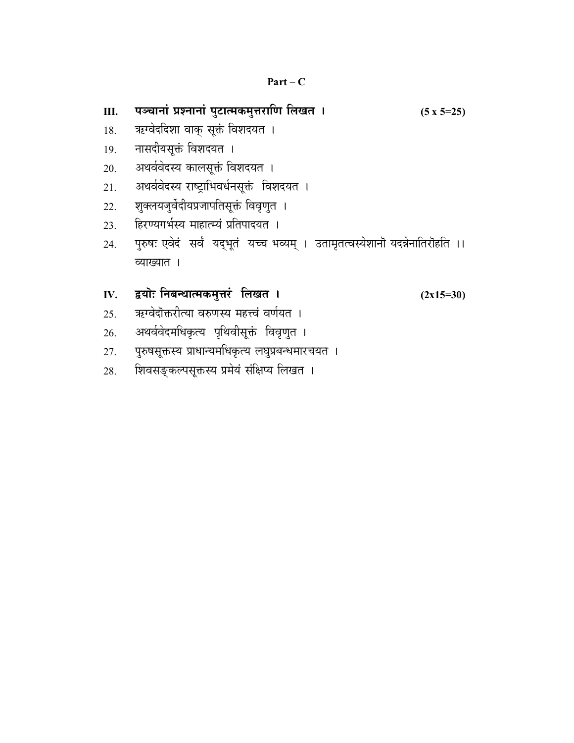| Ш.  | पञ्चानां प्रश्नानां पुटात्मकमुत्तराणि लिखत ।                                      | $(5 \times 5=25)$ |
|-----|-----------------------------------------------------------------------------------|-------------------|
| 18. | ऋग्वेददिशा वाकु सूक्तं विशदयत ।                                                   |                   |
| 19. | नासदीयसूक्तं विशदयत ।                                                             |                   |
| 20. | अथर्ववेदस्य कालसूक्तं विशदयत ।                                                    |                   |
| 21. | अथर्ववेदस्य राष्ट्राभिवर्धनसूक्तं विशदयत ।                                        |                   |
| 22. | शुक्लयजुर्वेदीयप्रजापतिसूक्तं विवृणुत ।                                           |                   |
| 23. | हिरण्यगर्भस्य माहात्म्यं प्रतिपादयत ।                                             |                   |
| 24. | पुरुषः एवेदं  सर्वं  यदुभूतं  यच्च भव्यम् ।  उतामृतत्वस्येशानॊ यदन्नेनातिरॊहति ।। |                   |
|     | व्याख्यात ।                                                                       |                   |
|     |                                                                                   |                   |
| IV. | द्वयॊः निबन्धात्मकमुत्तरं लिखत ।                                                  | $(2x15=30)$       |
| 25. | ऋग्वेदॊक्तरीत्या वरुणस्य महत्त्वं वर्णयत ।                                        |                   |
| 26. | अथर्ववेदमधिकृत्य पृथिवीसूक्तं विवृण्त ।                                           |                   |
| 27. | पुरुषसूक्तस्य प्राधान्यमधिकृत्य लघुप्रबन्धमारचयत ।                                |                   |
| 28. | शिवसङ्कल्पसूक्तस्य प्रमेयं संक्षिप्य लिखत ।                                       |                   |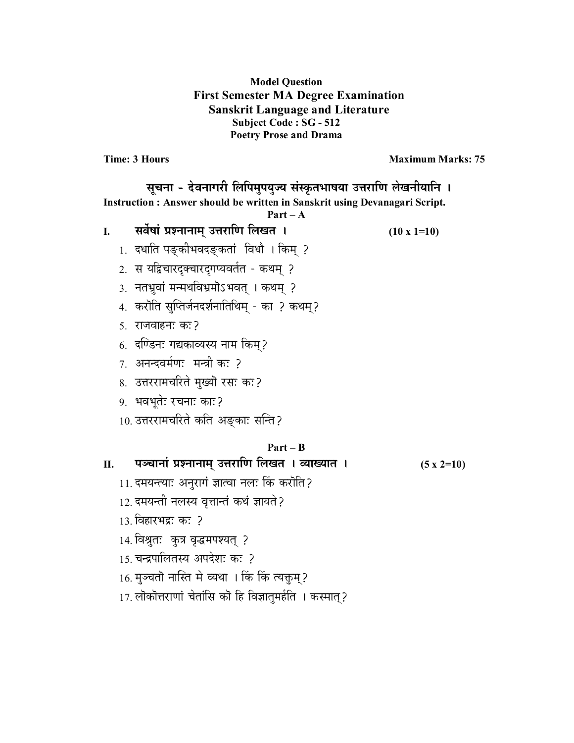#### **Model Question First Semester MA Degree Examination Sanskrit Language and Literature Subject Code : SG - 512 Poetry Prose and Drama**

**Time: 3 Hours Maximum Marks: 75** 

| सूचना - देवनागरी लिपिमुपयुज्य संस्कृतभाषया उत्तराणि लेखनीयानि । |                                                                            |                    |  |  |
|-----------------------------------------------------------------|----------------------------------------------------------------------------|--------------------|--|--|
|                                                                 | Instruction: Answer should be written in Sanskrit using Devanagari Script. |                    |  |  |
|                                                                 | $Part - A$                                                                 |                    |  |  |
| I.                                                              | सर्वेषां प्रश्नानाम् उत्तराणि लिखत ।                                       | $(10 \times 1=10)$ |  |  |
|                                                                 | 1.  दधाति पङ्कीभवदङ्कतां  विधौ । किम्  ?                                   |                    |  |  |
|                                                                 | 2. स यद्विचारदुक्वारदुगप्यवर्तत - कथम् ?                                   |                    |  |  |
|                                                                 | 3.  नतभुवां मन्मथविभ्रमॊऽभवत् । कथम्  ?                                    |                    |  |  |
|                                                                 | 4.  करॊति सुप्तिर्जनदर्शनातिथिम् - का ? कथम्?                              |                    |  |  |
|                                                                 | 5. राजवाहन: क:?                                                            |                    |  |  |
|                                                                 | 6.  दण्डिनः गद्यकाव्यस्य नाम किम्?                                         |                    |  |  |
|                                                                 | 7. अनन्दवर्मणः मन्त्री कः ?                                                |                    |  |  |
|                                                                 | 8.  उत्तररामचरिते मुख्यॊ रसः कः?                                           |                    |  |  |
|                                                                 | 9. भवभूतेः रचनाः काः?                                                      |                    |  |  |
|                                                                 | 10. उत्तररामचरिते कति अङ्काः सन्ति?                                        |                    |  |  |
|                                                                 | $Part - B$                                                                 |                    |  |  |
| П.                                                              | पञ्चानां प्रश्नानाम् उत्तराणि लिखत । व्याख्यात ।                           | $(5 \times 2=10)$  |  |  |
|                                                                 | 11. दमयन्त्याः अनुरागं ज्ञात्वा नलः किं करॊति?                             |                    |  |  |
|                                                                 | 12. दमयन्ती नलस्य वृत्तान्तं कथं ज्ञायते?                                  |                    |  |  |
|                                                                 | 13. विहारभद्रः कः ?                                                        |                    |  |  |
|                                                                 | 14. विश्रुतः कुत्र वृद्धमपश्यत् ?                                          |                    |  |  |
|                                                                 | 15. चन्द्रपालितस्य अपदेशः कः ?                                             |                    |  |  |
|                                                                 | 16. मुञ्चतॊ नास्ति मे व्यथा । किं किं त्यक्तुम्?                           |                    |  |  |
|                                                                 | 17. लॊकॊत्तराणां चेतांसि कॊ हि विज्ञातुमर्हति । कस्मात् ?                  |                    |  |  |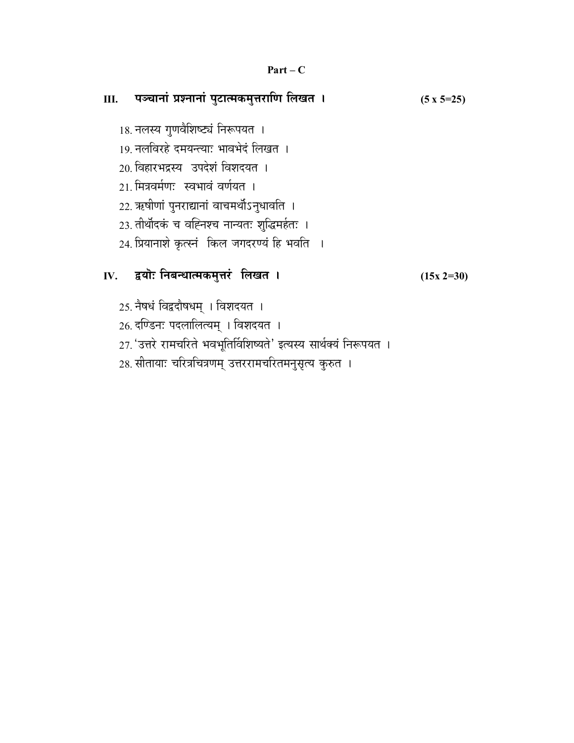#### **Part – C**

# **III. {…\S……x……∆ |…∂x……x……∆ {…÷]ı…i®…EÚ®…÷k…Æ˙… h… ±…J…i… \* (5 x 5=25)**  18. नलस्य गुणवैशिष्ट्यं निरूपयत । 19. नलविरहे दमयन्त्याः भावभेदं लिखत । 20. विहारभद्रस्य उपदेशं विशदयत । 21. मित्रवर्मणः स्वभावं वर्णयत । 22. ऋषीणां पुनराद्यानां वाचमर्थोऽनुधावति । 23. तीर्थोदकं च वह्निश्च नान्यतः शुद्धिमर्हतः । 24. प्रियानाशे कृत्स्नं किल जगदरण्यं हि भवति ।

### IV. द्वयॊः निबन्धात्मकमुत्तरं लिखत । (15x 2=30)

25. नैषधं विद्वदौषधम् । विशदयत ।

26. दण्डिनः पदलालित्यम् । विशदयत ।

27. 'उत्तरे रामचरिते भवभूतिर्विशिष्यते' इत्यस्य सार्थक्यं निरूपयत ।

28. सीतायाः चरित्रचित्रणम् उत्तररामचरितमनुसृत्य कुरुत ।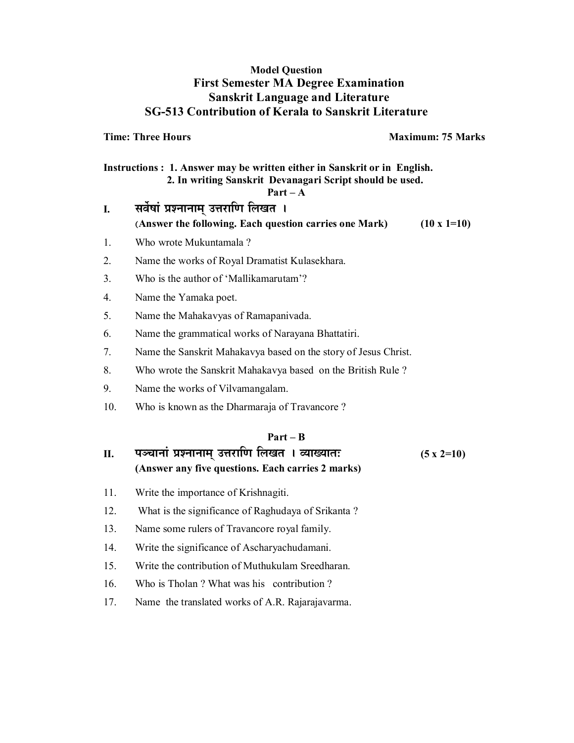#### **Model Question First Semester MA Degree Examination Sanskrit Language and Literature SG-513 Contribution of Kerala to Sanskrit Literature**

**Time: Three Hours Maximum: 75 Marks** 

**Instructions : 1. Answer may be written either in Sanskrit or in English. 2. In writing Sanskrit Devanagari Script should be used. Part – A** 

I. सर्वेषां प्रश्नानाम उत्तराणि लिखत **। (Answer the following. Each question carries one Mark) (10 x 1=10)** 

- 1. Who wrote Mukuntamala ?
- 2. Name the works of Royal Dramatist Kulasekhara.
- 3. Who is the author of 'Mallikamarutam'?
- 4. Name the Yamaka poet.
- 5. Name the Mahakavyas of Ramapanivada.
- 6. Name the grammatical works of Narayana Bhattatiri.
- 7. Name the Sanskrit Mahakavya based on the story of Jesus Christ.
- 8. Who wrote the Sanskrit Mahakavya based on the British Rule ?
- 9. Name the works of Vilvamangalam.
- 10. Who is known as the Dharmaraja of Travancore ?

#### **Part – B**

#### **II. {…\S……x……∆ |…∂x……x……®…¬ =k…Æ˙… h… ±…J…i… \* ¥™……J™……i…& (5 x 2=10) (Answer any five questions. Each carries 2 marks)**

- 11. Write the importance of Krishnagiti.
- 12. What is the significance of Raghudaya of Srikanta ?
- 13. Name some rulers of Travancore royal family.
- 14. Write the significance of Ascharyachudamani.
- 15. Write the contribution of Muthukulam Sreedharan.
- 16. Who is Tholan ? What was his contribution ?
- 17. Name the translated works of A.R. Rajarajavarma.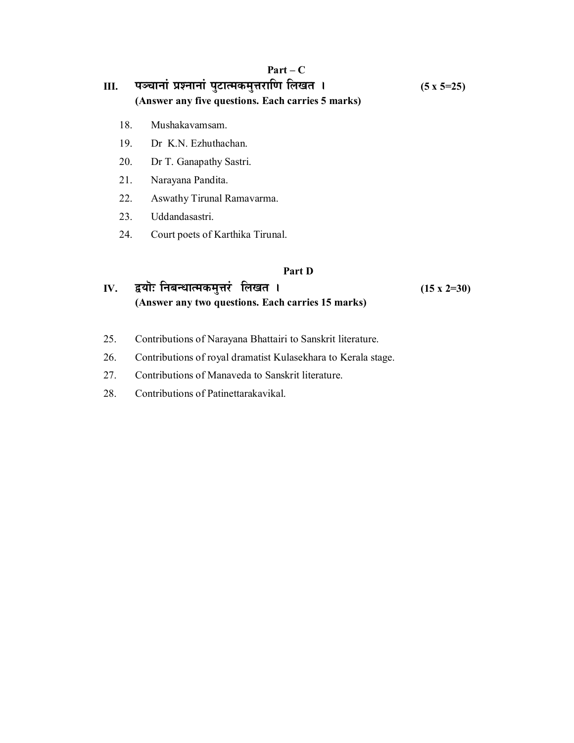#### **Part – C**

# <u>III. पञ्चानां प्रश्नानां पुटात्मकमुत्तराणि लिखत । (5 x 5=25)</u> **(Answer any five questions. Each carries 5 marks)**

- 18. Mushakavamsam.
- 19. Dr K.N. Ezhuthachan.
- 20. Dr T. Ganapathy Sastri.
- 21. Narayana Pandita.
- 22. Aswathy Tirunal Ramavarma.
- 23. Uddandasastri.
- 24. Court poets of Karthika Tirunal.

#### **Part D**

#### **IV.** द्वयॊः निबन्धात्मकमुत्तरं लिखत । (15 x 2=30) **(Answer any two questions. Each carries 15 marks)**

- 25. Contributions of Narayana Bhattairi to Sanskrit literature.
- 26. Contributions of royal dramatist Kulasekhara to Kerala stage.
- 27. Contributions of Manaveda to Sanskrit literature.
- 28. Contributions of Patinettarakavikal.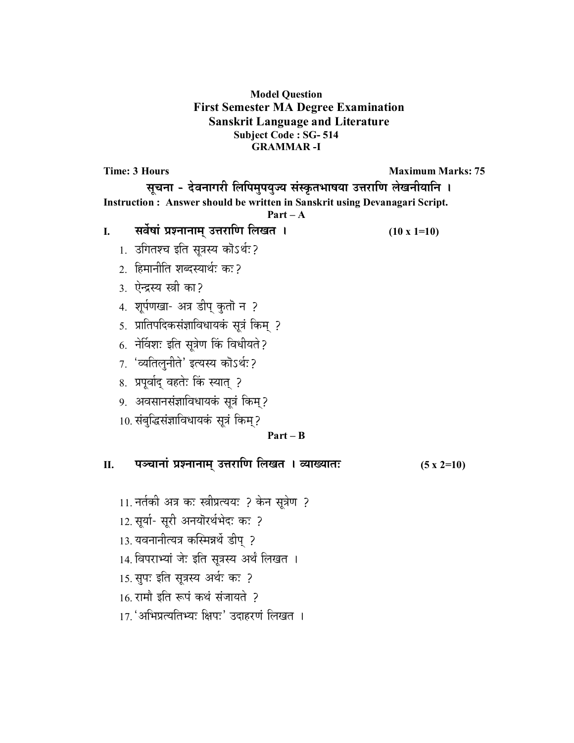#### **Model Question First Semester MA Degree Examination Sanskrit Language and Literature Subject Code : SG- 514 GRAMMAR -I**

**Time: 3 Hours Maximum Marks: 75 Maximum Marks: 75** सूचना - देवनागरी लिपिमुपयुज्य संस्कृतभाषया उत्तराणि लेखनीयानि । **Instruction : Answer should be written in Sanskrit using Devanagari Script. Part – A I. ∫…¥…Êπ……∆ |…∂x……x……®…¬ =k…Æ˙… h… ±…J…i… \* (10 x 1=10)** 1. उगितश्च इति सुत्रस्य कोऽर्थः? 2. हिमानीति शब्दस्यार्थः कः? 3. ऐन्द्रस्य स्त्री का? 4. शूर्पणखा- अत्र डीप् कुतॊ न ? 5. प्रातिपदिकसंज्ञाविधायकं सूत्रं किम् ?  $6.$  नेविशः इति सुत्रेण किं विधीयते ? 7. 'व्यतिलुनीते' इत्यस्य कॊऽर्थः? 8. प्रपूर्वाद् वहतेः किं स्यात् ? 9. अवसानसंज्ञाविधायकं सूत्रं किम्? 10. संबुद्धिसंज्ञाविधायकं सूत्रं किम्? **Part – B**  <u>II. यञ्चानां प्रश्नानाम् उत्तराणि लिखत । व्याख्यातः (5 x 2=10)</u> 11. नर्तकी अत्र कः स्त्रीप्रत्ययः ? केन सूत्रेण ? 12. सूर्या- सूरी अनयॊरर्थभेदः कः ? 13. यवनानीत्यत्र कस्मिन्नर्थे डीप् ? 14. विपराभ्यां जेः इति सुत्रस्य अर्थं लिखत । 15. सुपः इति सुत्रस्य अर्थः कः ?  $16.$  रामौ इति रूपं कथं संजायते ?

17. 'अभिप्रत्यतिभ्यः क्षिपः' उदाहरणं लिखत ।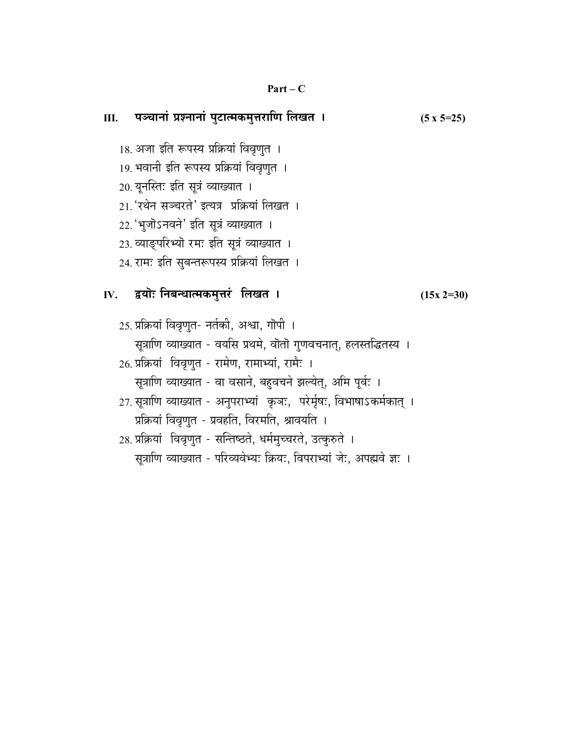#### $Part-C$

| Ⅲ. पञ्चानां प्रश्नानां पुटात्मकमुत्तराणि लिखत ।                                                                                                                                                                                                                                                                                                                                                                                                                                                                             | $(5 x 5=25)$ |
|-----------------------------------------------------------------------------------------------------------------------------------------------------------------------------------------------------------------------------------------------------------------------------------------------------------------------------------------------------------------------------------------------------------------------------------------------------------------------------------------------------------------------------|--------------|
| 18. अजा इति रूपस्य प्रक्रियां विवृणुत ।<br>19. भवानी इति रूपस्य प्रक्रियां विवृणुत ।<br>20. यूनस्तिः इति सूत्रं व्याख्यात ।<br>21. 'रथेन सञ्चरते' इत्यत्र  प्रक्रियां लिखत ।<br>22.'भूजॊऽनवने' इति सूत्रं व्याख्यात ।<br>23. व्याङ्परिभ्यॊ रमः इति सूत्रं व्याख्यात ।<br>24. रामः इति सुबन्तरूपस्य प्रक्रियां लिखत ।                                                                                                                                                                                                        |              |
| IV. द्वयॊः निबन्धात्मकमुत्तरं लिखत <b>।</b>                                                                                                                                                                                                                                                                                                                                                                                                                                                                                 | $(15x 2=30)$ |
| 25. प्रक्रियां विवृणुत- नर्तकी, अश्वा, गॊपी ।<br>सूत्राणि व्याख्यात - वयसि प्रथमे, वॊतॊ गुणवचनात्, हलस्तद्धितस्य ।<br>26. प्रक्रियां   विवृणुत - रामेण, रामाभ्यां, रामैः ।<br>सूत्राणि व्याख्यात - वा वसाने, बहुवचने झल्येत्, अमि पूर्वः ।<br>27. सूत्राणि व्याख्यात - अनुपराभ्यां  कृञः,  परेर्मृषः, विभाषाऽकर्मकात् ।<br>प्रक्रियां विवृणुत - प्रवहति, विरमति, श्रावयति ।<br>28. प्रक्रियां   विवृणुत - सन्तिष्ठते, धर्ममुच्चरते, उत्कुरुते ।<br>सूत्राणि व्याख्यात - परिव्यवेभ्यः क्रियः, विपराभ्यां जेः, अपह्मवे ज्ञः । |              |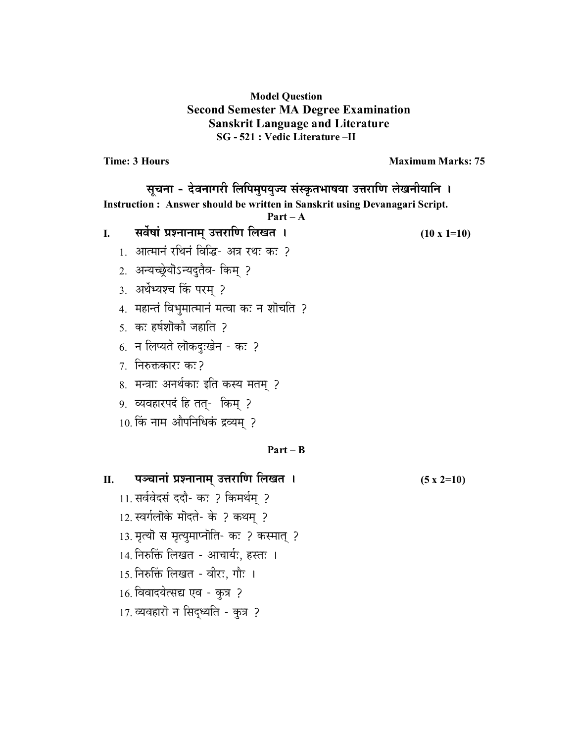#### **Model Question Second Semester MA Degree Examination Sanskrit Language and Literature SG - 521 : Vedic Literature –II**

**Time: 3 Hours Maximum Marks: 75** 

# सूचना - देवनागरी लिपिमुपयुज्य संस्कृतभाषया उत्तराणि लेखनीयानि । **Instruction : Answer should be written in Sanskrit using Devanagari Script. Part – A I. ∫…¥…Êπ……∆ |…∂x……x……®…¬ =k…Æ˙… h… ±…J…i… \* (10 x 1=10)** 1. आत्मानं रथिनं विद्धि- अत्र रथः कः ? 2. अन्यच्छ्रेयोऽन्यदुतैव- किम् ? 3. अर्थेभ्यश्च किं परम् ? 4. महान्तं विभुमात्मानं मत्वा कः न शोचति ?  $5.$  कः हर्षशोको जहाति ?  $6.$  न लिप्यते लॊकदुःखेन - कः ?  $7.$  निरुक्तकारः कः? 8. मन्त्राः अनर्थकाः इति कस्य मतम् ? 9. व्यवहारपदं हि तत्- किम् ? 10. किं नाम औपनिधिकं द्रव्यम् ? **Part – B II. {…\S……x……∆ |…∂x……x……®…¬ =k…Æ˙… h… ±…J…i… \* (5 x 2=10)**  11. सर्ववेदसं ददौ- कः ? किमर्थम् ? 12. स्वर्गलॊके मॊदते- के ? कथम् ?

- 13. मृत्यॊ स मृत्युमाप्नॊति- कः ? कस्मात् ?
- 14. निरुक्तिं लिखत आचार्यः, हस्तः ।
- 15. निरुक्तिं लिखत वीरः, गौः ।
- $16.$  विवादयेत्सद्य एव कुत्र ?
- 17. व्यवहारो न सिद्ध्यति कुत्र ?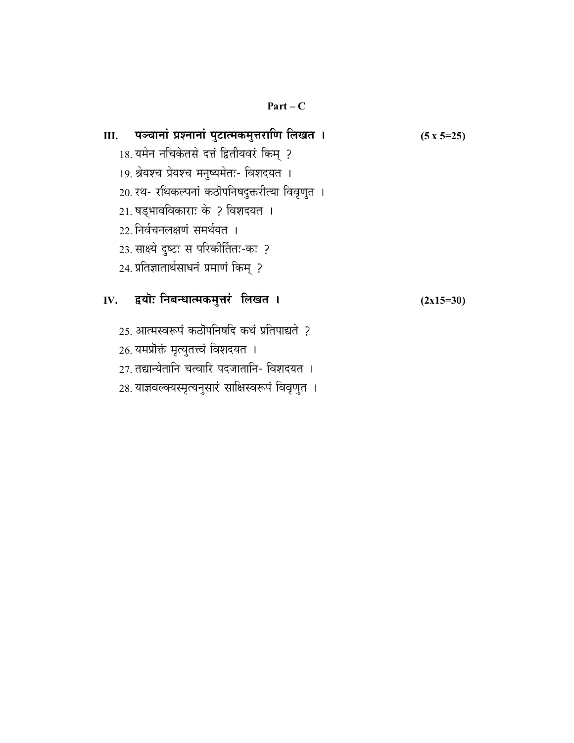#### **Part – C**

| Ⅲ. पञ्चानां प्रश्नानां पुटात्मकमुत्तराणि लिखत ।      | $(5 \times 5=25)$ |
|------------------------------------------------------|-------------------|
| 18. यमेन नचिकेतसे दत्तं द्वितीयवरं किम् ?            |                   |
| 19. श्रेयश्च प्रेयश्च मनुष्यमेतः- विशदयत ।           |                   |
| 20. रथ- रथिकल्पनां कठॊपनिषदुक्तरीत्या विवृणुत ।      |                   |
| 21. षड्भावविकाराः के ? विशदयत ।                      |                   |
| 22 निर्वचनलक्षणं समर्थयत ।                           |                   |
| 23. साक्ष्ये दृष्टः स परिकीर्तितः-कः ?               |                   |
| 24. प्रतिज्ञातार्थसाधनं प्रमाणं किम् ?               |                   |
| IV. द्वयॊः निबन्धात्मकमुत्तरं लिखत <b>।</b>          | $(2x15=30)$       |
| 25. आत्मस्वरूपं कठॊपनिषदि कथं प्रतिपाद्यते ?         |                   |
| 26. यमप्रोक्तं मृत्युतत्त्वं विशदयत ।                |                   |
| 27. तद्यान्येतानि चत्वारि पदजातानि- विशदयत ।         |                   |
| 28. याज्ञवल्क्यस्मृत्यनुसारं साक्षिस्वरूपं विवृणुत । |                   |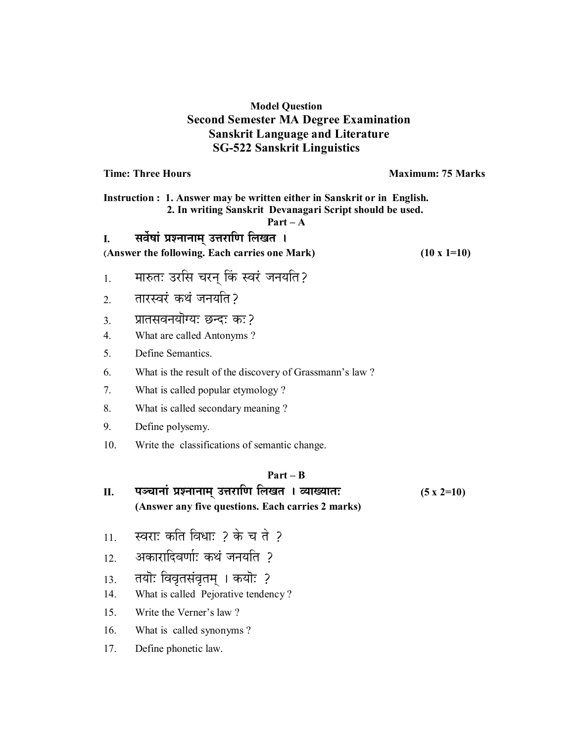#### **Model Question Second Semester MA Degree Examination Sanskrit Language and Literature SG-522 Sanskrit Linguistics**

**Time: Three Hours**  Maximum: 75 Marks

**Instruction : 1. Answer may be written either in Sanskrit or in English. 2. In writing Sanskrit Devanagari Script should be used.** 

#### **Part – A**

#### I. सर्वेषां प्रश्नानाम् उत्तराणि लिखत **।**

**(Answer the following. Each carries one Mark) (10 x 1=10)** 

- 1. मारुतः उरसि चरन् किं स्वरं जनयति?
- 2. im तारस्वरं कथं जनयति ?
- 3. II. प्रातसवनयॊग्यः छन्दः कः ?
- 4. What are called Antonyms ?
- 5. Define Semantics.
- 6. What is the result of the discovery of Grassmann's law ?
- 7. What is called popular etymology ?
- 8. What is called secondary meaning ?
- 9. Define polysemy.
- 10. Write the classifications of semantic change.

#### **Part – B**

#### <u>II. पञ्चानां प्रश्नानाम् उत्तराणि लिखत । व्याख्यातः (5 x 2=10)</u> **(Answer any five questions. Each carries 2 marks)**

- $11.$  स्वराः कति विधाः ? के च ते ?
- 12. अकारादिवर्णाः कथं जनयति ?
- 13. तयॊः विवृतसंवृतम् । कयॊः ?
- 14. What is called Pejorative tendency ?
- 15. Write the Verner's law ?
- 16. What is called synonyms ?
- 17. Define phonetic law.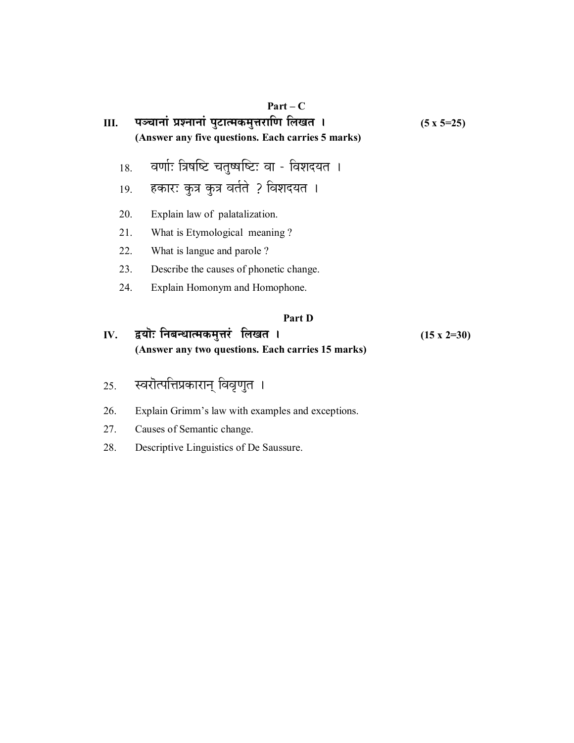| Ш.  | $Part - C$<br>पञ्चानां प्रश्नानां पुटात्मकमुत्तराणि लिखत ।<br>(Answer any five questions. Each carries 5 marks) | $(5 \times 5=25)$ |
|-----|-----------------------------------------------------------------------------------------------------------------|-------------------|
| 18. | वर्णाः त्रिषष्टि चतुष्षष्टिः वा - विशदयत ।                                                                      |                   |
| 19. | हकारः कुत्र कुत्र वर्तते ? विशदयत ।                                                                             |                   |
| 20. | Explain law of palatalization.                                                                                  |                   |
| 21. | What is Etymological meaning?                                                                                   |                   |
| 22. | What is langue and parole?                                                                                      |                   |
| 23. | Describe the causes of phonetic change.                                                                         |                   |
| 24. | Explain Homonym and Homophone.                                                                                  |                   |
|     | Part D                                                                                                          |                   |

### **IV.** द्वयॊ: निबन्धात्मकमुत्तरं लिखत । (15 x 2=30) **(Answer any two questions. Each carries 15 marks)**

- 25. स्वरॊत्पत्तिप्रकारान् विवृणुत ।
- 26. Explain Grimm's law with examples and exceptions.
- 27. Causes of Semantic change.
- 28. Descriptive Linguistics of De Saussure.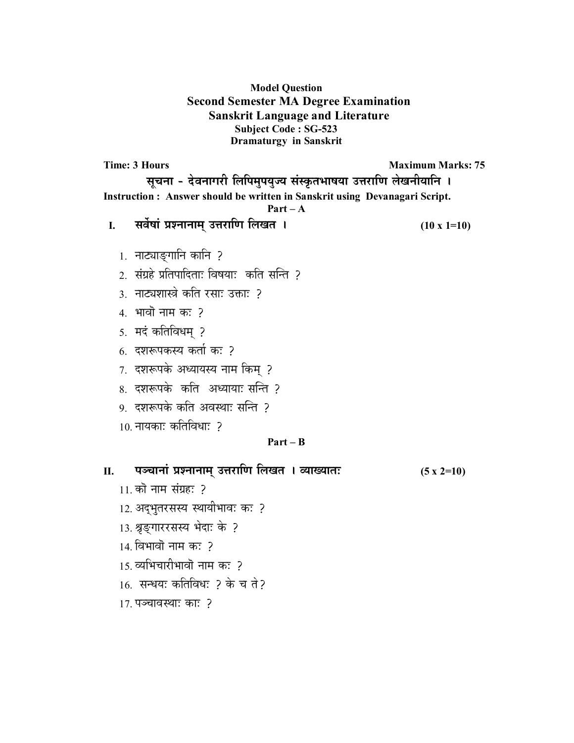#### **Model Question Second Semester MA Degree Examination Sanskrit Language and Literature Subject Code : SG-523 Dramaturgy in Sanskrit**

**Time: 3 Hours Maximum Marks: 75** सूचना - देवनागरी लिपिमुपयुज्य संस्कृतभाषया उत्तराणि लेखनीयानि **। Instruction : Answer should be written in Sanskrit using Devanagari Script. Part – A I. ∫…¥…Êπ……∆ |…∂x……x……®…¬ =k…Æ˙… h… ±…J…i… \* (10 x 1=10)** 1. नाट्याङ्गानि कानि ? 2. संग्रहे प्रतिपादिताः विषयाः कति सन्ति ? 3. नाट्यशास्त्रे कति रसाः उक्ताः ? 4. भावो नाम क: ? 5. मदं कतिविधम् ?  $6.$  दशरूपकस्य कर्ता कः ? 7. दशरूपके अध्यायस्य नाम किम् ? 8. दशरूपके कति अध्यायाः सन्ति ? 9. दशरूपके कति अवस्थाः सन्ति ?  $10$  नायका: कतिविधा: २ **Part – B**  <u>II. यञ्चानां प्रश्नानाम् उत्तराणि लिखत । व्याख्यातः (5 x 2=10)</u>  $11.$  को नाम संग्रह: ? 12. अद्भुतरसस्य स्थायीभावः कः ? 13. श्रृङ्गाररसस्य भेदाः के ?  $14.$  विभावो नाम कः ? 15. व्यभिचारीभावॊ नाम कः 2 16. सन्धयः कतिविधः ? के च ते?

 $17.$  पञ्चावस्थाः काः ?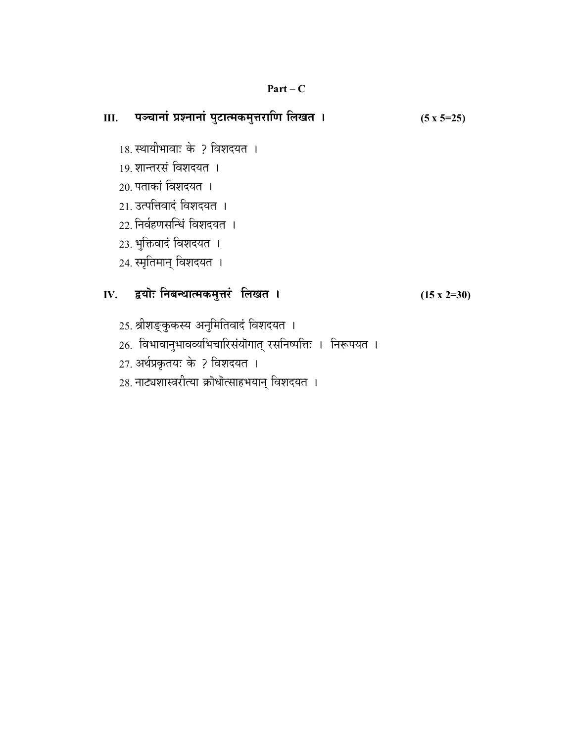#### **Part – C**

# <u>III. यञ्चानां प्रश्नानां पुटात्मकमुत्तराणि लिखत । (5 x 5=25)</u> 18. स्थायीभावाः के ? विशदयत । 19. शान्तरसं विशदयत**ा**  $20.$  पताकां विशदयत $\perp$ 21. उत्पत्तिवादं विशदयत । 22. निर्वहणसन्धिं विशदयत । 23. भुक्तिवादं विशदयत । 24. स्मृतिमान् विशदयत ।

### **IV. u˘™……‡& x…§…xv……i®…EÚ®…÷k…Æ∆˙ ±…J…i… \* (15 x 2=30)**

- 25. श्रीशङ्कुकस्य अनुमितिवादं विशदयत ।
- 26. विभावानुभावव्यभिचारिसंयॊगात् रसनिष्पत्तिः । निरूपयत ।
- 27. अर्थप्रकृतयः के ? विशदयत ।
- 28. नाट्यशास्त्ररीत्या क्रोधोत्साहभयान् विशदयत ।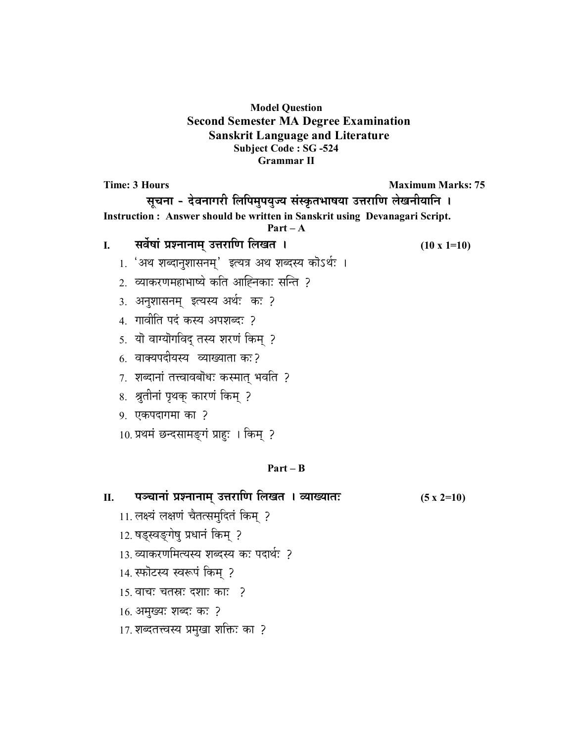#### **Model Question Second Semester MA Degree Examination Sanskrit Language and Literature Subject Code : SG -524 Grammar II**

**Time: 3 Hours Maximum Marks: 75 <b>Maximum Marks: 75** सूचना - देवनागरी लिपिमुपयुज्य संस्कृतभाषया उत्तराणि लेखनीयानि । **Instruction : Answer should be written in Sanskrit using Devanagari Script. Part – A I.** सर्वेषां प्रश्नानाम् उत्तराणि लिखत । (10 x 1=10) 1. 'अथ शब्दानुशासनम्' इत्यत्र अथ शब्दस्य कोऽर्थः । 2. व्याकरणमहाभाष्ये कति आह्निकाः सन्ति ? 3. अनुशासनम् इत्यस्य अर्थः कः ? 4. गावीति पदं कस्य अपशब्दः ? 5. यो वाग्योगविद् तस्य शरणं किम् ? 6. वाक्यपदीयस्य व्याख्याता कः? 7. शब्दानां तत्त्वावबोधः कस्मात् भवति ? 8. श्रुतीनां पृथक् कारणं किम् ? 9. एकपदागमा का ? 10. प्रथमं छन्दसामङ्गं प्राहः । किम् ? **Part – B** 

## <u>II. यञ्चानां प्रश्नानाम् उत्तराणि लिखत । व्याख्यातः (5 x 2=10)</u>

- 11. लक्ष्यं लक्षणं चैतत्समृदितं किम् ?
- 12. षड्स्वङ्गेषु प्रधानं किम् ?
- 13. व्याकरणमित्यस्य शब्दस्य कः पदार्थः ?
- 14. स्फोटस्य स्वरूपं किम् ?
- $15.$  वाचः चतस्रः दशाः काः ?
- 16. अमुख्यः शब्दः कः ?
- 17. शब्दतत्त्वस्य प्रमुखा शक्तिः का ?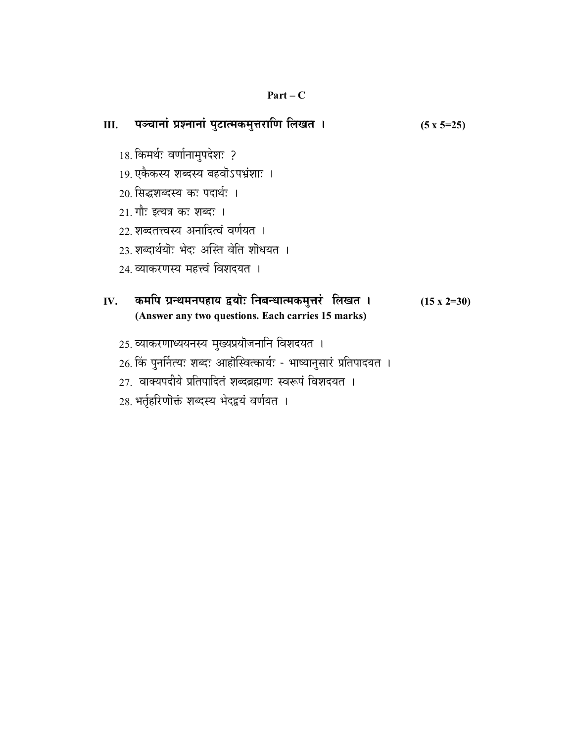#### **Part – C**

| Ш.  | पञ्चानां प्रश्नानां पुटात्मकमुत्तराणि लिखत ।                                                                                                                                                                                                          | $(5 \times 5=25)$  |
|-----|-------------------------------------------------------------------------------------------------------------------------------------------------------------------------------------------------------------------------------------------------------|--------------------|
|     | 18. किमर्थः वर्णानामुपदेशः ?<br>19 एकैकस्य शब्दस्य बहवोऽपभ्रंशाः ।<br>20 सिद्धशब्दस्य कः पदार्थः ।<br>21. गौः इत्यत्र कः शब्दः ।<br>22 शब्दतत्त्वस्य अनादित्वं वर्णयत ।<br>23 शब्दार्थयॊ: भेद: अस्ति वेति शॊधयत ।<br>24. व्याकरणस्य महत्त्वं विशदयत । |                    |
| IV. | कमपि ग्रन्थमनपहाय द्वयॊः निबन्धात्मकमुत्तरं लिखत ।<br>(Answer any two questions. Each carries 15 marks)                                                                                                                                               | $(15 \times 2=30)$ |
|     | 25. व्याकरणाध्ययनस्य मुख्यप्रयोजनानि विशदयत ।<br>26. किं पुनर्नित्यः शब्दः आहोस्वित्कार्यः - भाष्यानुसारं प्रतिपादयत ।<br>27. वाक्यपदीये प्रतिपादितं शब्दब्रह्मणः स्वरूपं विशदयत ।<br>28. भर्तृहरिणॊक्तं शब्दस्य भेदद्वयं वर्णयत ।                    |                    |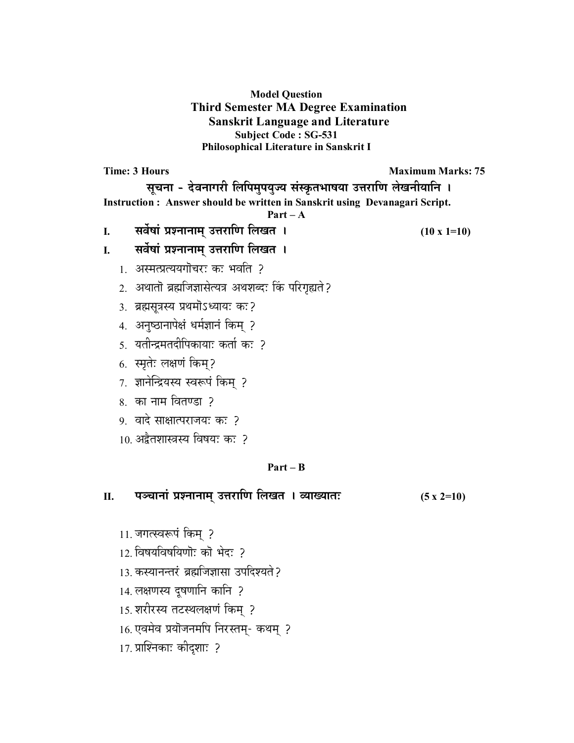**Model Question Third Semester MA Degree Examination Sanskrit Language and Literature Subject Code : SG-531 Philosophical Literature in Sanskrit I** 

**Time: 3 Hours Maximum Marks: 75 Maximum Marks: 75** सूचना - देवनागरी लिपिमुपयुज्य संस्कृतभाषया उत्तराणि लेखनीयानि **। Instruction : Answer should be written in Sanskrit using Devanagari Script. Part – A I. ∫…¥…Êπ……∆ |…∂x……x……®…¬ =k…Æ˙… h… ±…J…i… \* (10 x 1=10)** I. सर्वेषां प्रश्नानाम् उत्तराणि लिखत **।** 1. अस्मत्प्रत्ययगोचरः कः भवति ? 2. अथातो ब्रह्मजिज्ञासेत्यत्र अथशब्दः किं परिगृह्यते ? 3. ब्रह्मसूत्रस्य प्रथमोऽध्यायः कः? 4. अनुष्ठानापेक्षं धर्मज्ञानं किम् ? <u>5. यतीन्द्रमतदीपिकायाः कर्ता कः ?</u> 6. स्मृतेः लक्षणं किम्? 7. ज्ञानेन्द्रियस्य स्वरूपं किम् ?  $8.$  का नाम वितण्डा ? 9. वादे साक्षात्पराजयः कः ? 10. अद्वैतशास्त्रस्य विषयः कः ? **Part – B**  <u>II. यञ्चानां प्रश्नानाम् उत्तराणि लिखत । व्याख्यातः (5 x 2=10)</u> 11. जगत्स्वरूपं किम् ?

- 12 विषयविषयिणोः को भेदः ?
- 13. कस्यानन्तरं ब्रह्मजिज्ञासा उपदिश्यते ?
- 14. लक्षणस्य दूषणानि कानि ?
- 15. शरीरस्य तटस्थलक्षणं किम्?
- 16. एवमेव प्रयोजनमपि निरस्तम्- कथम् ?
- 17. प्राश्निकाः कीदृशाः ?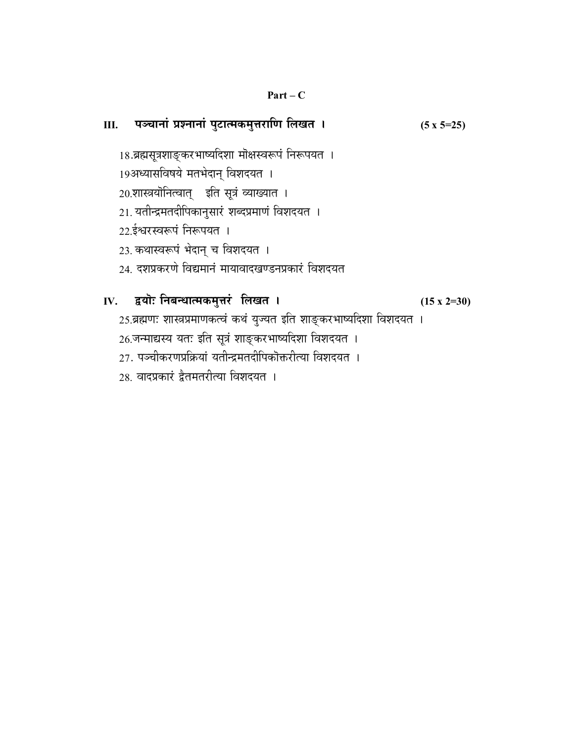#### $Part-C$

 $(5 x 5=25)$ 

III. पञ्चानां प्रश्नानां पुटात्मकमुत्तराणि लिखत ।

# 18.ब्रह्मसूत्रशाङ्करभाष्यदिशा मोक्षस्वरूपं निरूपयत । 19अध्यासविषये मतभेदान् विशदयत । 20.शास्त्रयोनित्वात् इति सूत्रं व्याख्यात । 21. यतीन्द्रमतदीपिकानुसारं शब्दप्रमाणं विशदयत । 22.ईश्वरस्वरूपं निरूपयत । 23. कथास्वरूपं भेदान् च विशदयत । 24. दशप्रकरणे विद्यमानं मायावादखण्डनप्रकारं विशदयत IV. द्वयॊ: निबन्धात्मकमुत्तरं लिखत ।  $(15 \times 2=30)$ 25.ब्रह्मणः शास्त्रप्रमाणकत्वं कथं युज्यत इति शाङ्करभाष्यदिशा विशदयत । 26.जन्माद्यस्य यतः इति सूत्रं शाङ्करभाष्यदिशा विशदयत । 27. पञ्चीकरणप्रक्रियां यतीन्द्रमतदीपिकॊक्तरीत्या विशदयत । 28. वादप्रकारं द्वैतमतरीत्या विशदयत ।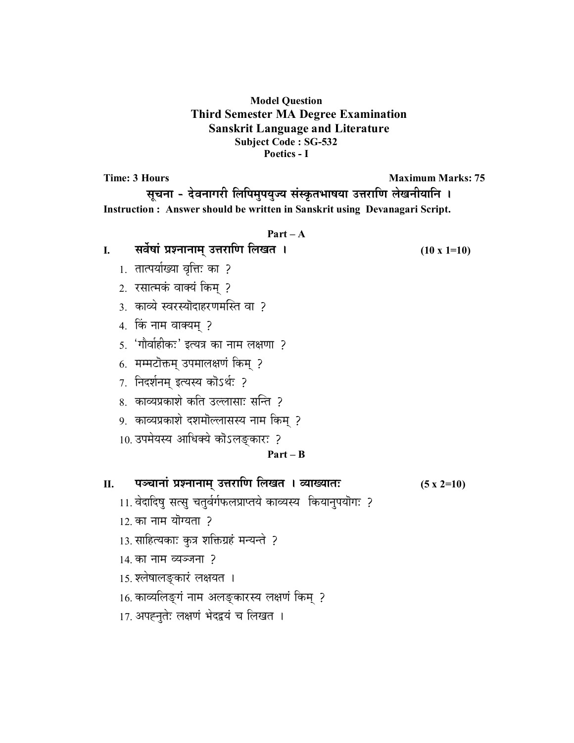#### **Model Question Third Semester MA Degree Examination Sanskrit Language and Literature Subject Code : SG-532 Poetics - I**

**Time: 3 Hours Maximum Marks: 75 Maximum Marks: 75** 

सूचना - देवनागरी लिपिमुपयुज्य संस्कृतभाषया उत्तराणि लेखनीयानि । **Instruction : Answer should be written in Sanskrit using Devanagari Script.** 

#### **Part – A**

**I.** सर्वेषां प्रश्नानाम् उत्तराणि लिखत । (10 x 1=10)

- 1. तात्पर्याख्या वृत्तिः का ?
- 2. रसात्मकं वाक्यं किम् ?
- 3. काव्ये स्वरस्योदाहरणमस्ति वा ?
- 4. किं नाम वाक्यम् ?
- 5. 'गौर्वाहीकः' इत्यत्र का नाम लक्षणा ?
- 6. मम्मटोक्तम् उपमालक्षणं किम् ?
- 7. निदर्शनम् इत्यस्य कोऽर्थः ?
- 8. काव्यप्रकाशे कति उल्लासाः सन्ति ?
- 9. काव्यप्रकाशे दशमोल्लासस्य नाम किम् ?
- 10. उपमेयस्य आधिक्ये कोऽलङ्कारः ?

#### **Part – B**

<u>II. यञ्चानां प्रश्नानाम् उत्तराणि लिखत । व्याख्यातः (5 x 2=10)</u>

- 11. वेदादिषु सत्सु चतुर्वर्गफलप्राप्तये काव्यस्य कियानुपयॊगः ?
- $12.$  का नाम योग्यता ?
- 13. साहित्यकाः कुत्र शक्तिग्रहं मन्यन्ते ?
- $14.$  का नाम व्यञ्जना ?
- 15. श्लेषालङ्कारं लक्षयत ।
- 16. काव्यलिङ्गं नाम अलङ्कारस्य लक्षणं किम् ?
- 17. अपह्नुतेः लक्षणं भेदद्वयं च लिखत ।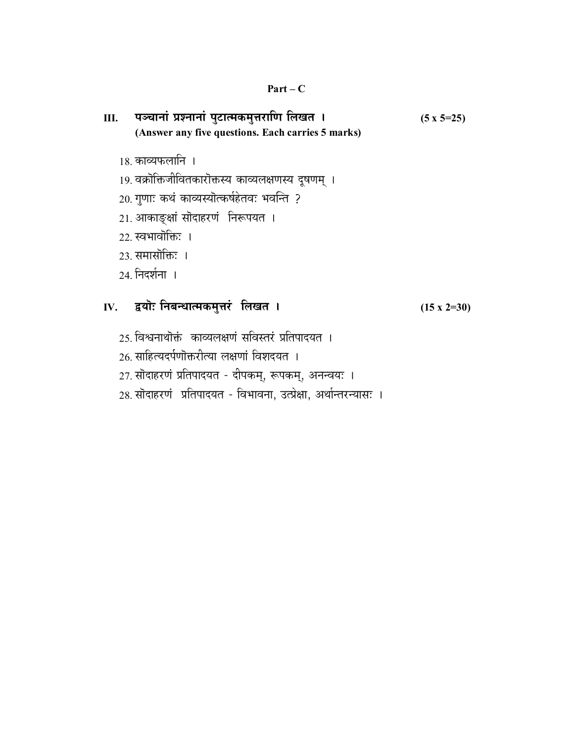# <u>III. यञ्चानां प्रश्नानां पुटात्मकमुत्तराणि लिखत । (5 x 5=25)</u> **(Answer any five questions. Each carries 5 marks)**

- 18. काव्यफलानि ।
- 19. वक्रोक्तिजीवितकारोक्तस्य काव्यलक्षणस्य दूषणम् ।
- 20. गुणाः कथं काव्यस्योत्कर्षहेतवः भवन्ति ?
- 21. आकाङ्क्षां सोदाहरणं निरूपयत ।
- $22.$  स्वभावॊक्तिः ।
- $23.$  समासोकिः ।
- 24. निदर्शना ।

# **IV.** द्वयॊ: निबन्धात्मकमुत्तरं लिखत । (15 x 2=30)

- 25. विश्वनाथोक्तं काव्यलक्षणं सविस्तरं प्रतिपादयत ।
- 26. साहित्यदर्पणोक्तरीत्या लक्षणां विशदयत ।
- 27. सोदाहरणं प्रतिपादयत दीपकम्, रूपकम्, अनन्वयः ।
- 28. सोदाहरणं प्रतिपादयत विभावना, उत्प्रेक्षा, अर्थान्तरन्यासः ।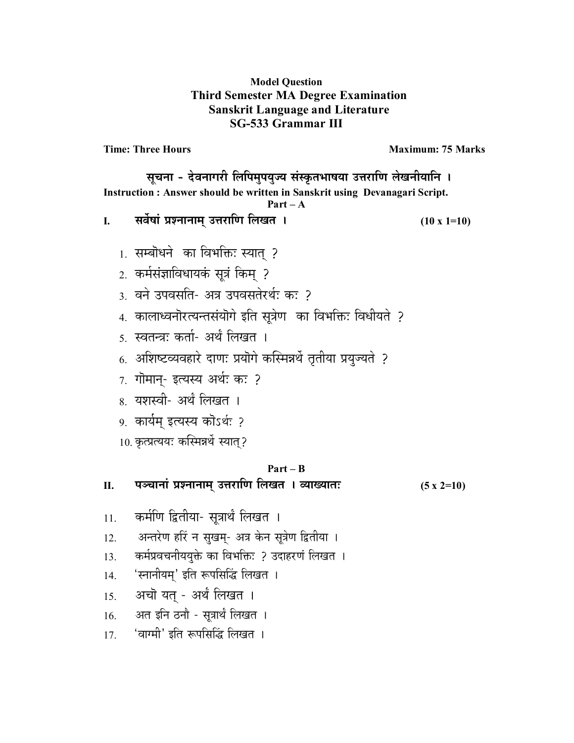#### **Model Question Third Semester MA Degree Examination Sanskrit Language and Literature SG-533 Grammar III**

**Time: Three Hours Maximum: 75 Marks** 

सूचना - देवनागरी लिपिमुपयुज्य संस्कृतभाषया उत्तराणि लेखनीयानि । **Instruction : Answer should be written in Sanskrit using Devanagari Script.** 

#### **Part – A**

- **I.** सर्वेषां प्रश्नानाम् उत्तराणि लिखत । (10 x 1=10)
	- $1$ . सम्बॊधने का विभक्तिः स्यात ?
	- 2. कर्मसंज्ञाविधायकं सूत्रं किम ?
	- <u>3. वने उपवसति- अत्र उपवसतेरर्थः कः 2</u>
	- 4. कालाध्वनॊरत्यन्तसंयॊगे इति सूत्रेण का विभक्तिः विधीयते ?
	- 5. स्वतन्त्र: कर्ता- अर्थं लिखत**ा**
	- 6. अशिष्टव्यवहारे दाणः प्रयोगे कस्मिन्नर्थे तृतीया प्रयुज्यते ?
	- $7.$  गोमान्- इत्यस्य अर्थः कः ?
	- 8. यशस्वी- अर्थं लिखत ।
	- 9. कार्यम् इत्यस्य कोऽर्थः ?
	- 10. कृत्प्रत्ययः कस्मिन्नर्थे स्यात्?

#### **Part – B**

<u>II. पञ्चानां प्रश्नानाम् उत्तराणि लिखत । व्याख्यातः (5 x 2=10)</u>

- 11. कर्मणि द्वितीया- सूत्रार्थं लिखत ।
- 12. अन्तरेण हरिं न सुखम्- अत्र केन सूत्रेण द्वितीया ।
- 13. कर्मप्रवचनीययुक्ते का विभक्तिः ? उदाहरणं लिखत ।
- 14. 'स्नानीयम्' इति रूपसिद्धिं लिखत ।
- 15. अचो यत् अर्थं लिखत ।
- $16.$  अत इनि ठनौ सुत्रार्थं लिखत ।
- 17. 'वाग्मी' इति रूपसिद्धिं लिखत ।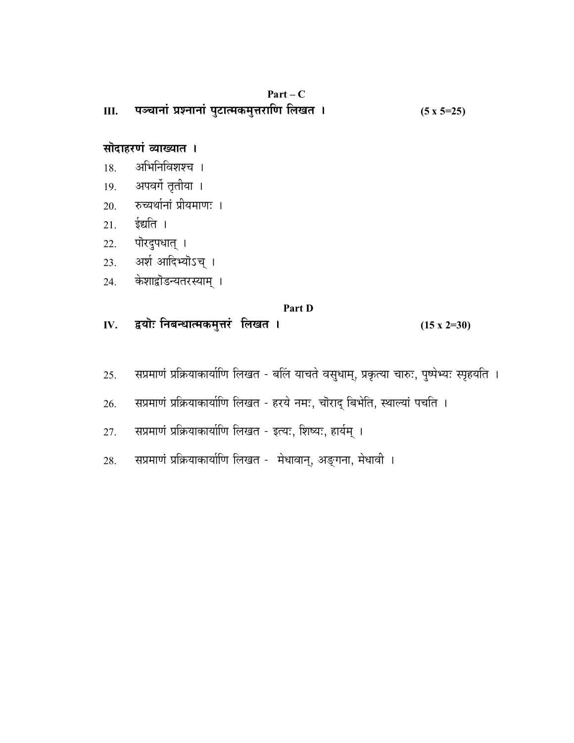| Ш.  | $Part - C$<br>पञ्चानां प्रश्नानां पुटात्मकमुत्तराणि लिखत । | $(5 \times 5=25)$  |
|-----|------------------------------------------------------------|--------------------|
|     | सोदाहरणं व्याख्यात ।                                       |                    |
| 18. | अभिनिविशश्च ।                                              |                    |
|     | 19. अपवर्गे तृतीया ।                                       |                    |
|     | 20. रुच्यर्थानां प्रीयमाणः ।                               |                    |
| 21. | ईद्यति ।                                                   |                    |
| 22. | पॊरदुपधात् ।                                               |                    |
|     | 23. अर्श आदिभ्योऽच् ।                                      |                    |
|     | 24. केशाद्वोडन्यतरस्याम् ।                                 |                    |
|     | Part D                                                     |                    |
|     | IV. द्वयॊः निबन्धात्मकमुत्तरं लिखत <b>।</b>                | $(15 \times 2=30)$ |

- सप्रमाणं प्रक्रियाकार्याणि लिखत बलिं याचते वसुधाम्, प्रकृत्या चारुः, पुष्पेभ्यः स्पृहयति । 25.
- सप्रमाणं प्रक्रियाकार्याणि लिखत हरये नमः, चॊराद् बिभेति, स्थाल्यां पचति । 26.
- सप्रमाणं प्रक्रियाकार्याणि लिखत इत्यः, शिष्यः, हार्यम् । 27.
- सप्रमाणं प्रक्रियाकार्याणि लिखत मेधावान्, अङ्गना, मेधावी । 28.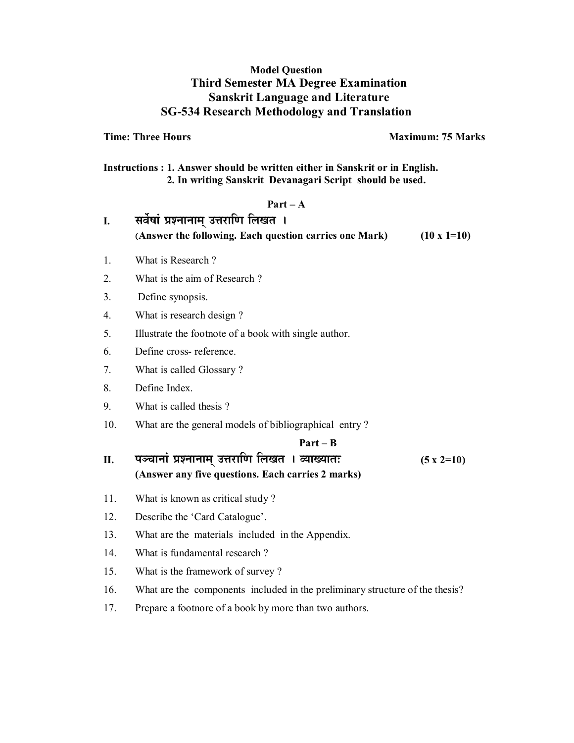#### **Model Question Third Semester MA Degree Examination Sanskrit Language and Literature SG-534 Research Methodology and Translation**

**Time: Three Hours Maximum: 75 Marks** 

**Instructions : 1. Answer should be written either in Sanskrit or in English. 2. In writing Sanskrit Devanagari Script should be used.** 

#### **Part – A**

I. सर्वेषां प्रश्नानाम् उत्तराणि लिखत **। (Answer the following. Each question carries one Mark) (10 x 1=10)**  1. What is Research ? 2. What is the aim of Research ? 3. Define synopsis. 4. What is research design ? 5. Illustrate the footnote of a book with single author. 6. Define cross- reference. 7. What is called Glossary ? 8. Define Index. 9. What is called thesis ? 10. What are the general models of bibliographical entry ?  **Part – B**  <u>II. पञ्चानां प्रश्नानाम् उत्तराणि लिखत । व्याख्यातः (5 x 2=10)</u> **(Answer any five questions. Each carries 2 marks)** 11. What is known as critical study ? 12. Describe the 'Card Catalogue'. 13. What are the materials included in the Appendix. 14. What is fundamental research ? 15. What is the framework of survey ? 16. What are the components included in the preliminary structure of the thesis? 17. Prepare a footnore of a book by more than two authors.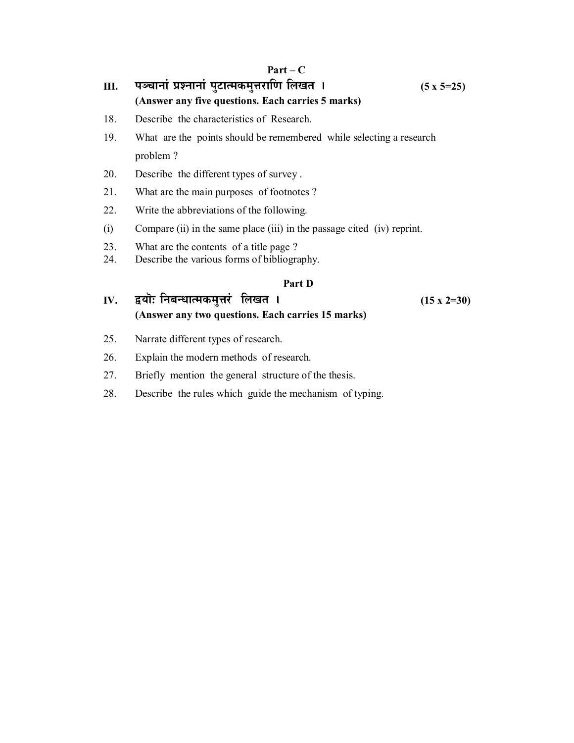## <u>III. पञ्चानां प्रश्नानां पुटात्मकमुत्तराणि लिखत । (5 x 5=25)</u> **(Answer any five questions. Each carries 5 marks)**

- 18. Describe the characteristics of Research.
- 19. What are the points should be remembered while selecting a research problem ?
- 20. Describe the different types of survey .
- 21. What are the main purposes of footnotes ?
- 22. Write the abbreviations of the following.
- (i) Compare (ii) in the same place (iii) in the passage cited (iv) reprint.
- 
- 23. What are the contents of a title page ?<br>24. Describe the various forms of bibliography Describe the various forms of bibliography.

#### **Part D**

- **IV.** द्वयॊ: निबन्धात्मकमुत्तरं लिखत । (15 x 2=30) **(Answer any two questions. Each carries 15 marks)**
- 25. Narrate different types of research.
- 26. Explain the modern methods of research.
- 27. Briefly mention the general structure of the thesis.
- 28. Describe the rules which guide the mechanism of typing.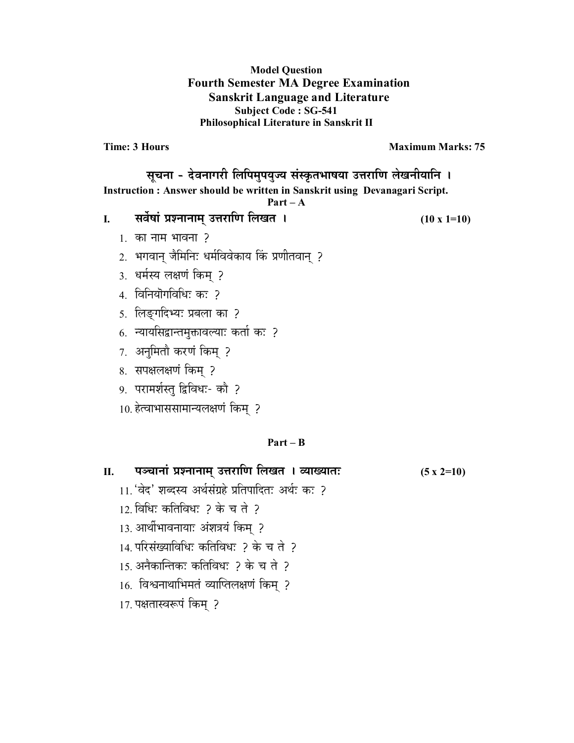#### **Model Question Fourth Semester MA Degree Examination Sanskrit Language and Literature Subject Code : SG-541 Philosophical Literature in Sanskrit II**

**Time: 3 Hours Maximum Marks: 75** 

सूचना - देवनागरी लिपिमुपयुज्य संस्कृतभाषया उत्तराणि लेखनीयानि । **Instruction : Answer should be written in Sanskrit using Devanagari Script.** 

**Part – A** 

**I. ∫…¥…Êπ……∆ |…∂x……x……®…¬ =k…Æ˙… h… ±…J…i… \* (10 x 1=10)**

- $1.$  का नाम भावना ?
- 2. भगवान् जैमिनिः धर्मविवेकाय किं प्रणीतवान् ?
- 3. धर्मस्य लक्षणं किम् ?
- 4. विनियॊगविधिः कः ?
- 5. लिङ्गदिभ्यः प्रबला का ?
- 6. न्यायसिद्वान्तमुक्तावल्याः कर्ता कः ?
- 7. अनुमितौ करणं किम् ?
- 8. सपक्षलक्षणं किम् ?
- 9. परामर्शस्त् द्विविधः- कौ ?
- 10. हेत्वाभाससामान्यलक्षणं किम् ?

#### **Part – B**

| П. | ्पञ्चानां प्रश्नानाम् उत्तराणि लिखत <b> । व्याख्यातः</b> | $(5 \times 2=10)$ |
|----|----------------------------------------------------------|-------------------|
|----|----------------------------------------------------------|-------------------|

- 11. 'वेद' शब्दस्य अर्थसंग्रहे प्रतिपादितः अर्थः कः ?
- 12. बिधिः कतिविधः ? के च ते ?
- 13. आर्थीभावनायाः अंशत्रयं किम् ?
- 14. परिसंख्याविधिः कतिविधः ? के च ते ?
- $15.$  अनैकान्तिक: कतिविध: ? के च ते ?
- 16. विश्वनाथाभिमतं व्याप्तिलक्षणं किम् ?
- 17. पक्षतास्वरूपं किम् ?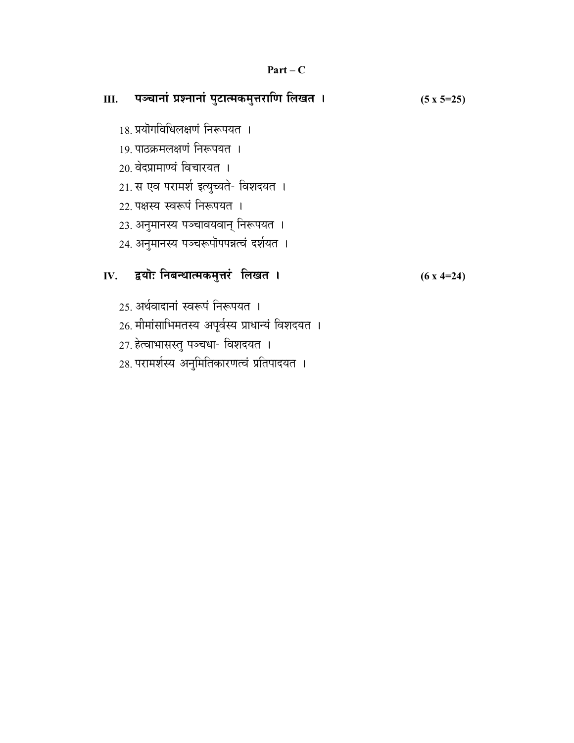#### $Part - C$

# Ⅲ. पञ्चानां प्रश्नानां पुटात्मकमुत्तराणि लिखत ।  $(5 \times 5=25)$ 18 प्रयोगविधिलक्षणं निरूपयत । 19. पाठक्रमलक्षणं निरूपयत । 20 वेदप्रामाण्यं विचारयत । 21. स एव परामर्श इत्युच्यते- विशदयत । 22. पक्षस्य स्वरूपं निरूपयत । 23. अनुमानस्य पञ्चावयवान् निरूपयत । 24. अनुमानस्य पञ्चरूपॊपपन्नत्वं दर्शयत । IV. द्वयोः निबन्धात्मकमुत्तरं लिखत ।  $(6x4=24)$ 25 अर्थवादानां स्वरूपं निरूपयत । 26. मीमांसाभिमतस्य अपूर्वस्य प्राधान्यं विशदयत । 27. हेत्वाभासस्तु पञ्चधा- विशदयत । 28. परामर्शस्य अनुमितिकारणत्वं प्रतिपादयत ।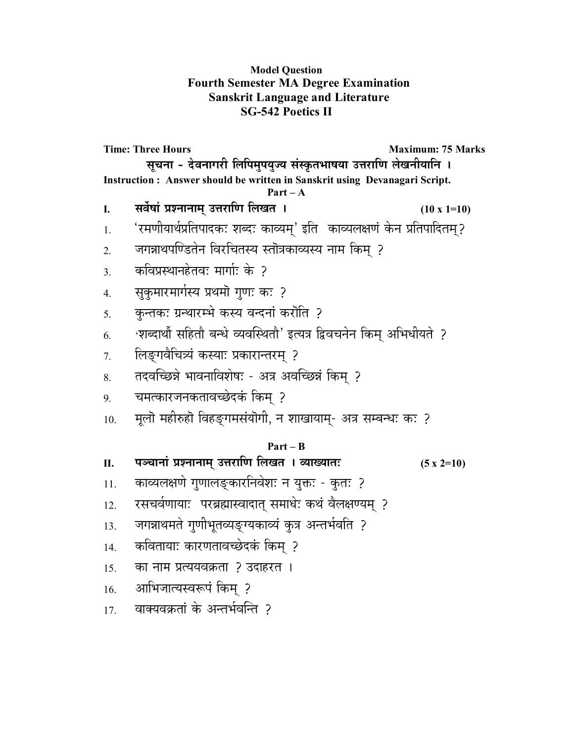### **Model Question Fourth Semester MA Degree Examination Sanskrit Language and Literature SG-542 Poetics II**

**Time: Three Hours**  Maximum: 75 Marks सूचना - देवनागरी लिपिमुपयुज्य संस्कृतभाषया उत्तराणि लेखनीयानि **। Instruction : Answer should be written in Sanskrit using Devanagari Script. Part – A I. ∫…¥…Êπ……∆ |…∂x……x……®…¬ =k…Æ˙… h… ±…J…i… \* (10 x 1=10)**  1. 'रमणीयार्थप्रतिपादकः शब्दः काव्यम्' इति काव्यलक्षणं केन प्रतिपादितम्?  $_{2.}$   $\,$  जगन्नाथपण्डितेन विरचितस्य स्तॊत्रकाव्यस्य नाम किम् ? <u>3. कविप्रस्थानहेतवः मार्गाः के ?</u> 4. ∑ सुकुमारमार्गस्य प्रथमॊ गुणः कः ? 5. कुन्तकः ग्रन्थारम्भे कस्य वन्दनां करोति ? 6. शब्दार्थौ सहितौ बन्धे व्यवस्थितौ' इत्यत्र द्विवचनेन किम् अभिधीयते ? <u>7. लिङ्गवैचित्र्यं कस्याः प्रकारान्तरम् ?</u> 8. तदवच्छिन्ने भावनाविशेषः - अत्र अवच्छिन्नं किम् ? 9. चमत्कारजनकतावच्छेदकं किम् ? <u>10. मू</u>लॊ महीरुहॊ विहङ्गमसंयॊगी, न शाखायाम्- अत्र सम्बन्धः कः ? **Part – B**  <u>II. यञ्चानां प्रश्नानाम् उत्तराणि लिखत । व्याख्यातः (5 x 2=10)</u> 11. काव्यलक्षणे गुणालङ्कारनिवेशः न युक्तः - कुतः ? 12. रसचर्वणायाः परब्रह्मास्वादात् समाधेः कथं वैलक्षण्यम् ? 13. जगन्नाथमते गुणीभूतव्यङ्ग्यकाव्यं कुत्र अन्तर्भवति ? <u>14. कवितायाः कारणतावच्छेदकं किम</u> ?  $15.$  का नाम प्रत्ययवक्रता ? उदाहरत । 16. आभिजात्यस्वरूपं किम ? 17. वाक्यवक्रतां के अन्तर्भवन्ति 2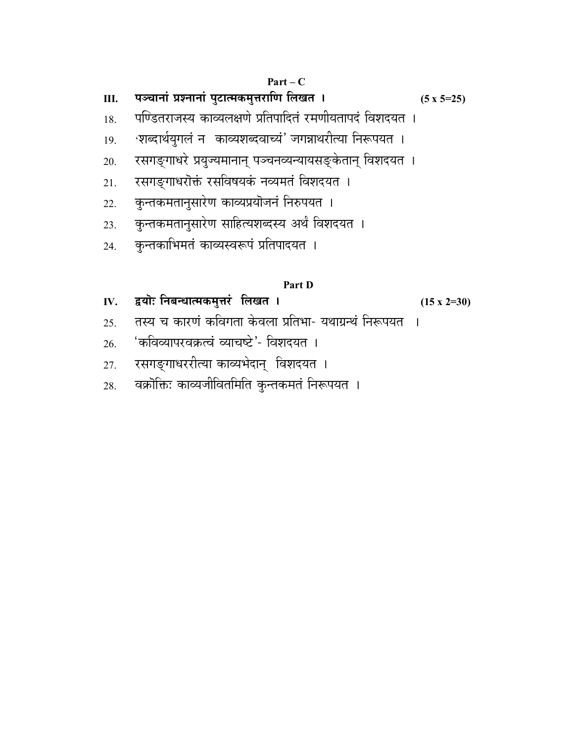# <u>III. पञ्चानां प्रश्नानां पुटात्मकमुत्तराणि लिखत । (5 x 5=25)</u>

- 18. पण्डितराजस्य काव्यलक्षणे प्रतिपादितं रमणीयतापदं विशदयत ।
- 19. अब्दार्थयुगलं न काव्यशब्दवाच्यं' जगन्नाथरीत्या निरूपयत ।
- 20. स्सगङ्गाधरे प्रयुज्यमानान् पञ्चनव्यन्यायसङ्केतान् विशदयत**।**
- 21. रसगङ्गाधरोक्तं रसविषयकं नव्यमतं विशदयत ।
- 22. कुन्तकमतानुसारेण काव्यप्रयोजनं निरुपयत ।
- 23. कुन्तकमतानुसारेण साहित्यशब्दस्य अर्थं विशदयत ।
- 24. कुन्तकाभिमतं काव्यस्वरूपं प्रतिपादयत ।

#### **Part D**

- **IV.** द्वयॊः निबन्धात्मकमुत्तरं लिखत । (15 x 2=30)
	-
- <u>25. तस्य च कारणं कविगता केवला प्रतिभा- यथाग्रन्थं निरूपयत ।</u>
- $26.$   $\,$  'कविव्यापरवक्रत्वं व्याचष्टे'- विशदयत ।
- 27. रसगङ्गाधररीत्या काव्यभेदान् विशदयत ।
- 28. वक्रोक्तिः काव्यजीवितमिति कुन्तकमतं निरूपयत ।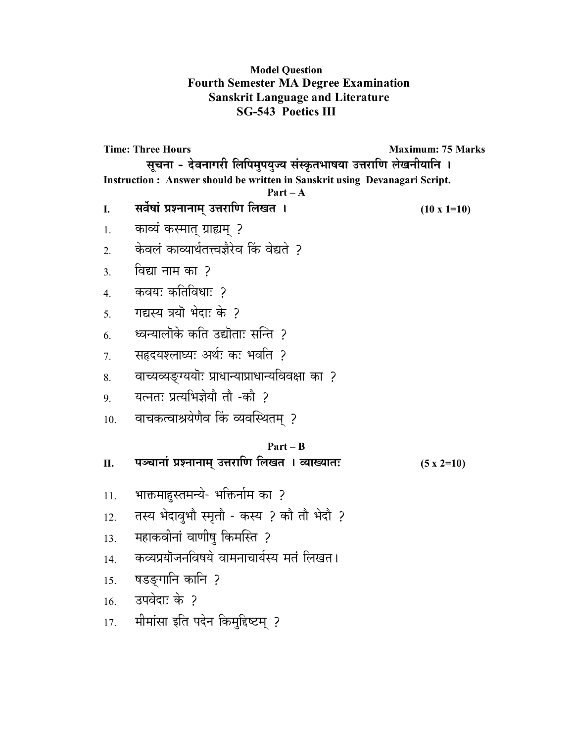### **Model Question Fourth Semester MA Degree Examination Sanskrit Language and Literature SG-543 Poetics III**

**Time: Three Hours**  Maximum: 75 Marks सूचना - देवनागरी लिपिमुपयुज्य संस्कृतभाषया उत्तराणि लेखनीयानि । **Instruction : Answer should be written in Sanskrit using Devanagari Script. Part – A I.** सर्वेषां प्रश्नानाम् उत्तराणि लिखत । (10 x 1=10) 1. काव्यं कस्मात् ग्राह्यम् ? <u>2. केवलं काव्यार्थतत्त्वज्ञैरेव किं वेद्यते ?</u> 3. ¥…t… x……®… EÚ… ? 4 कवयः कतिविधाः २ 5. 11द्यस्य त्रयॊ भेदाः के ?  $6.$  ध्वन्यालॊके कति उद्यॊताः सन्ति ? <u>7. सहृदयश्लाघ्यः अर्थः कः भवति ?</u> 8. वाच्यव्यङ्ग्ययॊः प्राधान्याप्राधान्यविवक्षा का ? 9. यत्नतः प्रत्यभिज्ञेयौ तौ -कौ ? 10. वाचकत्वाश्रयेणैव किं व्यवस्थितम् ? **Part – B**  <u>II. यञ्चानां प्रश्नानाम् उत्तराणि लिखत । व्याख्यातः (5 x 2=10)</u> 11. भाक्तमाहस्तमन्ये- भक्तिर्नाम का ? 12. तस्य भेदावूभौ स्मृतौ - कस्य ? कौ तौ भेदौ ? 13. महाकवीनां वाणीषु किमस्ति ? 14. कव्यप्रयॊजनविषये वामनाचार्यस्य मतं लिखत। 15. षडङगानि कानि ?  $16.$  उपवेदाः के ? 17. मीमांसा इति पदेन किमुद्दिष्टम् ?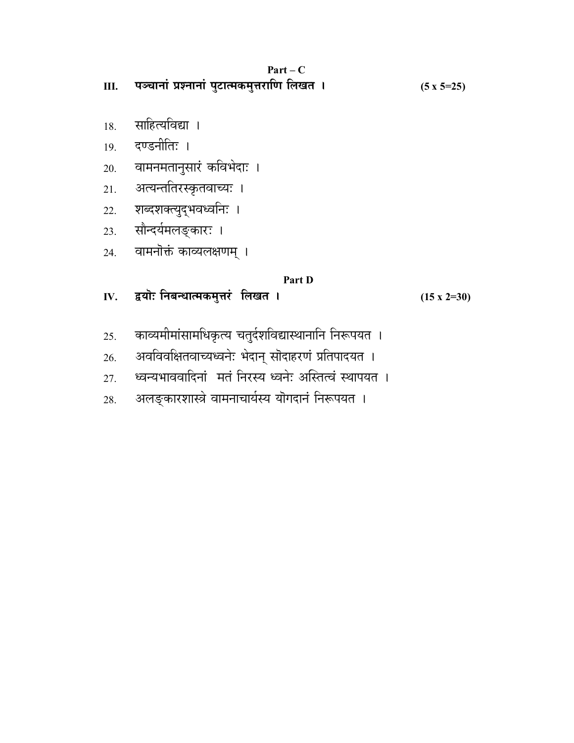| . .<br>аг |  |
|-----------|--|
|-----------|--|

<u>III. पञ्चानां प्रश्नानां पुटात्मकमुत्तराणि लिखत । (5 x 5=25)</u>

- 18. साहित्यविद्या ।
- 19. दण्डनीतिः ।
- 20. वामनमतानुसारं कविभेदाः ।
- 21. अत्यन्ततिरस्कृतवाच्यः ।
- 22. शब्दशक्त्युद्भवध्वनिः ।
- 23. सौन्दर्यमलङ्कारः ।
- .<br>24. वामनोक्तं काव्यलक्षणम् ।

### **Part D**

**IV.** द्वयॊ: निबन्धात्मकमुत्तरं लिखत । (15 x 2=30)

- 25. काव्यमीमांसामधिकृत्य चतुर्दशविद्यास्थानानि निरूपयत ।
- 26. अवविवक्षितवाच्यध्वनेः भेदान् सोदाहरणं प्रतिपादयत ।
- <u>27. ध्वन्यभाववादिनां मतं निरस्य ध्वनेः अस्तित्वं स्थापयत ।</u>
- 28. अलङ्कारशास्त्रे वामनाचार्यस्य यॊगदानं निरूपयत ।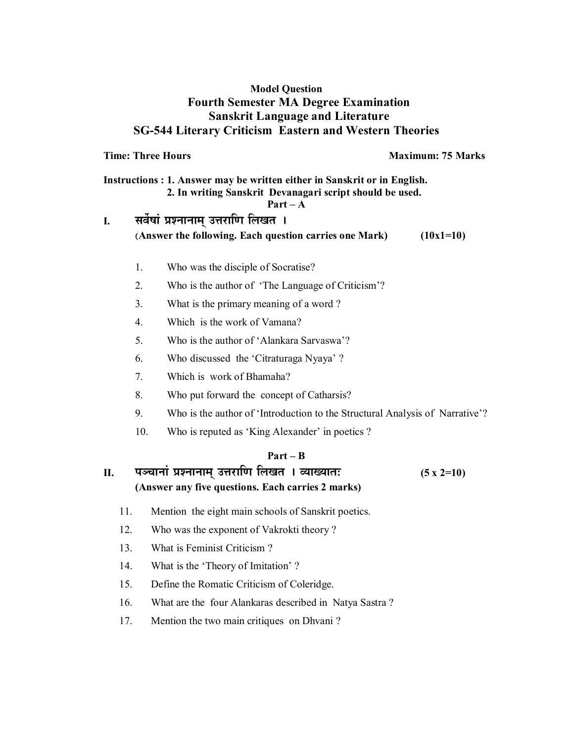#### **Model Question Fourth Semester MA Degree Examination Sanskrit Language and Literature SG-544 Literary Criticism Eastern and Western Theories**

**Time: Three Hours**  Maximum: 75 Marks

**Instructions : 1. Answer may be written either in Sanskrit or in English. 2. In writing Sanskrit Devanagari script should be used.** 

#### **Part – A**

# I. **4 सर्वेषां प्रश्नानाम् उत्तराणि लिखत** । **(Answer the following. Each question carries one Mark) (10x1=10)**

- 1. Who was the disciple of Socratise?
- 2. Who is the author of 'The Language of Criticism'?
- 3. What is the primary meaning of a word ?
- 4. Which is the work of Vamana?
- 5. Who is the author of 'Alankara Sarvaswa'?
- 6. Who discussed the 'Citraturaga Nyaya' ?
- 7. Which is work of Bhamaha?
- 8. Who put forward the concept of Catharsis?
- 9. Who is the author of 'Introduction to the Structural Analysis of Narrative'?
- 10. Who is reputed as 'King Alexander' in poetics ?

#### **Part – B**

**II. {…\S……x……∆ |…∂x……x……®…¬ =k…Æ˙… h… ±…J…i… \* ¥™……J™……i…& (5 x 2=10) (Answer any five questions. Each carries 2 marks)**

- 11. Mention the eight main schools of Sanskrit poetics.
- 12. Who was the exponent of Vakrokti theory ?
- 13. What is Feminist Criticism ?
- 14. What is the 'Theory of Imitation' ?
- 15. Define the Romatic Criticism of Coleridge.
- 16. What are the four Alankaras described in Natya Sastra ?
- 17. Mention the two main critiques on Dhvani ?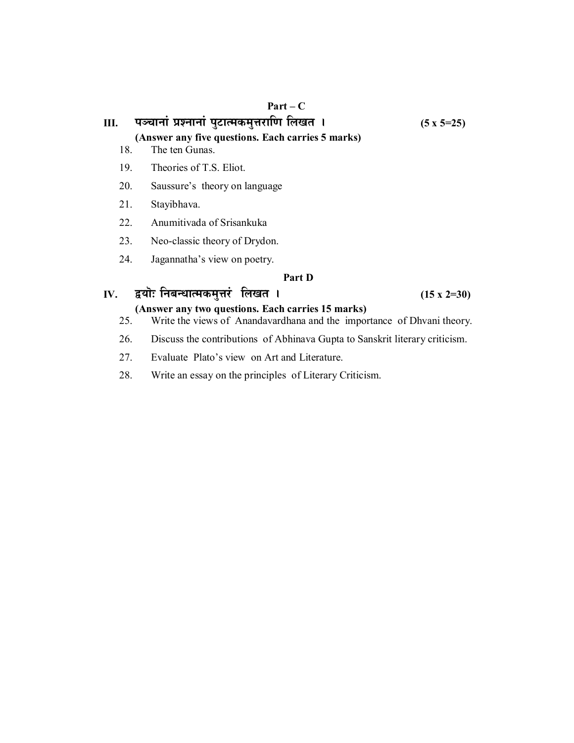# <u>III. पञ्चानां प्रश्नानां पुटात्मकमुत्तराणि लिखत । (5 x 5=25)</u>

**(Answer any five questions. Each carries 5 marks)**

- 18. The ten Gunas.
- 19. Theories of T.S. Eliot.
- 20. Saussure's theory on language
- 21. Stayibhava.
- 22. Anumitivada of Srisankuka
- 23. Neo-classic theory of Drydon.
- 24. Jagannatha's view on poetry.

#### **Part D**

#### **IV.** द्वयॊ: निबन्धात्मकमुत्तरं लिखत । (15 x 2=30)

#### **(Answer any two questions. Each carries 15 marks)**

- 25. Write the views of Anandavardhana and the importance of Dhvani theory.
- 26. Discuss the contributions of Abhinava Gupta to Sanskrit literary criticism.
- 27. Evaluate Plato's view on Art and Literature.
- 28. Write an essay on the principles of Literary Criticism.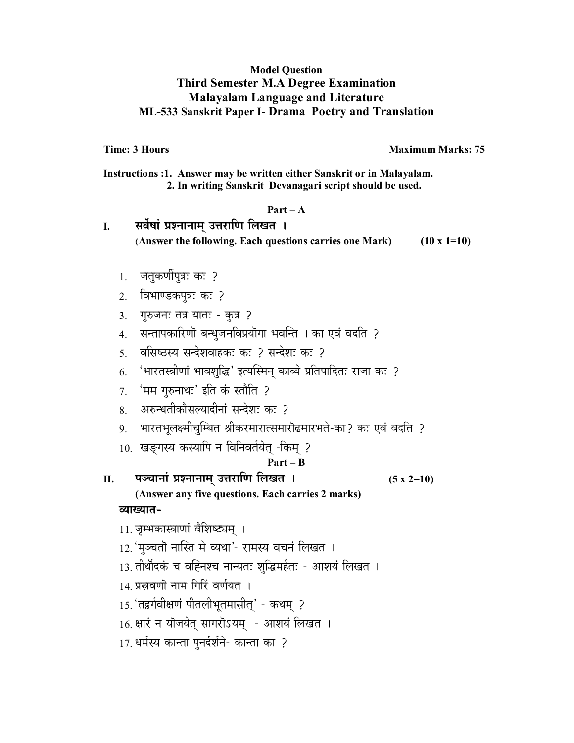#### **Model Question Third Semester M.A Degree Examination Malayalam Language and Literature ML-533 Sanskrit Paper I- Drama Poetry and Translation**

**Time: 3 Hours Maximum Marks: 75** 

**Instructions :1. Answer may be written either Sanskrit or in Malayalam. 2. In writing Sanskrit Devanagari script should be used.** 

#### **Part – A**

| सर्वेषां प्रश्नानाम् उत्तराणि लिखत ।                    |                    |
|---------------------------------------------------------|--------------------|
| (Answer the following. Each questions carries one Mark) | $(10 \times 1=10)$ |
|                                                         |                    |

- $1.$  जतुकर्णीपुत्रः कः ?
- 2. विभाण्डकपूत्रः कः ?
- 3. गुरुजनः तत्र यातः कुत्र ?
- 4. सन्तापकारिणॊ बन्धुजनविप्रयॊगा भवन्ति । का एवं वदति ?
- 5. वसिष्ठस्य सन्देशवाहकः कः 2 सन्देशः कः 2
- 6. 'भारतस्त्रीणां भावशुद्धि' इत्यस्मिन् काव्ये प्रतिपादितः राजा कः ?
- $7.$  'मम गुरुनाथ:' इति कं स्तौति ?
- 8. अरुन्धतीकौसल्यादीनां सन्देश: क: २
- 9. भारतभूलक्ष्मीचुम्बित श्रीकरमारात्समारोढमारभते-का? कः एवं वदति ?
- 10. खङ्गस्य कस्यापि न विनिवर्तयेत् -किम् ?

#### **Part – B**

**II. {…\S……x……∆ |…∂x……x……®…¬ =k…Æ˙… h… ±…J…i… \* (5 x 2=10)** 

**(Answer any five questions. Each carries 2 marks) ¥™……J™……i…-** 

- 11. जम्भकास्त्राणां वैशिष्ट्यम् ।
- 12. 'मञ्चतो नास्ति मे व्यथा'- रामस्य वचनं लिखत ।
- 13. तीर्थोदकं च वह्निश्च नान्यतः शुद्धिमर्हतः आशयं लिखत ।
- 14. प्रस्रवणो नाम गिरिं वर्णयत ।
- 15. 'तद्वर्गवीक्षणं पीतलीभूतमासीत्' कथम् ?
- 16. क्षारं न यॊजयेत् सागरॊऽयम् आशयं लिखत ।
- 17. धर्मस्य कान्ता पुनर्दर्शने- कान्ता का ?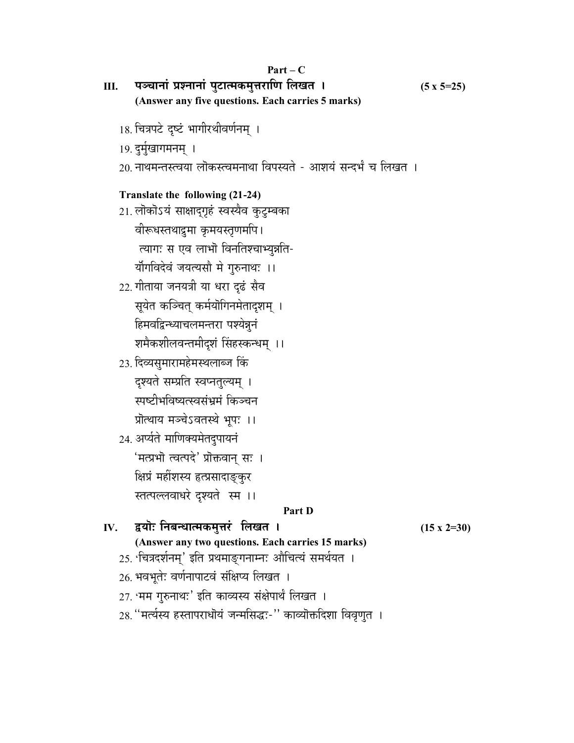|     | $Part-C$                                                                                                      |                    |
|-----|---------------------------------------------------------------------------------------------------------------|--------------------|
| Ш.  | पञ्चानां प्रश्नानां पुटात्मकमुत्तराणि लिखत ।                                                                  | $(5 x 5=25)$       |
|     | (Answer any five questions. Each carries 5 marks)                                                             |                    |
|     | 18. चित्रपटे दृष्टं भागीरथीवर्णनम् ।                                                                          |                    |
|     | 19. दुर्मुखागमनम् ।                                                                                           |                    |
|     | 20 नाथमन्तस्त्वया लॊकस्त्वमनाथा विपस्यते - आशयं सन्दर्भं च लिखत ।                                             |                    |
|     | Translate the following (21-24)                                                                               |                    |
|     | 21. लोकोऽयं साक्षाद्गृहं स्वस्यैव कुटुम्बका                                                                   |                    |
|     | वीरूधस्तथाद्रमा कुमयस्तृणमपि।                                                                                 |                    |
|     | त्यागः स एव लाभॊ विनतिश्चाभ्युन्नति-                                                                          |                    |
|     | र्योगविदेवं जयत्यसौ मे गुरुनाथः ।।                                                                            |                    |
|     | 22. गीताया जनयत्री या धरा दृढं सैव                                                                            |                    |
|     | सूयेत कञ्चित् कर्मयॊगिनमेतादृशम् ।                                                                            |                    |
|     | हिमवद्विन्ध्याचलमन्तरा पश्येन्नूनं                                                                            |                    |
|     | शमैकशीलवन्तमीदशं सिंहस्कन्धम् ।।                                                                              |                    |
|     | 23. दिव्यसुमारामहेमस्थलाब्ज किं                                                                               |                    |
|     | दृश्यते सम्प्रति स्वप्नतुल्यम् ।                                                                              |                    |
|     | स्पष्टीभविष्यत्स्वसंभ्रमं किञ्चन                                                                              |                    |
|     | प्रॊत्थाय मञ्चेऽवतस्थे भूपः ।।                                                                                |                    |
|     | 24. अर्प्यते माणिक्यमेतदुपायनं                                                                                |                    |
|     | 'मत्प्रभॊ त्वत्पदे' प्रॊक्तवान् सः ।                                                                          |                    |
|     | क्षिप्रं महींशस्य हृत्प्रसादाङ्कुर                                                                            |                    |
|     | स्तत्पल्लवाधरे दृश्यते स्म ।।                                                                                 |                    |
|     | Part D                                                                                                        |                    |
| IV. | द्वयॊः निबन्धात्मकमुत्तरं लिखत ।                                                                              | $(15 \times 2=30)$ |
|     | (Answer any two questions. Each carries 15 marks)<br>25. 'चित्रदर्शनम्' इति प्रथमाङ्गनाम्नः औचित्यं समर्थयत । |                    |
|     | 26. भवभूतेः वर्णनापाटवं संक्षिप्य लिखत ।                                                                      |                    |
|     | 27. 'मम गुरुनाथ:' इति काव्यस्य संक्षेपार्थं लिखत ।                                                            |                    |
|     |                                                                                                               |                    |
|     | 28. ''मर्त्यस्य हस्तापराधॊयं जन्मसिद्धः-'' काव्यॊक्तदिशा विवृणुत ।                                            |                    |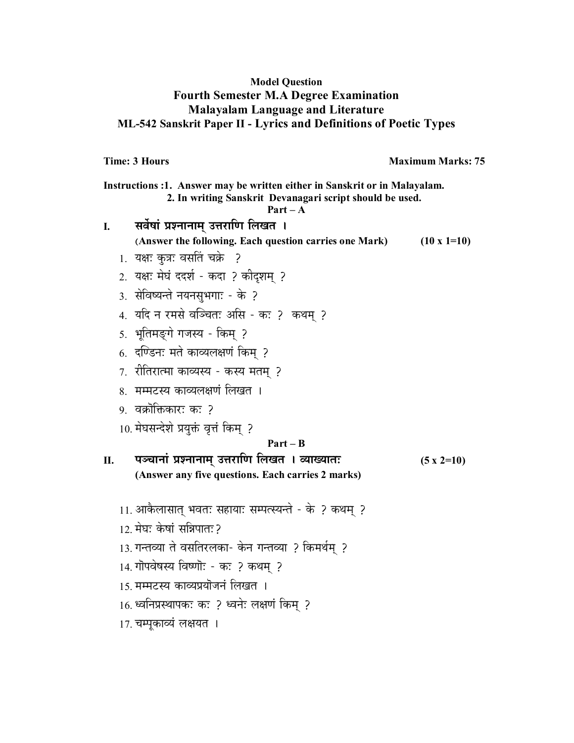### **Model Question Fourth Semester M.A Degree Examination Malayalam Language and Literature ML-542 Sanskrit Paper II - Lyrics and Definitions of Poetic Types**

**Time: 3 Hours Maximum Marks: 75** 

| Instructions :1. Answer may be written either in Sanskrit or in Malayalam.<br>2. In writing Sanskrit Devanagari script should be used.<br>$Part - A$ |                                                        |                    |
|------------------------------------------------------------------------------------------------------------------------------------------------------|--------------------------------------------------------|--------------------|
| I.                                                                                                                                                   | सर्वेषां प्रश्नानाम् उत्तराणि लिखत ।                   |                    |
|                                                                                                                                                      | (Answer the following. Each question carries one Mark) | $(10 \times 1=10)$ |
|                                                                                                                                                      | 1. यक्षः कुत्रः वसतिं चक्रे ?                          |                    |
|                                                                                                                                                      | 2. यक्षः मेघं ददर्श - कदा ? कीदृशम् ?                  |                    |
|                                                                                                                                                      | 3. सेविष्यन्ते नयनसुभगाः - के ?                        |                    |
|                                                                                                                                                      | 4. यदि न रमसे वञ्चितः असि - कः ? कथम् ?                |                    |
|                                                                                                                                                      | 5. भूतिमङ्गे गजस्य - किम् ?                            |                    |
|                                                                                                                                                      | 6. दण्डिनः मते काव्यलक्षणं किम् ?                      |                    |
|                                                                                                                                                      | 7. रीतिरात्मा काव्यस्य - कस्य मतम् ?                   |                    |
|                                                                                                                                                      | 8.  मम्मटस्य काव्यलक्षणं लिखत ।                        |                    |
|                                                                                                                                                      | 9.  वक्रोक्तिकारः कः ?                                 |                    |
|                                                                                                                                                      | 10. मेघसन्देशे प्रयुक्तं वृत्तं किम् ?                 |                    |
|                                                                                                                                                      | $Part - B$                                             |                    |
| П.                                                                                                                                                   | पञ्चानां प्रश्नानाम् उत्तराणि लिखत । व्याख्यातः        | $(5 x 2=10)$       |
|                                                                                                                                                      | (Answer any five questions. Each carries 2 marks)      |                    |
|                                                                                                                                                      | 11. आकैलासात् भवतः सहायाः सम्पत्स्यन्ते - के ? कथम् ?  |                    |
|                                                                                                                                                      | 12 मेघः केषां सन्निपातः २                              |                    |
|                                                                                                                                                      | 13. गन्तव्या ते वसतिरलका- केन गन्तव्या ? किमर्थम् ?    |                    |
|                                                                                                                                                      | 14. गोपवेषस्य विष्णॊ: - क: ? कथम् ?                    |                    |
|                                                                                                                                                      | 15. मम्मटस्य काव्यप्रयोजनं लिखत ।                      |                    |
|                                                                                                                                                      | 16. ध्वनिप्रस्थापकः कः ? ध्वनेः लक्षणं किम् ?          |                    |
|                                                                                                                                                      | 17. चम्पूकाव्यं लक्षयत ।                               |                    |
|                                                                                                                                                      |                                                        |                    |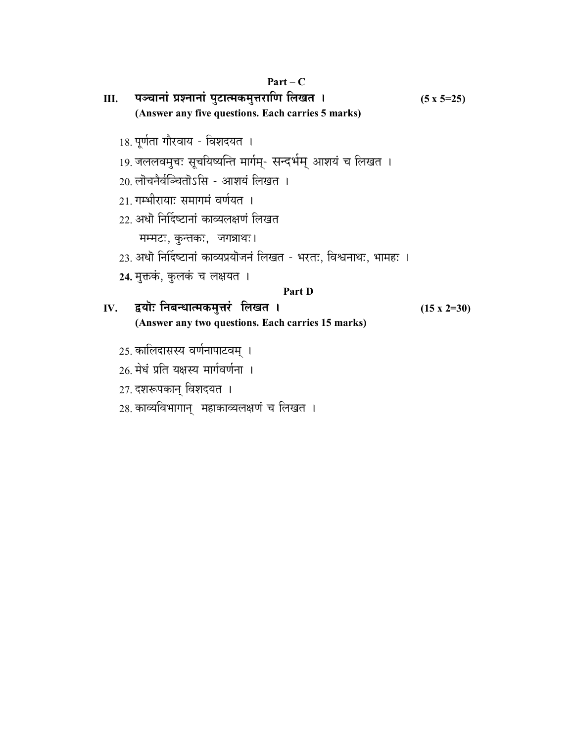| Ш.  | पञ्चानां प्रश्नानां पुटात्मकमुत्तराणि लिखत ।                                                                                                                       | $(5 \times 5=25)$  |
|-----|--------------------------------------------------------------------------------------------------------------------------------------------------------------------|--------------------|
|     | (Answer any five questions. Each carries 5 marks)                                                                                                                  |                    |
|     | 18. पूर्णता गौरवाय - विशदयत ।<br>19. जललवमुचः सूचयिष्यन्ति मार्गम्- सन्दर्भम् आशयं च लिखत ।<br>20 लॊचनैर्वञ्चितॊऽसि - आशयं लिखत ।<br>21 गम्भीरायाः समागमं वर्णयत । |                    |
|     | 22. अधो निर्दिष्टानां काव्यलक्षणं लिखत                                                                                                                             |                    |
|     | मम्मटः, कुन्तकः, जगन्नाथः।                                                                                                                                         |                    |
|     | 23. अधॊ निर्दिष्टानां काव्यप्रयॊजनं लिखत - भरतः, विश्वनाथः, भामहः ।                                                                                                |                    |
|     | 24. मुक्तकं, कुलकं च लक्षयत ।                                                                                                                                      |                    |
|     | Part D                                                                                                                                                             |                    |
| IV. | द्वयॊः निबन्धात्मकमुत्तरं लिखत ।                                                                                                                                   | $(15 \times 2=30)$ |
|     | (Answer any two questions. Each carries 15 marks)                                                                                                                  |                    |
|     | 25. कालिदासस्य वर्णनापाटवम् ।<br>26 मेथं प्रति यक्षस्य मार्गवर्णना ।                                                                                               |                    |
|     | 27. दशरूपकान् विशदयत ।                                                                                                                                             |                    |

28. काव्यविभागान् महाकाव्यलक्षणं च लिखत ।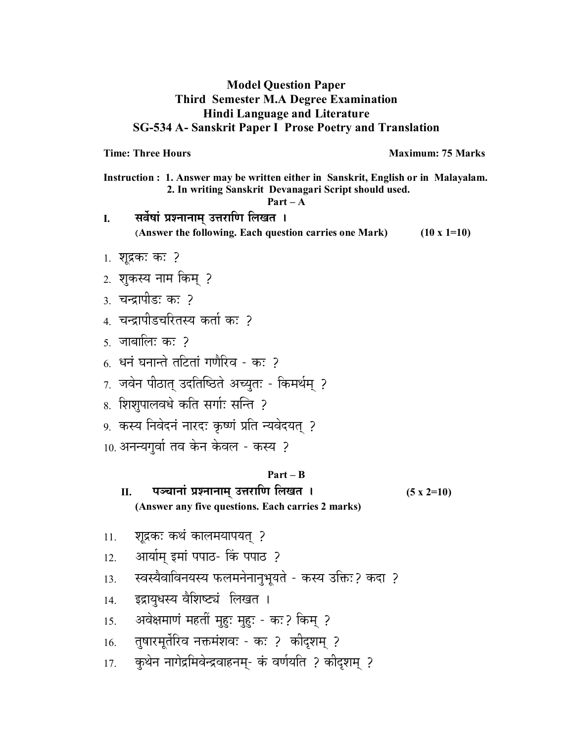### **Model Question Paper Third Semester M.A Degree Examination Hindi Language and Literature SG-534 A- Sanskrit Paper I Prose Poetry and Translation**

**Time: Three Hours**  Maximum: 75 Marks

**Instruction : 1. Answer may be written either in Sanskrit, English or in Malayalam. 2. In writing Sanskrit Devanagari Script should used.** 

**Part – A** 

I. सर्वेषां प्रश्नानाम् उत्तराणि लिखत **। (Answer the following. Each question carries one Mark) (10 x 1=10)** 

- $1.$  शूद्रकः कः ?
- 2. शुकस्य नाम किम ?
- <u>3. चन्द्रापीड</u>़ः क: 2
- 4 चन्द्रापीडचरितस्य कर्ता कः २
- $5\,$  जाबालि: क: ?
- 6. धनं घनान्ते तटितां गणैरिव क: 2
- $7.$  जवेन पीठात् उदतिष्ठिते अच्युतः किमर्थम् ?
- 8. शिशपालवधे कति सर्गाः सन्ति ?
- 9. कस्य निवेदनं नारदः कृष्णं प्रति न्यवेदयत् ?
- $10.$  अनन्यगुर्वा तव केन केवल कस्य ?

#### **Part – B**

- **II. {…\S……x……∆ |…∂x……x……®…¬ =k…Æ˙… h… ±…J…i… \* (5 x 2=10) (Answer any five questions. Each carries 2 marks)**
- 11. *श्*रद्रकः कथं कालमयापयत् ?
- 12. आर्याम् इमां पपाठ- किं पपाठ ?
- 13. ह्वस्यैवाविनयस्य फलमनेनानुभूयते कस्य उक्तिः? कदा ?
- 14. इद्रायुधस्य वैशिष्ट्यं लिखत ।
- 15. अवेक्षमाणं महतीं <u>मुहः</u> मुहुः कः? किम् ?
- <u>16. तुषारमृर्तेरिव नक्तमंशवः कः ? कीदृशम् ?</u>
- 17. कुथेन नागेद्रमिवेन्द्रवाहनम्- कं वर्णयति ? कीदृशम् ?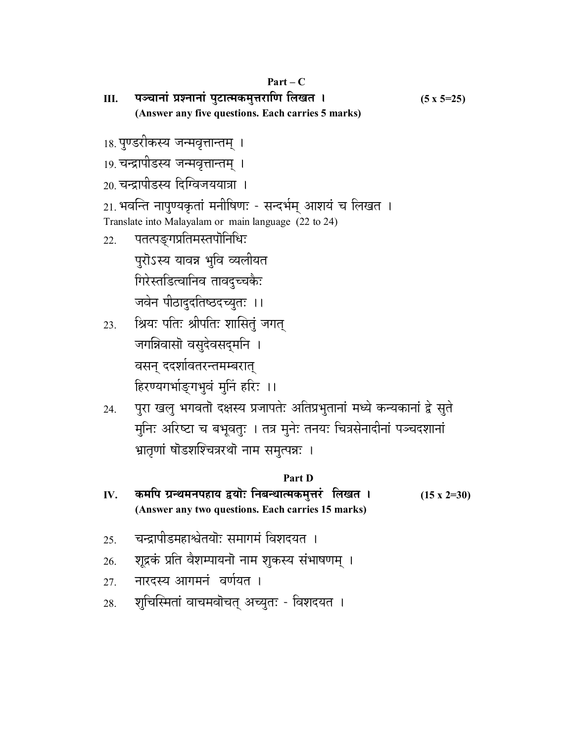<u>III. पञ्चानां प्रश्नानां पुटात्मकमुत्तराणि लिखत । (5 x 5=25)</u> **(Answer any five questions. Each carries 5 marks)**

<u>18. पु</u>ण्डरीकस्य जन्मवृत्तान्तम् ।

19. चन्द्रापीडस्य जन्मवृत्तान्तम् ।

20. चन्द्रापीडस्य दिग्विजययात्रा ।

21. भवन्ति नापुण्यकृतां मनीषिणः - सन्दर्भम् आशयं च लिखत । Translate into Malayalam or main language (22 to 24)

22. पतत्पङ्गप्रतिमस्तपॊनिधिः

पुरोऽस्य यावन्न भुवि व्यलीयत

गिरेस्तडित्वानिव तावदुच्चकैः

जवेन पीठादुदतिष्ठदच्युतः ।।

- 23. ंश्रियः पतिः श्रीपतिः शासितुं जगत् जगत्रिवासो वसुदेवसदुर्मान । वसन् ददर्शावतरन्तमम्बरात् हिरण्यगर्भाङ्गभुवं मुनिं हरिः ।।
- 24. पुरा खलु भगवतॊ दक्षस्य प्रजापतेः अतिप्रभुतानां मध्ये कन्यकानां द्वे सुते मुनिः अरिष्टा च बभूवतुः । तत्र मुनेः तनयः चित्रसेनादीनां पञ्चदशानां भ्रातृणां षॊडशश्चित्ररथॊ नाम समुत्पन्नः ।

#### **Part D**

- IV. कमपि ग्रन्थमनपहाय द्वयोः निबन्धात्मकमुत्तरं लिखत । (15 x 2=30) **(Answer any two questions. Each carries 15 marks)**
- 25. वन्द्रापीडमहाश्वेतयॊः समागमं विशदयत**।**
- 26. शूद्रकं प्रति वैशम्पायनॊ नाम शुकस्य संभाषणम् ।
- 27. नारदस्य आगमनं वर्णयत ।
- 28. शुचिस्मितां वाचमवोचत् अच्युतः विशदयत ।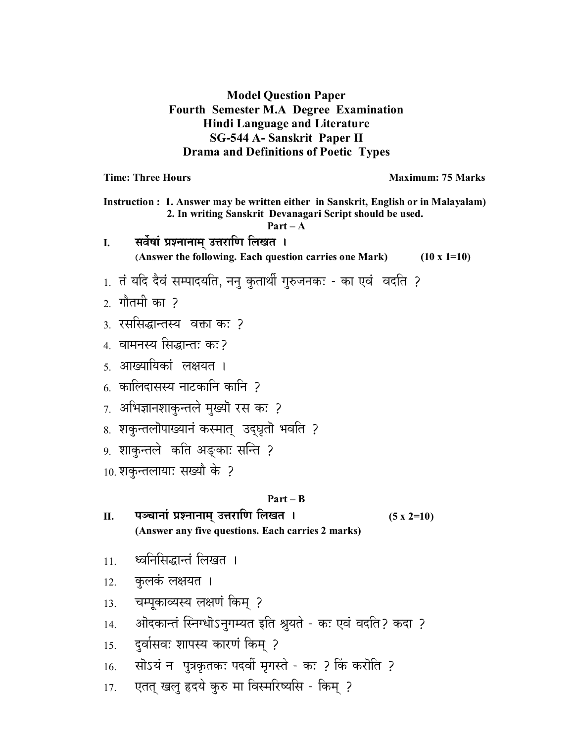**Model Question Paper Fourth Semester M.A Degree Examination Hindi Language and Literature** SG-544 A- Sanskrit Paper II **Drama and Definitions of Poetic Types** 

**Time: Three Hours** 

**Maximum: 75 Marks** 

Instruction : 1. Answer may be written either in Sanskrit, English or in Malayalam) 2. In writing Sanskrit Devanagari Script should be used.  $Part - A$ सर्वेषां प्रश्नानाम् उत्तराणि लिखत । I. (Answer the following. Each question carries one Mark)  $(10 \times 1=10)$ 1. तं यदि दैवं सम्पादयति, ननु कुतार्थी गुरुजनक: - का एवं वदति ?  $\overline{2}$ ाौतमी का २ ३ रससिद्धान्तस्य वक्ता कः २ 4. वामनस्य सिद्धान्तः कः? 5. आख्यायिकां लक्षयत । 6 कालिदासस्य नाटकानि कानि २ 7. अभिज्ञानशाकुन्तले मुख्यॊ रस कः ? 8. शकुन्तलॊपाख्यानं कस्मात् उदघृतॊ भवति ? 9. शाकुन्तले कति अङ्काः सन्ति ? 10. शकन्तलायाः सख्यौ के ? Part – B पञ्चानां प्रश्नानाम् उत्तराणि लिखत । Π.  $(5 x 2=10)$ (Answer any five questions. Each carries 2 marks) ध्वनिसिद्धान्तं लिखत ।  $11.$ कुलकं लक्षयत ।  $12<sub>1</sub>$ चम्पूकाव्यस्य लक्षणं किम् ? 13. ओदकान्तं स्निग्धॊऽनुगम्यत इति श्रुयते - कः एवं वदति? कदा ?  $14$ दुर्वासवः शापस्य कारणं किम् ? 15. सोऽयं न पुत्रकृतकः पदवीं मृगस्ते - कः ? किं करोति ? 16. एतत् खलु हृदये कुरु मा विस्मरिष्यसि - किम् ?  $17<sub>1</sub>$